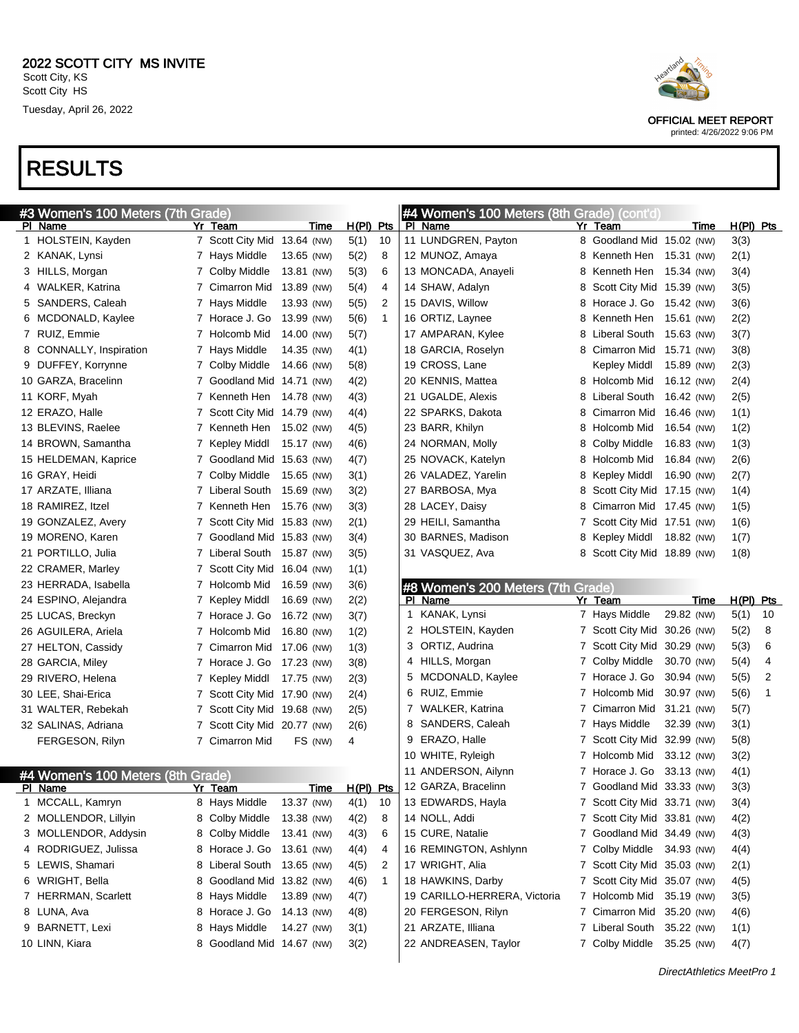| #3 Women's 100 Meters (7th Grade) |                             |             |              |              |   | #4 Women's 100 Meters (8th Grade) (cont'd)         |   |                             |             |              |    |
|-----------------------------------|-----------------------------|-------------|--------------|--------------|---|----------------------------------------------------|---|-----------------------------|-------------|--------------|----|
| PI Name                           | Yr Team                     | Time        | $H(PI)$ Pts  |              |   | PI Name                                            |   | Yr Team                     | Time        | $H(PI)$ Pts  |    |
| 1 HOLSTEIN, Kayden                | 7 Scott City Mid 13.64 (NW) |             | 5(1)         | 10           |   | 11 LUNDGREN, Payton                                |   | 8 Goodland Mid 15.02 (NW)   |             | 3(3)         |    |
| 2 KANAK, Lynsi                    | 7 Hays Middle               | 13.65 (NW)  | 5(2)         | 8            |   | 12 MUNOZ, Amaya                                    |   | 8 Kenneth Hen               | 15.31 (NW)  | 2(1)         |    |
| 3 HILLS, Morgan                   | 7 Colby Middle              | 13.81 (NW)  | 5(3)         | 6            |   | 13 MONCADA, Anayeli                                | 8 | Kenneth Hen                 | 15.34 (NW)  | 3(4)         |    |
| 4 WALKER, Katrina                 | 7 Cimarron Mid              | 13.89 (NW)  | 5(4)         | 4            |   | 14 SHAW, Adalyn                                    | 8 | Scott City Mid 15.39 (NW)   |             | 3(5)         |    |
| 5 SANDERS, Caleah                 | 7 Hays Middle               | 13.93 (NW)  | 5(5)         | 2            |   | 15 DAVIS, Willow                                   | 8 | Horace J. Go                | 15.42 (NW)  | 3(6)         |    |
| 6 MCDONALD, Kaylee                | 7 Horace J. Go              | 13.99 (NW)  | 5(6)         | $\mathbf{1}$ |   | 16 ORTIZ, Laynee                                   | 8 | Kenneth Hen                 | 15.61 (NW)  | 2(2)         |    |
| 7 RUIZ, Emmie                     | 7 Holcomb Mid               | 14.00 (NW)  | 5(7)         |              |   | 17 AMPARAN, Kylee                                  | 8 | <b>Liberal South</b>        | 15.63 (NW)  | 3(7)         |    |
| 8 CONNALLY, Inspiration           | 7 Hays Middle               | 14.35 (NW)  | 4(1)         |              |   | 18 GARCIA, Roselyn                                 |   | 8 Cimarron Mid              | 15.71 (NW)  | 3(8)         |    |
| 9 DUFFEY, Korrynne                | 7 Colby Middle              | 14.66 (NW)  | 5(8)         |              |   | 19 CROSS, Lane                                     |   | Kepley Middl                | 15.89 (NW)  | 2(3)         |    |
| 10 GARZA, Bracelinn               | 7 Goodland Mid 14.71 (NW)   |             | 4(2)         |              |   | 20 KENNIS, Mattea                                  |   | 8 Holcomb Mid               | 16.12 (NW)  | 2(4)         |    |
| 11 KORF, Myah                     | 7 Kenneth Hen               | 14.78 (NW)  | 4(3)         |              |   | 21 UGALDE, Alexis                                  | 8 | <b>Liberal South</b>        | 16.42 (NW)  | 2(5)         |    |
| 12 ERAZO, Halle                   | 7 Scott City Mid 14.79 (NW) |             | 4(4)         |              |   | 22 SPARKS, Dakota                                  | 8 | Cimarron Mid                | 16.46 (NW)  | 1(1)         |    |
| 13 BLEVINS, Raelee                | 7 Kenneth Hen               | 15.02 (NW)  | 4(5)         |              |   | 23 BARR, Khilyn                                    | 8 | Holcomb Mid                 | 16.54 (NW)  | 1(2)         |    |
| 14 BROWN, Samantha                | 7 Kepley Middl              | 15.17 (NW)  | 4(6)         |              |   | 24 NORMAN, Molly                                   | 8 | Colby Middle                | 16.83 (NW)  | 1(3)         |    |
| 15 HELDEMAN, Kaprice              | 7 Goodland Mid              | 15.63 (NW)  | 4(7)         |              |   | 25 NOVACK, Katelyn                                 | 8 | Holcomb Mid                 | 16.84 (NW)  | 2(6)         |    |
| 16 GRAY, Heidi                    | 7 Colby Middle              | 15.65 (NW)  | 3(1)         |              |   | 26 VALADEZ, Yarelin                                | 8 | Kepley Middl                | 16.90 (NW)  | 2(7)         |    |
| 17 ARZATE, Illiana                | 7 Liberal South             | 15.69 (NW)  | 3(2)         |              |   | 27 BARBOSA, Mya                                    | 8 | Scott City Mid 17.15 (NW)   |             | 1(4)         |    |
| 18 RAMIREZ, Itzel                 | 7 Kenneth Hen               | 15.76 (NW)  | 3(3)         |              |   | 28 LACEY, Daisy                                    | 8 | Cimarron Mid 17.45 (NW)     |             | 1(5)         |    |
| 19 GONZALEZ, Avery                | 7 Scott City Mid 15.83 (NW) |             | 2(1)         |              |   | 29 HEILI, Samantha                                 | 7 | Scott City Mid 17.51 (NW)   |             | 1(6)         |    |
| 19 MORENO, Karen                  | 7 Goodland Mid 15.83 (NW)   |             | 3(4)         |              |   | 30 BARNES, Madison                                 | 8 | Kepley Middl                | 18.82 (NW)  | 1(7)         |    |
| 21 PORTILLO, Julia                | 7 Liberal South             | 15.87 (NW)  | 3(5)         |              |   | 31 VASQUEZ, Ava                                    |   | 8 Scott City Mid 18.89 (NW) |             | 1(8)         |    |
| 22 CRAMER, Marley                 | 7 Scott City Mid 16.04 (NW) |             | 1(1)         |              |   |                                                    |   |                             |             |              |    |
| 23 HERRADA, Isabella              | 7 Holcomb Mid               | 16.59 (NW)  | 3(6)         |              |   | #8 Women's 200 Meters (7th Grade)                  |   |                             |             |              |    |
|                                   |                             |             |              |              |   |                                                    |   |                             |             |              |    |
| 24 ESPINO, Alejandra              | 7 Kepley Middl              | 16.69 (NW)  | 2(2)         |              |   | PI Name                                            |   | Yr Team                     | <b>Time</b> | $H(PI)$ Pts  |    |
| 25 LUCAS, Breckyn                 | 7 Horace J. Go              | 16.72 (NW)  | 3(7)         |              |   | 1 KANAK, Lynsi                                     |   | 7 Hays Middle               | 29.82 (NW)  | 5(1)         | 10 |
| 26 AGUILERA, Ariela               | 7 Holcomb Mid               | 16.80 (NW)  | 1(2)         |              |   | 2 HOLSTEIN, Kayden                                 |   | 7 Scott City Mid 30.26 (NW) |             | 5(2)         | 8  |
| 27 HELTON, Cassidy                | 7 Cimarron Mid              | 17.06 (NW)  | 1(3)         |              |   | 3 ORTIZ, Audrina                                   |   | 7 Scott City Mid 30.29 (NW) |             | 5(3)         | 6  |
| 28 GARCIA, Miley                  | 7 Horace J. Go              | 17.23 (NW)  | 3(8)         |              |   | 4 HILLS, Morgan                                    |   | 7 Colby Middle              | 30.70 (NW)  | 5(4)         | 4  |
| 29 RIVERO, Helena                 | 7 Kepley Middl              | 17.75 (NW)  | 2(3)         |              |   | 5 MCDONALD, Kaylee                                 |   | 7 Horace J. Go              | 30.94 (NW)  | 5(5)         | 2  |
| 30 LEE, Shai-Erica                | 7 Scott City Mid 17.90 (NW) |             | 2(4)         |              |   | 6 RUIZ, Emmie                                      |   | 7 Holcomb Mid               | 30.97 (NW)  | 5(6)         | 1  |
| 31 WALTER, Rebekah                | 7 Scott City Mid 19.68 (NW) |             | 2(5)         |              |   | 7 WALKER, Katrina                                  |   | 7 Cimarron Mid 31.21 (NW)   |             | 5(7)         |    |
| 32 SALINAS, Adriana               | 7 Scott City Mid 20.77 (NW) |             | 2(6)         |              | 8 | SANDERS, Caleah                                    |   | 7 Hays Middle               | 32.39 (NW)  | 3(1)         |    |
| FERGESON, Rilyn                   | 7 Cimarron Mid              | FS (NW)     | 4            |              | 9 | ERAZO, Halle                                       |   | 7 Scott City Mid 32.99 (NW) |             | 5(8)         |    |
|                                   |                             |             |              |              |   | 10 WHITE, Ryleigh                                  |   | 7 Holcomb Mid               | 33.12 (NW)  | 3(2)         |    |
|                                   |                             |             |              |              |   | 11 ANDERSON, Ailynn                                |   | 7 Horace J. Go 33.13 (NW)   |             | 4(1)         |    |
| #4 Women's 100 Meters (8th Grade) | Yr Team                     | <u>Time</u> |              |              |   |                                                    |   | 7 Goodland Mid 33.33 (NW)   |             |              |    |
| PI Name<br>1 MCCALL, Kamryn       | 8 Hays Middle               | 13.37 (NW)  | 4(1)         | 10           |   | H(PI) Pts 12 GARZA, Bracelinn<br>13 EDWARDS, Hayla |   | 7 Scott City Mid 33.71 (NW) |             | 3(3)<br>3(4) |    |
| 2 MOLLENDOR, Lillyin              | 8 Colby Middle              | 13.38 (NW)  | 4(2)         | 8            |   | 14 NOLL, Addi                                      |   | 7 Scott City Mid 33.81 (NW) |             | 4(2)         |    |
| 3 MOLLENDOR, Addysin              | 8 Colby Middle              | 13.41 (NW)  | 4(3)         | 6            |   | 15 CURE, Natalie                                   |   | 7 Goodland Mid 34.49 (NW)   |             |              |    |
| 4 RODRIGUEZ, Julissa              | 8 Horace J. Go 13.61 (NW)   |             | 4(4)         | 4            |   | 16 REMINGTON, Ashlynn                              |   | 7 Colby Middle 34.93 (NW)   |             | 4(3)         |    |
| 5 LEWIS, Shamari                  | 8 Liberal South 13.65 (NW)  |             | 4(5)         | 2            |   | 17 WRIGHT, Alia                                    |   | 7 Scott City Mid 35.03 (NW) |             | 4(4)<br>2(1) |    |
| 6 WRIGHT, Bella                   | 8 Goodland Mid 13.82 (NW)   |             | 4(6)         | $\mathbf{1}$ |   | 18 HAWKINS, Darby                                  |   | 7 Scott City Mid 35.07 (NW) |             |              |    |
| 7 HERRMAN, Scarlett               | 8 Hays Middle               | 13.89 (NW)  | 4(7)         |              |   | 19 CARILLO-HERRERA, Victoria                       |   | 7 Holcomb Mid 35.19 (NW)    |             | 4(5)         |    |
| 8 LUNA, Ava                       | 8 Horace J. Go 14.13 (NW)   |             | 4(8)         |              |   | 20 FERGESON, Rilyn                                 |   | 7 Cimarron Mid 35.20 (NW)   |             | 3(5)<br>4(6) |    |
| 9 BARNETT, Lexi                   | 8 Hays Middle               | 14.27 (NW)  |              |              |   | 21 ARZATE, Illiana                                 |   | 7 Liberal South 35.22 (NW)  |             |              |    |
| 10 LINN, Kiara                    | 8 Goodland Mid 14.67 (NW)   |             | 3(1)<br>3(2) |              |   | 22 ANDREASEN, Taylor                               |   | 7 Colby Middle 35.25 (NW)   |             | 1(1)<br>4(7) |    |



OFFICIAL MEET REPORT

printed: 4/26/2022 9:06 PM

DirectAthletics MeetPro 1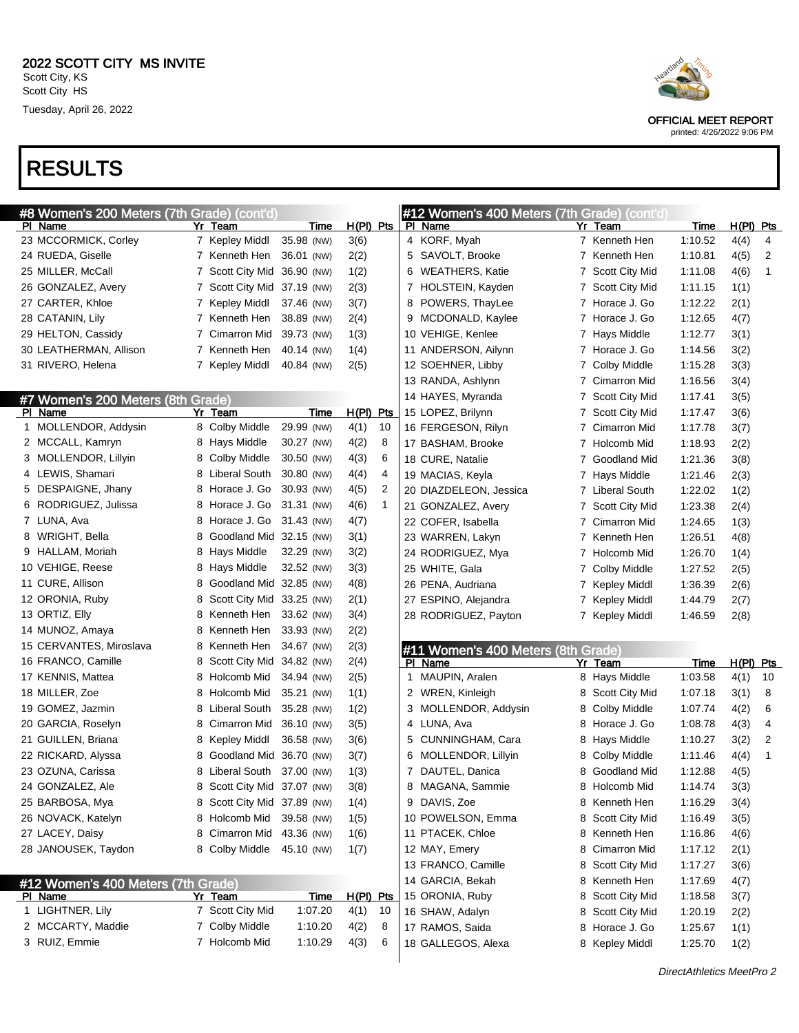| #8 Women's 200 Meters (7th Grade) (cont'd) |   |                             |             |             |    |   | #12 Women's 400 Meters (7th Grade) (cont'd) |   |                     |         |             |                |
|--------------------------------------------|---|-----------------------------|-------------|-------------|----|---|---------------------------------------------|---|---------------------|---------|-------------|----------------|
| PI Name                                    |   | Yr Team                     | <b>Time</b> | $H(PI)$ Pts |    |   | PI Name                                     |   | Yr Team             | Time    | H(PI) Pts   |                |
| 23 MCCORMICK, Corley                       |   | 7 Kepley Middl              | 35.98 (NW)  | 3(6)        |    |   | 4 KORF, Myah                                |   | 7 Kenneth Hen       | 1:10.52 | 4(4)        | 4              |
| 24 RUEDA, Giselle                          |   | 7 Kenneth Hen               | 36.01 (NW)  | 2(2)        |    |   | 5 SAVOLT, Brooke                            |   | 7 Kenneth Hen       | 1:10.81 | 4(5)        | $\overline{2}$ |
| 25 MILLER, McCall                          |   | 7 Scott City Mid            | 36.90 (NW)  | 1(2)        |    |   | 6 WEATHERS, Katie                           |   | 7 Scott City Mid    | 1:11.08 | 4(6)        | 1              |
| 26 GONZALEZ, Avery                         |   | 7 Scott City Mid            | 37.19 (NW)  | 2(3)        |    |   | 7 HOLSTEIN, Kayden                          |   | 7 Scott City Mid    | 1:11.15 | 1(1)        |                |
| 27 CARTER, Khloe                           |   | 7 Kepley Middl              | 37.46 (NW)  | 3(7)        |    |   | 8 POWERS, ThayLee                           |   | 7 Horace J. Go      | 1:12.22 | 2(1)        |                |
| 28 CATANIN, Lily                           |   | 7 Kenneth Hen               | 38.89 (NW)  | 2(4)        |    |   | 9 MCDONALD, Kaylee                          |   | 7 Horace J. Go      | 1:12.65 | 4(7)        |                |
| 29 HELTON, Cassidy                         |   | 7 Cimarron Mid              | 39.73 (NW)  | 1(3)        |    |   | 10 VEHIGE, Kenlee                           |   | 7 Hays Middle       | 1:12.77 | 3(1)        |                |
| 30 LEATHERMAN, Allison                     |   | 7 Kenneth Hen               | 40.14 (NW)  | 1(4)        |    |   | 11 ANDERSON, Ailynn                         |   | 7 Horace J. Go      | 1:14.56 | 3(2)        |                |
| 31 RIVERO, Helena                          |   | 7 Kepley Middl              | 40.84 (NW)  | 2(5)        |    |   | 12 SOEHNER, Libby                           |   | 7 Colby Middle      | 1:15.28 | 3(3)        |                |
|                                            |   |                             |             |             |    |   | 13 RANDA, Ashlynn                           |   | 7 Cimarron Mid      | 1:16.56 | 3(4)        |                |
| #7 Women's 200 Meters (8th Grade)          |   |                             |             |             |    |   | 14 HAYES, Myranda                           |   | 7 Scott City Mid    | 1:17.41 | 3(5)        |                |
| PI Name                                    |   | Yr Team                     | Time        | $H(PI)$ Pts |    |   | 15 LOPEZ, Brilynn                           | 7 | Scott City Mid      | 1:17.47 | 3(6)        |                |
| 1 MOLLENDOR, Addysin                       |   | 8 Colby Middle              | 29.99 (NW)  | 4(1)        | 10 |   | 16 FERGESON, Rilyn                          |   | 7 Cimarron Mid      | 1:17.78 | 3(7)        |                |
| 2 MCCALL, Kamryn                           |   | 8 Hays Middle               | 30.27 (NW)  | 4(2)        | 8  |   | 17 BASHAM, Brooke                           |   | 7 Holcomb Mid       | 1:18.93 | 2(2)        |                |
| 3 MOLLENDOR, Lillyin                       |   | 8 Colby Middle              | 30.50 (NW)  | 4(3)        | 6  |   | 18 CURE, Natalie                            |   | 7 Goodland Mid      | 1:21.36 | 3(8)        |                |
| 4 LEWIS, Shamari                           |   | 8 Liberal South             | 30.80 (NW)  | 4(4)        | 4  |   | 19 MACIAS, Keyla                            |   | 7 Hays Middle       | 1:21.46 | 2(3)        |                |
| 5 DESPAIGNE, Jhany                         |   | 8 Horace J. Go              | 30.93 (NW)  | 4(5)        | 2  |   | 20 DIAZDELEON, Jessica                      |   | 7 Liberal South     | 1:22.02 | 1(2)        |                |
| 6 RODRIGUEZ, Julissa                       |   | 8 Horace J. Go              | 31.31 (NW)  | 4(6)        | 1  |   | 21 GONZALEZ, Avery                          |   | 7 Scott City Mid    | 1:23.38 | 2(4)        |                |
| 7 LUNA, Ava                                |   | 8 Horace J. Go              | 31.43 (NW)  | 4(7)        |    |   | 22 COFER, Isabella                          |   | <b>Cimarron Mid</b> | 1:24.65 | 1(3)        |                |
| 8 WRIGHT, Bella                            | 8 | Goodland Mid 32.15 (NW)     |             | 3(1)        |    |   | 23 WARREN, Lakyn                            |   | 7 Kenneth Hen       | 1:26.51 | 4(8)        |                |
| 9 HALLAM, Moriah                           | 8 | Hays Middle                 | 32.29 (NW)  | 3(2)        |    |   | 24 RODRIGUEZ, Mya                           |   | 7 Holcomb Mid       | 1:26.70 | 1(4)        |                |
| 10 VEHIGE, Reese                           |   | 8 Hays Middle               | 32.52 (NW)  | 3(3)        |    |   | 25 WHITE, Gala                              |   | 7 Colby Middle      | 1:27.52 | 2(5)        |                |
| 11 CURE, Allison                           | 8 | Goodland Mid 32.85 (NW)     |             | 4(8)        |    |   | 26 PENA, Audriana                           |   | 7 Kepley Middl      | 1:36.39 | 2(6)        |                |
| 12 ORONIA, Ruby                            | 8 | Scott City Mid 33.25 (NW)   |             | 2(1)        |    |   | 27 ESPINO, Alejandra                        |   | 7 Kepley Middl      | 1:44.79 | 2(7)        |                |
| 13 ORTIZ, Elly                             |   | 8 Kenneth Hen               | 33.62 (NW)  | 3(4)        |    |   | 28 RODRIGUEZ, Payton                        |   | 7 Kepley Middl      | 1:46.59 | 2(8)        |                |
| 14 MUNOZ, Amaya                            | 8 | Kenneth Hen                 | 33.93 (NW)  | 2(2)        |    |   |                                             |   |                     |         |             |                |
| 15 CERVANTES, Miroslava                    |   | 8 Kenneth Hen               | 34.67 (NW)  | 2(3)        |    |   | #11 Women's 400 Meters (8th Grade)          |   |                     |         |             |                |
| 16 FRANCO, Camille                         |   | 8 Scott City Mid            | 34.82 (NW)  | 2(4)        |    |   | PI Name                                     |   | Yr Team             | Time    | $H(PI)$ Pts |                |
| 17 KENNIS, Mattea                          |   | 8 Holcomb Mid               | 34.94 (NW)  | 2(5)        |    |   | 1 MAUPIN, Aralen                            |   | 8 Hays Middle       | 1:03.58 | 4(1)        | 10             |
| 18 MILLER, Zoe                             |   | 8 Holcomb Mid               | 35.21 (NW)  | 1(1)        |    |   | 2 WREN, Kinleigh                            | 8 | Scott City Mid      | 1:07.18 | 3(1)        | 8              |
| 19 GOMEZ, Jazmin                           | 8 | Liberal South               | 35.28 (NW)  | 1(2)        |    |   | 3 MOLLENDOR, Addysin                        | 8 | Colby Middle        | 1:07.74 | 4(2)        | 6              |
| 20 GARCIA, Roselyn                         | 8 | Cimarron Mid                | 36.10 (NW)  | 3(5)        |    |   | 4 LUNA, Ava                                 | 8 | Horace J. Go        | 1:08.78 | 4(3)        | 4              |
| 21 GUILLEN, Briana                         | 8 | Kepley Middl                | 36.58 (NW)  | 3(6)        |    | 5 | CUNNINGHAM, Cara                            | 8 | Hays Middle         | 1:10.27 | 3(2)        | 2              |
| 22 RICKARD, Alyssa                         | 8 | Goodland Mid                | 36.70 (NW)  | 3(7)        |    |   | 6 MOLLENDOR, Lillyin                        | 8 | Colby Middle        | 1:11.46 | 4(4)        | 1              |
| 23 OZUNA, Carissa                          | 8 | <b>Liberal South</b>        | 37.00 (NW)  | 1(3)        |    |   | 7 DAUTEL, Danica                            | 8 | Goodland Mid        | 1:12.88 | 4(5)        |                |
| 24 GONZALEZ, Ale                           |   | 8 Scott City Mid 37.07 (NW) |             | 3(8)        |    | 8 | MAGANA, Sammie                              |   | 8 Holcomb Mid       | 1:14.74 | 3(3)        |                |
| 25 BARBOSA, Mya                            |   | 8 Scott City Mid 37.89 (NW) |             | 1(4)        |    |   | 9 DAVIS, Zoe                                |   | 8 Kenneth Hen       | 1:16.29 | 3(4)        |                |
| 26 NOVACK, Katelyn                         |   | 8 Holcomb Mid               | 39.58 (NW)  | 1(5)        |    |   | 10 POWELSON, Emma                           |   | 8 Scott City Mid    | 1:16.49 | 3(5)        |                |
| 27 LACEY, Daisy                            |   | 8 Cimarron Mid              | 43.36 (NW)  | 1(6)        |    |   | 11 PTACEK, Chloe                            |   | 8 Kenneth Hen       | 1:16.86 | 4(6)        |                |
| 28 JANOUSEK, Taydon                        |   | 8 Colby Middle              | 45.10 (NW)  | 1(7)        |    |   | 12 MAY, Emery                               |   | 8 Cimarron Mid      | 1:17.12 | 2(1)        |                |
|                                            |   |                             |             |             |    |   | 13 FRANCO, Camille                          |   | 8 Scott City Mid    | 1:17.27 | 3(6)        |                |
| #12 Women's 400 Meters (7th Grade)         |   |                             |             |             |    |   | 14 GARCIA, Bekah                            |   | 8 Kenneth Hen       | 1:17.69 | 4(7)        |                |
| PI Name                                    |   | Yr Team                     | <b>Time</b> | H(PI) Pts   |    |   | 15 ORONIA, Ruby                             |   | 8 Scott City Mid    | 1:18.58 | 3(7)        |                |
| 1 LIGHTNER, Lily                           |   | 7 Scott City Mid            | 1:07.20     | 4(1)        | 10 |   | 16 SHAW, Adalyn                             |   | 8 Scott City Mid    | 1:20.19 | 2(2)        |                |
| 2 MCCARTY, Maddie                          |   | 7 Colby Middle              | 1:10.20     | 4(2)        | 8  |   | 17 RAMOS, Saida                             |   | 8 Horace J. Go      | 1:25.67 | 1(1)        |                |
| 3 RUIZ, Emmie                              |   | 7 Holcomb Mid               | 1:10.29     | 4(3)        | 6  |   | 18 GALLEGOS, Alexa                          |   | 8 Kepley Middl      | 1:25.70 | 1(2)        |                |
|                                            |   |                             |             |             |    |   |                                             |   |                     |         |             |                |



OFFICIAL MEET REPORT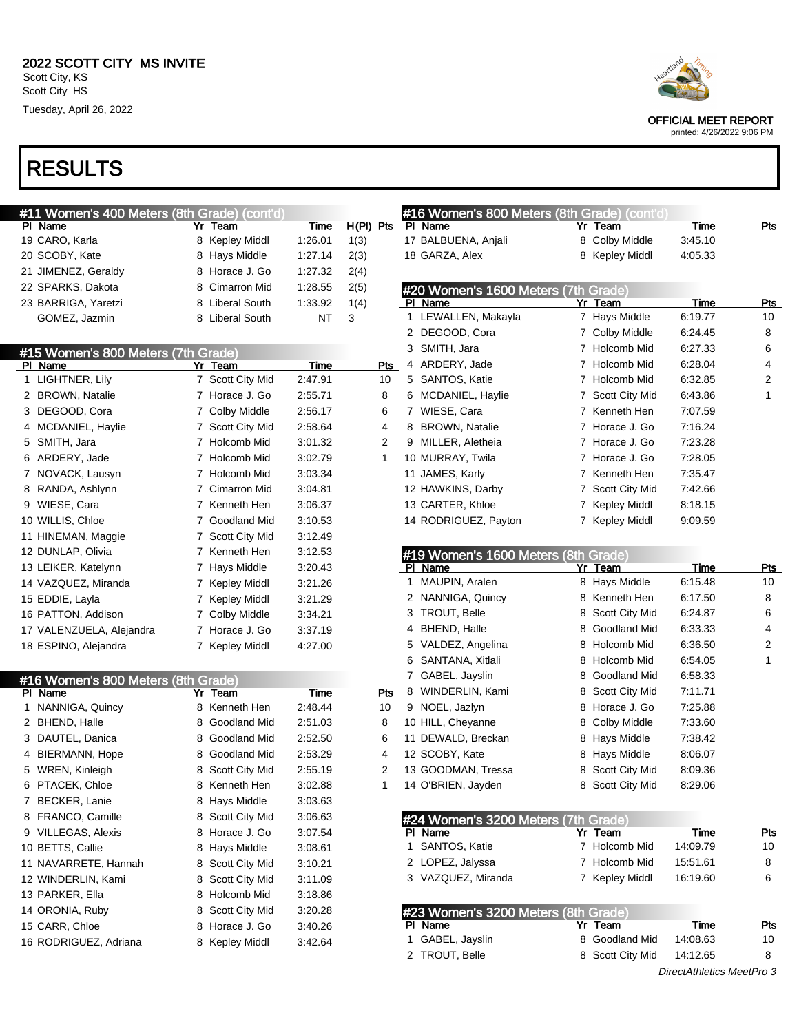| #11 Women's 400 Meters (8th Grade) (cont'd) |                  |             |              | #16 Women's 800 Meters (8th Grade) (cont'd) |                     |                           |            |
|---------------------------------------------|------------------|-------------|--------------|---------------------------------------------|---------------------|---------------------------|------------|
| PI Name                                     | Yr Team          | <b>Time</b> | H(PI) Pts    | PI Name                                     | Yr Team             | Time                      | <u>Pts</u> |
| 19 CARO, Karla                              | 8 Kepley Middl   | 1:26.01     | 1(3)         | 17 BALBUENA, Anjali                         | 8 Colby Middle      | 3:45.10                   |            |
| 20 SCOBY, Kate                              | 8 Hays Middle    | 1:27.14     | 2(3)         | 18 GARZA, Alex                              | 8 Kepley Middl      | 4:05.33                   |            |
| 21 JIMENEZ, Geraldy                         | 8 Horace J. Go   | 1:27.32     | 2(4)         |                                             |                     |                           |            |
| 22 SPARKS, Dakota                           | 8 Cimarron Mid   | 1:28.55     | 2(5)         | #20 Women's 1600 Meters (7th Grade)         |                     |                           |            |
| 23 BARRIGA, Yaretzi                         | 8 Liberal South  | 1:33.92     | 1(4)         | PI Name                                     | Yr Team             | Time                      | <u>Pts</u> |
| GOMEZ, Jazmin                               | 8 Liberal South  | <b>NT</b>   | 3            | 1 LEWALLEN, Makayla                         | 7 Hays Middle       | 6:19.77                   | 10         |
|                                             |                  |             |              | 2 DEGOOD, Cora                              | 7 Colby Middle      | 6:24.45                   | 8          |
| #15 Women's 800 Meters (7th Grade)          |                  |             |              | 3 SMITH, Jara                               | 7 Holcomb Mid       | 6:27.33                   | 6          |
| PI Name                                     | Yr Team          | Time        | Pts          | 4 ARDERY, Jade                              | 7 Holcomb Mid       | 6:28.04                   | 4          |
| 1 LIGHTNER, Lily                            | 7 Scott City Mid | 2:47.91     | 10           | 5 SANTOS, Katie                             | 7 Holcomb Mid       | 6:32.85                   | 2          |
| 2 BROWN, Natalie                            | 7 Horace J. Go   | 2:55.71     | 8            | 6 MCDANIEL, Haylie                          | 7 Scott City Mid    | 6:43.86                   | 1          |
| 3 DEGOOD, Cora                              | 7 Colby Middle   | 2:56.17     | 6            | 7 WIESE, Cara                               | 7 Kenneth Hen       | 7:07.59                   |            |
| 4 MCDANIEL, Haylie                          | 7 Scott City Mid | 2:58.64     | 4            | 8 BROWN, Natalie                            | 7 Horace J. Go      | 7:16.24                   |            |
| 5 SMITH, Jara                               | 7 Holcomb Mid    | 3:01.32     | 2            | 9 MILLER, Aletheia                          | 7 Horace J. Go      | 7:23.28                   |            |
| 6 ARDERY, Jade                              | 7 Holcomb Mid    | 3:02.79     | $\mathbf{1}$ | 10 MURRAY, Twila                            | 7 Horace J. Go      | 7:28.05                   |            |
| 7 NOVACK, Lausyn                            | 7 Holcomb Mid    | 3:03.34     |              | 11 JAMES, Karly                             | 7 Kenneth Hen       | 7:35.47                   |            |
| 8 RANDA, Ashlynn                            | 7 Cimarron Mid   | 3:04.81     |              | 12 HAWKINS, Darby                           | 7 Scott City Mid    | 7:42.66                   |            |
| 9 WIESE, Cara                               | 7 Kenneth Hen    | 3:06.37     |              | 13 CARTER, Khloe                            | 7 Kepley Middl      | 8:18.15                   |            |
| 10 WILLIS, Chloe                            | 7 Goodland Mid   | 3:10.53     |              | 14 RODRIGUEZ, Payton                        | 7 Kepley Middl      | 9:09.59                   |            |
| 11 HINEMAN, Maggie                          | 7 Scott City Mid | 3:12.49     |              |                                             |                     |                           |            |
| 12 DUNLAP, Olivia                           | 7 Kenneth Hen    | 3:12.53     |              | #19 Women's 1600 Meters (8th Grade)         |                     |                           |            |
| 13 LEIKER, Katelynn                         | 7 Hays Middle    | 3:20.43     |              | PI Name                                     | Yr Team             | Time                      | <b>Pts</b> |
| 14 VAZQUEZ, Miranda                         | 7 Kepley Middl   | 3:21.26     |              | 1 MAUPIN, Aralen                            | 8 Hays Middle       | 6:15.48                   | 10         |
| 15 EDDIE, Layla                             | 7 Kepley Middl   | 3:21.29     |              | 2 NANNIGA, Quincy                           | 8 Kenneth Hen       | 6:17.50                   | 8          |
| 16 PATTON, Addison                          | 7 Colby Middle   | 3:34.21     |              | 3 TROUT, Belle                              | Scott City Mid<br>8 | 6:24.87                   | 6          |
| 17 VALENZUELA, Alejandra                    | 7 Horace J. Go   | 3:37.19     |              | 4 BHEND, Halle                              | Goodland Mid<br>8   | 6:33.33                   | 4          |
| 18 ESPINO, Alejandra                        | 7 Kepley Middl   | 4:27.00     |              | 5 VALDEZ, Angelina                          | Holcomb Mid<br>8    | 6:36.50                   | 2          |
|                                             |                  |             |              | 6 SANTANA, Xitlali                          | Holcomb Mid<br>8    | 6:54.05                   | 1          |
| #16 Women's 800 Meters (8th Grade)          |                  |             |              | 7 GABEL, Jayslin                            | Goodland Mid<br>8   | 6:58.33                   |            |
| PI Name                                     | Yr Team          | Time        | Pts          | 8 WINDERLIN, Kami                           | Scott City Mid<br>8 | 7:11.71                   |            |
| 1 NANNIGA, Quincy                           | 8 Kenneth Hen    | 2:48.44     | 10           | 9 NOEL, Jazlyn                              | Horace J. Go<br>8   | 7:25.88                   |            |
| 2 BHEND, Halle                              | 8 Goodland Mid   | 2:51.03     | 8            | 10 HILL, Cheyanne                           | Colby Middle<br>8   | 7:33.60                   |            |
| 3 DAUTEL, Danica                            | 8 Goodland Mid   | 2:52.50     | 6            | 11 DEWALD, Breckan                          | Hays Middle<br>8    | 7:38.42                   |            |
| 4 BIERMANN, Hope                            | 8 Goodland Mid   | 2:53.29     | 4            | 12 SCOBY, Kate                              | Hays Middle         | 8:06.07                   |            |
| 5 WREN, Kinleigh                            | 8 Scott City Mid | 2:55.19     | 2            | 13 GOODMAN, Tressa                          | 8 Scott City Mid    | 8:09.36                   |            |
| 6 PTACEK, Chloe                             | 8 Kenneth Hen    | 3:02.88     |              | 14 O'BRIEN, Jayden                          | 8 Scott City Mid    | 8:29.06                   |            |
| 7 BECKER, Lanie                             | 8 Hays Middle    | 3:03.63     |              |                                             |                     |                           |            |
| 8 FRANCO, Camille                           | 8 Scott City Mid | 3:06.63     |              | #24 Women's 3200 Meters (7th Grade)         |                     |                           |            |
| 9 VILLEGAS, Alexis                          | 8 Horace J. Go   | 3:07.54     |              | PI Name                                     | Yr Team             | <b>Time</b>               | <u>Pts</u> |
| 10 BETTS, Callie                            | 8 Hays Middle    | 3:08.61     |              | 1 SANTOS, Katie                             | 7 Holcomb Mid       | 14:09.79                  | 10         |
| 11 NAVARRETE, Hannah                        | 8 Scott City Mid | 3:10.21     |              | 2 LOPEZ, Jalyssa                            | 7 Holcomb Mid       | 15:51.61                  | 8          |
| 12 WINDERLIN, Kami                          | 8 Scott City Mid | 3:11.09     |              | 3 VAZQUEZ, Miranda                          | 7 Kepley Middl      | 16:19.60                  | 6          |
| 13 PARKER, Ella                             | 8 Holcomb Mid    | 3:18.86     |              |                                             |                     |                           |            |
| 14 ORONIA, Ruby                             | 8 Scott City Mid | 3:20.28     |              | #23 Women's 3200 Meters (8th Grade)         |                     |                           |            |
| 15 CARR, Chloe                              | 8 Horace J. Go   | 3:40.26     |              | PI Name                                     | Yr Team             | <u>Time</u>               | <u>Pts</u> |
| 16 RODRIGUEZ, Adriana                       | 8 Kepley Middl   | 3:42.64     |              | GABEL, Jayslin<br>$\mathbf{1}$              | 8 Goodland Mid      | 14:08.63                  | 10         |
|                                             |                  |             |              | 2 TROUT, Belle                              | 8 Scott City Mid    | 14:12.65                  | 8          |
|                                             |                  |             |              |                                             |                     | DirectAthletics MeetPro 3 |            |



printed: 4/26/2022 9:06 PM

OFFICIAL MEET REPORT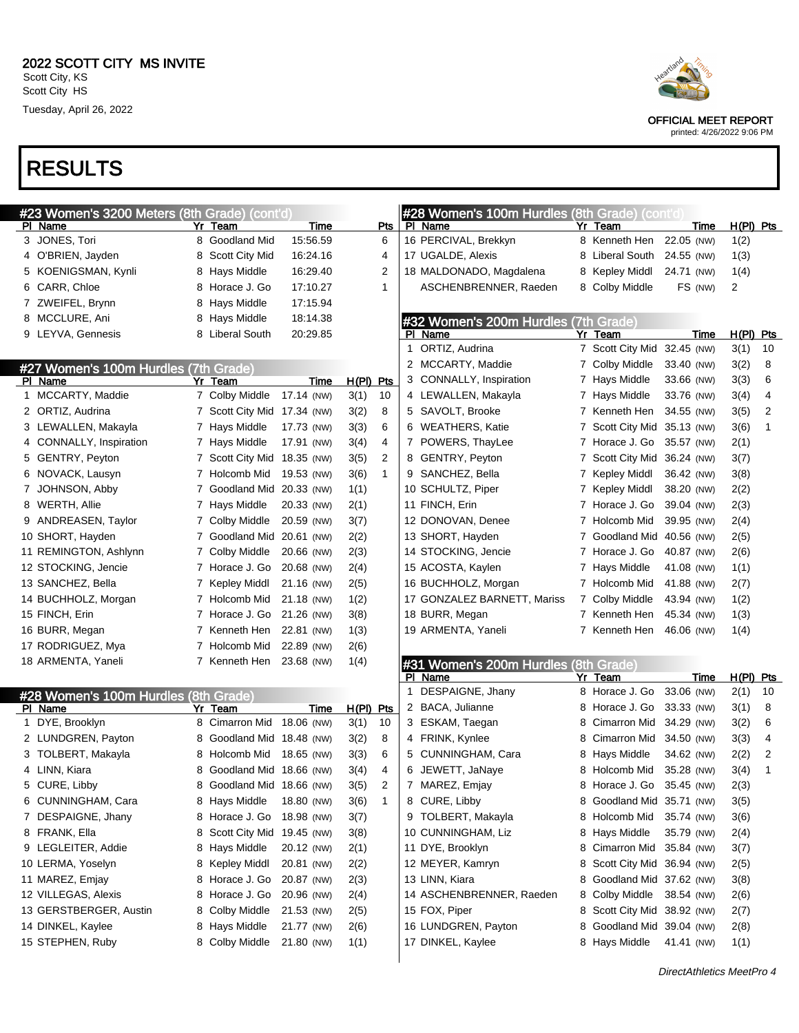| #23 Women's 3200 Meters (8th Grade) (cont'd) |                             |                    |             |              |   | #28 Women's 100m Hurdles (8th Grade) (cont'd)   |   |                                        |            |             |                     |                |
|----------------------------------------------|-----------------------------|--------------------|-------------|--------------|---|-------------------------------------------------|---|----------------------------------------|------------|-------------|---------------------|----------------|
| PI Name                                      | Yr Team                     | <b>Time</b>        |             | Pts          |   | PI Name                                         |   | Yr Team                                |            | <u>Time</u> | $H(PI)$ Pts         |                |
| 3 JONES, Tori                                | 8 Goodland Mid              | 15:56.59           |             | 6            |   | 16 PERCIVAL, Brekkyn                            |   | 8 Kenneth Hen                          | 22.05 (NW) |             | 1(2)                |                |
| 4 O'BRIEN, Jayden                            | 8 Scott City Mid            | 16:24.16           |             | 4            |   | 17 UGALDE, Alexis                               |   | 8 Liberal South                        | 24.55 (NW) |             | 1(3)                |                |
| 5 KOENIGSMAN, Kynli                          | 8 Hays Middle               | 16:29.40           |             | 2            |   | 18 MALDONADO, Magdalena                         | 8 | Kepley Middl                           | 24.71 (NW) |             | 1(4)                |                |
| 6 CARR, Chloe                                | 8 Horace J. Go              | 17:10.27           |             | 1            |   | ASCHENBRENNER, Raeden                           |   | 8 Colby Middle                         |            | FS (NW)     | 2                   |                |
| 7 ZWEIFEL, Brynn                             | 8 Hays Middle               | 17:15.94           |             |              |   |                                                 |   |                                        |            |             |                     |                |
| 8 MCCLURE, Ani                               | 8 Hays Middle               | 18:14.38           |             |              |   | #32 Women's 200m Hurdles (7th Grade)            |   |                                        |            |             |                     |                |
| 9 LEYVA, Gennesis                            | 8 Liberal South             | 20:29.85           |             |              | 1 | PI Name<br>ORTIZ, Audrina                       |   | Yr Team<br>7 Scott City Mid 32.45 (NW) |            | Time        | $H(PI)$ Pts<br>3(1) | 10             |
|                                              |                             |                    |             |              |   | 2 MCCARTY, Maddie                               |   | 7 Colby Middle                         | 33.40 (NW) |             | 3(2)                | 8              |
| #27 Women's 100m Hurdles (7th Grade)         |                             |                    |             |              |   |                                                 |   |                                        |            |             |                     | 6              |
| PI Name                                      | Yr Team                     | Time<br>17.14 (NW) | $H(PI)$ Pts |              |   | 3 CONNALLY, Inspiration                         |   | 7 Hays Middle                          | 33.66 (NW) |             | 3(3)                |                |
| 1 MCCARTY, Maddie                            | 7 Colby Middle              |                    | 3(1)        | 10           |   | 4 LEWALLEN, Makayla                             |   | 7 Hays Middle                          | 33.76 (NW) |             | 3(4)                | 4              |
| 2 ORTIZ, Audrina                             | 7 Scott City Mid 17.34 (NW) |                    | 3(2)        | 8            |   | 5 SAVOLT, Brooke                                |   | 7 Kenneth Hen                          | 34.55 (NW) |             | 3(5)                | $\overline{2}$ |
| 3 LEWALLEN, Makayla                          | 7 Hays Middle               | 17.73 (NW)         | 3(3)        | 6            |   | 6 WEATHERS, Katie                               |   | 7 Scott City Mid 35.13 (NW)            |            |             | 3(6)                | 1              |
| 4 CONNALLY, Inspiration                      | 7 Hays Middle               | 17.91 (NW)         | 3(4)        | 4            |   | 7 POWERS, ThayLee                               |   | 7 Horace J. Go                         | 35.57 (NW) |             | 2(1)                |                |
| 5 GENTRY, Peyton                             | 7 Scott City Mid 18.35 (NW) |                    | 3(5)        | 2            |   | 8 GENTRY, Peyton                                |   | 7 Scott City Mid 36.24 (NW)            |            |             | 3(7)                |                |
| 6 NOVACK, Lausyn                             | 7 Holcomb Mid               | 19.53 (NW)         | 3(6)        | $\mathbf{1}$ |   | 9 SANCHEZ, Bella                                |   | 7 Kepley Middl                         | 36.42 (NW) |             | 3(8)                |                |
| 7 JOHNSON, Abby                              | 7 Goodland Mid 20.33 (NW)   |                    | 1(1)        |              |   | 10 SCHULTZ, Piper                               |   | 7 Kepley Middl                         | 38.20 (NW) |             | 2(2)                |                |
| 8 WERTH, Allie                               | 7 Hays Middle               | 20.33 (NW)         | 2(1)        |              |   | 11 FINCH, Erin                                  |   | 7 Horace J. Go                         | 39.04 (NW) |             | 2(3)                |                |
| 9 ANDREASEN, Taylor                          | 7 Colby Middle              | 20.59 (NW)         | 3(7)        |              |   | 12 DONOVAN, Denee                               |   | 7 Holcomb Mid                          | 39.95 (NW) |             | 2(4)                |                |
| 10 SHORT, Hayden                             | 7 Goodland Mid 20.61 (NW)   |                    | 2(2)        |              |   | 13 SHORT, Hayden                                |   | 7 Goodland Mid 40.56 (NW)              |            |             | 2(5)                |                |
| 11 REMINGTON, Ashlynn                        | 7 Colby Middle              | 20.66 (NW)         | 2(3)        |              |   | 14 STOCKING, Jencie                             |   | 7 Horace J. Go                         | 40.87 (NW) |             | 2(6)                |                |
| 12 STOCKING, Jencie                          | 7 Horace J. Go              | 20.68 (NW)         | 2(4)        |              |   | 15 ACOSTA, Kaylen                               |   | 7 Hays Middle                          | 41.08 (NW) |             | 1(1)                |                |
| 13 SANCHEZ, Bella                            | 7 Kepley Middl              | 21.16 (NW)         | 2(5)        |              |   | 16 BUCHHOLZ, Morgan                             |   | 7 Holcomb Mid                          | 41.88 (NW) |             | 2(7)                |                |
| 14 BUCHHOLZ, Morgan                          | 7 Holcomb Mid               | 21.18 (NW)         | 1(2)        |              |   | 17 GONZALEZ BARNETT, Mariss                     |   | 7 Colby Middle                         | 43.94 (NW) |             | 1(2)                |                |
| 15 FINCH, Erin                               | 7 Horace J. Go              | 21.26 (NW)         | 3(8)        |              |   | 18 BURR, Megan                                  |   | 7 Kenneth Hen                          | 45.34 (NW) |             | 1(3)                |                |
| 16 BURR, Megan                               | 7 Kenneth Hen               | 22.81 (NW)         | 1(3)        |              |   | 19 ARMENTA, Yaneli                              |   | 7 Kenneth Hen                          | 46.06 (NW) |             | 1(4)                |                |
| 17 RODRIGUEZ, Mya                            | 7 Holcomb Mid               | 22.89 (NW)         | 2(6)        |              |   |                                                 |   |                                        |            |             |                     |                |
| 18 ARMENTA, Yaneli                           | 7 Kenneth Hen 23.68 (NW)    |                    | 1(4)        |              |   | #31 Women's 200m Hurdles (8th Grade)<br>PI Name |   | Yr Team                                |            | Time        | $H(PI)$ Pts         |                |
| #28 Women's 100m Hurdles (8th Grade)         |                             |                    |             |              |   | 1 DESPAIGNE, Jhany                              |   | 8 Horace J. Go                         | 33.06 (NW) |             | 2(1)                | 10             |
| PI Name                                      | Yr Team                     | Time               | $H(PI)$ Pts |              |   | 2 BACA, Julianne                                |   | 8 Horace J. Go                         | 33.33 (NW) |             | 3(1)                | 8              |
| 1 DYE, Brooklyn                              | 8 Cimarron Mid              | 18.06 (NW)         | 3(1)        | 10           |   | 3 ESKAM, Taegan                                 | 8 | Cimarron Mid                           | 34.29 (NW) |             | 3(2)                | 6              |
| 2 LUNDGREN, Payton                           | 8 Goodland Mid 18.48 (NW)   |                    | 3(2)        | 8            |   | 4 FRINK, Kynlee                                 | 8 | Cimarron Mid                           | 34.50 (NW) |             | 3(3)                | 4              |
| 3 TOLBERT, Makayla                           | 8 Holcomb Mid               | 18.65 (NW)         | 3(3)        | 6            |   | 5 CUNNINGHAM, Cara                              | 8 | Hays Middle                            | 34.62 (NW) |             | 2(2)                | 2              |
| 4 LINN, Kiara                                | 8 Goodland Mid 18.66 (NW)   |                    | 3(4)        | 4            |   | 6 JEWETT, JaNaye                                |   | 8 Holcomb Mid                          | 35.28 (NW) |             | 3(4)                | 1              |
| 5 CURE, Libby                                | 8 Goodland Mid 18.66 (NW)   |                    | 3(5)        | 2            |   | 7 MAREZ, Emjay                                  |   | 8 Horace J. Go                         | 35.45 (NW) |             | 2(3)                |                |
| 6 CUNNINGHAM, Cara                           | 8 Hays Middle               | 18.80 (NW)         | 3(6)        | $\mathbf{1}$ |   | 8 CURE, Libby                                   |   | 8 Goodland Mid 35.71 (NW)              |            |             | 3(5)                |                |
| 7 DESPAIGNE, Jhany                           | 8 Horace J. Go              | 18.98 (NW)         | 3(7)        |              |   | 9 TOLBERT, Makayla                              | 8 | Holcomb Mid                            | 35.74 (NW) |             | 3(6)                |                |
| 8 FRANK, Ella                                | 8 Scott City Mid 19.45 (NW) |                    | 3(8)        |              |   | 10 CUNNINGHAM, Liz                              | 8 | Hays Middle                            | 35.79 (NW) |             | 2(4)                |                |
| 9 LEGLEITER, Addie                           | 8 Hays Middle               | 20.12 (NW)         | 2(1)        |              |   | 11 DYE, Brooklyn                                | 8 | Cimarron Mid                           | 35.84 (NW) |             | 3(7)                |                |
| 10 LERMA, Yoselyn                            | 8 Kepley Middl              | 20.81 (NW)         | 2(2)        |              |   | 12 MEYER, Kamryn                                | 8 | Scott City Mid 36.94 (NW)              |            |             | 2(5)                |                |
| 11 MAREZ, Emjay                              | 8 Horace J. Go              | 20.87 (NW)         | 2(3)        |              |   | 13 LINN, Kiara                                  | 8 | Goodland Mid 37.62 (NW)                |            |             | 3(8)                |                |
| 12 VILLEGAS, Alexis                          | 8 Horace J. Go              | 20.96 (NW)         | 2(4)        |              |   | 14 ASCHENBRENNER, Raeden                        | 8 | Colby Middle                           | 38.54 (NW) |             | 2(6)                |                |
| 13 GERSTBERGER, Austin                       | 8 Colby Middle              | 21.53 (NW)         | 2(5)        |              |   | 15 FOX, Piper                                   | 8 | Scott City Mid 38.92 (NW)              |            |             |                     |                |
| 14 DINKEL, Kaylee                            | 8 Hays Middle               | 21.77 (NW)         | 2(6)        |              |   | 16 LUNDGREN, Payton                             | 8 | Goodland Mid 39.04 (NW)                |            |             | 2(7)<br>2(8)        |                |
| 15 STEPHEN, Ruby                             | 8 Colby Middle              | 21.80 (NW)         | 1(1)        |              |   | 17 DINKEL, Kaylee                               |   | 8 Hays Middle                          | 41.41 (NW) |             | 1(1)                |                |
|                                              |                             |                    |             |              |   |                                                 |   |                                        |            |             |                     |                |



OFFICIAL MEET REPORT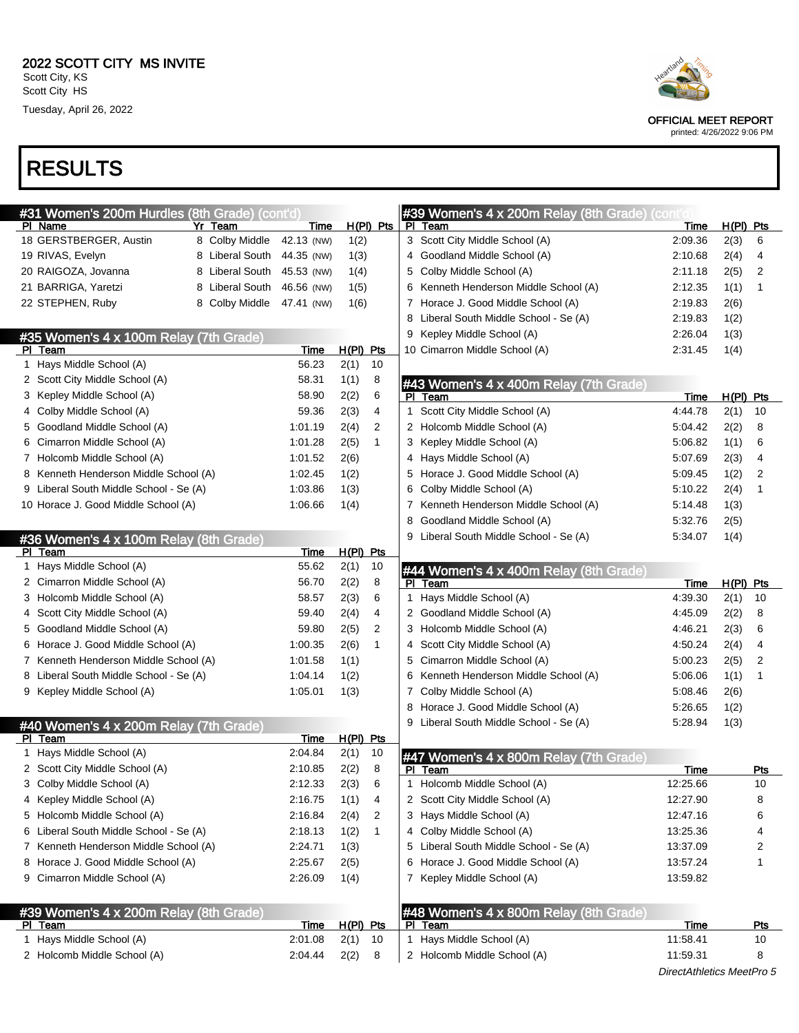| #31 Women's 200m Hurdles (8th Grade) (cont'd |                 |             |             |              |   | #39 Women's 4 x 200m Relay (8th Grade) (con |             |             |            |
|----------------------------------------------|-----------------|-------------|-------------|--------------|---|---------------------------------------------|-------------|-------------|------------|
| PI Name                                      | Yr Team         | Time        |             | $H(PI)$ Pts  |   | PI Team                                     | Time        | $H(PI)$ Pts |            |
| 18 GERSTBERGER, Austin                       | 8 Colby Middle  | 42.13 (NW)  | 1(2)        |              |   | 3 Scott City Middle School (A)              | 2:09.36     | 2(3)        | 6          |
| 19 RIVAS, Evelyn                             | 8 Liberal South | 44.35 (NW)  | 1(3)        |              |   | 4 Goodland Middle School (A)                | 2:10.68     | 2(4)        | 4          |
| 20 RAIGOZA, Jovanna                          | 8 Liberal South | 45.53 (NW)  | 1(4)        |              |   | 5 Colby Middle School (A)                   | 2:11.18     | 2(5)        | 2          |
| 21 BARRIGA, Yaretzi                          | 8 Liberal South | 46.56 (NW)  | 1(5)        |              |   | 6 Kenneth Henderson Middle School (A)       | 2:12.35     | 1(1)        |            |
| 22 STEPHEN, Ruby                             | 8 Colby Middle  | 47.41 (NW)  | 1(6)        |              |   | 7 Horace J. Good Middle School (A)          | 2:19.83     | 2(6)        |            |
|                                              |                 |             |             |              |   | 8 Liberal South Middle School - Se (A)      | 2:19.83     | 1(2)        |            |
| #35 Women's 4 x 100m Relay (7th Grade)       |                 |             |             |              |   | 9 Kepley Middle School (A)                  | 2:26.04     | 1(3)        |            |
| PI Team                                      |                 | <b>Time</b> | H(PI) Pts   |              |   | 10 Cimarron Middle School (A)               | 2:31.45     | 1(4)        |            |
| 1 Hays Middle School (A)                     |                 | 56.23       | 2(1)        | 10           |   |                                             |             |             |            |
| 2 Scott City Middle School (A)               |                 | 58.31       | 1(1)        | 8            |   | #43 Women's 4 x 400m Relay (7th Grade)      |             |             |            |
| 3 Kepley Middle School (A)                   |                 | 58.90       | 2(2)        | 6            |   | PI Team                                     | <u>Time</u> | H(PI) Pts   |            |
| 4 Colby Middle School (A)                    |                 | 59.36       | 2(3)        | 4            | 1 | Scott City Middle School (A)                | 4:44.78     | 2(1)        | 10         |
| 5 Goodland Middle School (A)                 |                 | 1:01.19     | 2(4)        | 2            |   | 2 Holcomb Middle School (A)                 | 5:04.42     | 2(2)        | 8          |
| 6 Cimarron Middle School (A)                 |                 | 1:01.28     | 2(5)        | $\mathbf{1}$ |   | 3 Kepley Middle School (A)                  | 5:06.82     | 1(1)        | 6          |
| 7 Holcomb Middle School (A)                  |                 | 1:01.52     | 2(6)        |              |   | 4 Hays Middle School (A)                    | 5:07.69     | 2(3)        | 4          |
| 8 Kenneth Henderson Middle School (A)        |                 | 1:02.45     | 1(2)        |              |   | 5 Horace J. Good Middle School (A)          | 5:09.45     | 1(2)        | 2          |
| 9 Liberal South Middle School - Se (A)       |                 | 1:03.86     | 1(3)        |              |   | 6 Colby Middle School (A)                   | 5:10.22     | 2(4)        | 1          |
| 10 Horace J. Good Middle School (A)          |                 | 1:06.66     | 1(4)        |              | 7 | Kenneth Henderson Middle School (A)         | 5:14.48     | 1(3)        |            |
|                                              |                 |             |             |              | 8 | Goodland Middle School (A)                  | 5:32.76     | 2(5)        |            |
| #36 Women's 4 x 100m Relay (8th Grade)       |                 |             |             |              |   | Liberal South Middle School - Se (A)        | 5:34.07     | 1(4)        |            |
| PI Team                                      |                 | Time        | $H(PI)$ Pts |              |   |                                             |             |             |            |
| 1 Hays Middle School (A)                     |                 | 55.62       | 2(1)        | 10           |   | #44 Women's 4 x 400m Relay (8th Grade)      |             |             |            |
| 2 Cimarron Middle School (A)                 |                 | 56.70       | 2(2)        | 8            |   | PI Team                                     | Time        | $H(PI)$ Pts |            |
| 3 Holcomb Middle School (A)                  |                 | 58.57       | 2(3)        | 6            | 1 | Hays Middle School (A)                      | 4:39.30     | 2(1)        | 10         |
| 4 Scott City Middle School (A)               |                 | 59.40       | 2(4)        | 4            |   | 2 Goodland Middle School (A)                | 4:45.09     | 2(2)        | 8          |
| 5 Goodland Middle School (A)                 |                 | 59.80       | 2(5)        | 2            |   | 3 Holcomb Middle School (A)                 | 4:46.21     | 2(3)        | 6          |
| 6 Horace J. Good Middle School (A)           |                 | 1:00.35     | 2(6)        | $\mathbf{1}$ |   | 4 Scott City Middle School (A)              | 4:50.24     | 2(4)        | 4          |
| 7 Kenneth Henderson Middle School (A)        |                 | 1:01.58     | 1(1)        |              | 5 | Cimarron Middle School (A)                  | 5:00.23     | 2(5)        | 2          |
| 8 Liberal South Middle School - Se (A)       |                 | 1:04.14     | 1(2)        |              | 6 | Kenneth Henderson Middle School (A)         | 5:06.06     | 1(1)        | 1          |
| 9 Kepley Middle School (A)                   |                 | 1:05.01     | 1(3)        |              | 7 | Colby Middle School (A)                     | 5:08.46     | 2(6)        |            |
|                                              |                 |             |             |              | 8 | Horace J. Good Middle School (A)            | 5:26.65     | 1(2)        |            |
| #40 Women's 4 x 200m Relay (7th Grade)       |                 |             |             |              |   | 9 Liberal South Middle School - Se (A)      | 5:28.94     | 1(3)        |            |
| PI Team                                      |                 | Time        | $H(PI)$ Pts |              |   |                                             |             |             |            |
| 1 Hays Middle School (A)                     |                 | 2:04.84     | 2(1)        | 10           |   | #47 Women's 4 x 800m Relay (7th Grade)      |             |             |            |
| 2 Scott City Middle School (A)               |                 | 2:10.85     | 2(2)        | 8            |   | PI Team                                     | Time        |             | Pts        |
| 3 Colby Middle School (A)                    |                 | 2:12.33     | 2(3)        | 6            | 1 | Holcomb Middle School (A)                   | 12:25.66    |             | 10         |
| 4 Kepley Middle School (A)                   |                 | 2:16.75     | 1(1)        | 4            |   | 2 Scott City Middle School (A)              | 12:27.90    |             | 8          |
| 5 Holcomb Middle School (A)                  |                 | 2:16.84     | 2(4)        | 2            |   | 3 Hays Middle School (A)                    | 12:47.16    |             | 6          |
| 6 Liberal South Middle School - Se (A)       |                 | 2:18.13     | 1(2)        | 1            |   | 4 Colby Middle School (A)                   | 13:25.36    |             | 4          |
| 7 Kenneth Henderson Middle School (A)        |                 | 2:24.71     | 1(3)        |              |   | 5 Liberal South Middle School - Se (A)      | 13:37.09    |             | 2          |
| 8 Horace J. Good Middle School (A)           |                 | 2:25.67     | 2(5)        |              |   | 6 Horace J. Good Middle School (A)          | 13:57.24    |             | 1          |
| 9 Cimarron Middle School (A)                 |                 | 2:26.09     | 1(4)        |              |   | 7 Kepley Middle School (A)                  | 13:59.82    |             |            |
|                                              |                 |             |             |              |   |                                             |             |             |            |
| #39 Women's 4 x 200m Relay (8th Grade)       |                 |             |             |              |   | #48 Women's 4 x 800m Relay (8th Grade)      |             |             |            |
| PI Team                                      |                 | <u>Time</u> | H(PI) Pts   |              |   | PI Team                                     | <b>Time</b> |             | <b>Pts</b> |
| 1 Hays Middle School (A)                     |                 | 2:01.08     | 2(1)        | 10           |   | 1 Hays Middle School (A)                    | 11:58.41    |             | 10         |
| 2 Holcomb Middle School (A)                  |                 | 2:04.44     | 2(2)        | 8            |   | 2 Holcomb Middle School (A)                 | 11:59.31    |             | 8          |
|                                              |                 |             |             |              |   |                                             |             |             |            |



OFFICIAL MEET REPORT

printed: 4/26/2022 9:06 PM

DirectAthletics MeetPro 5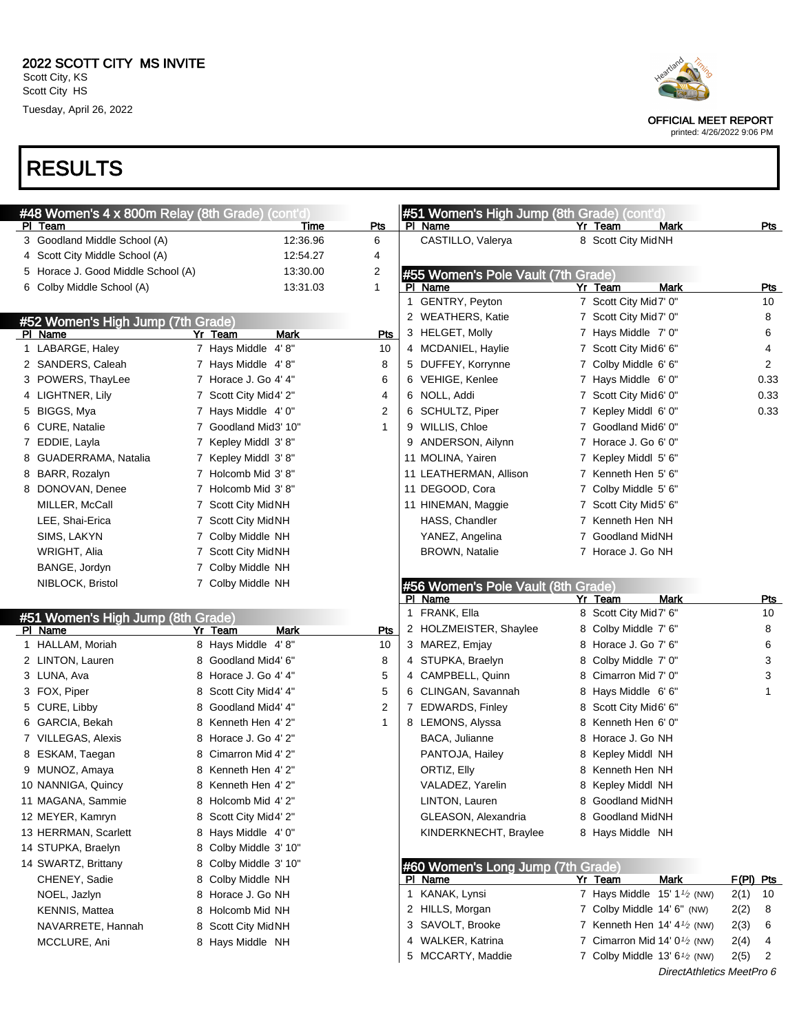





OFFICIAL MEET REPORT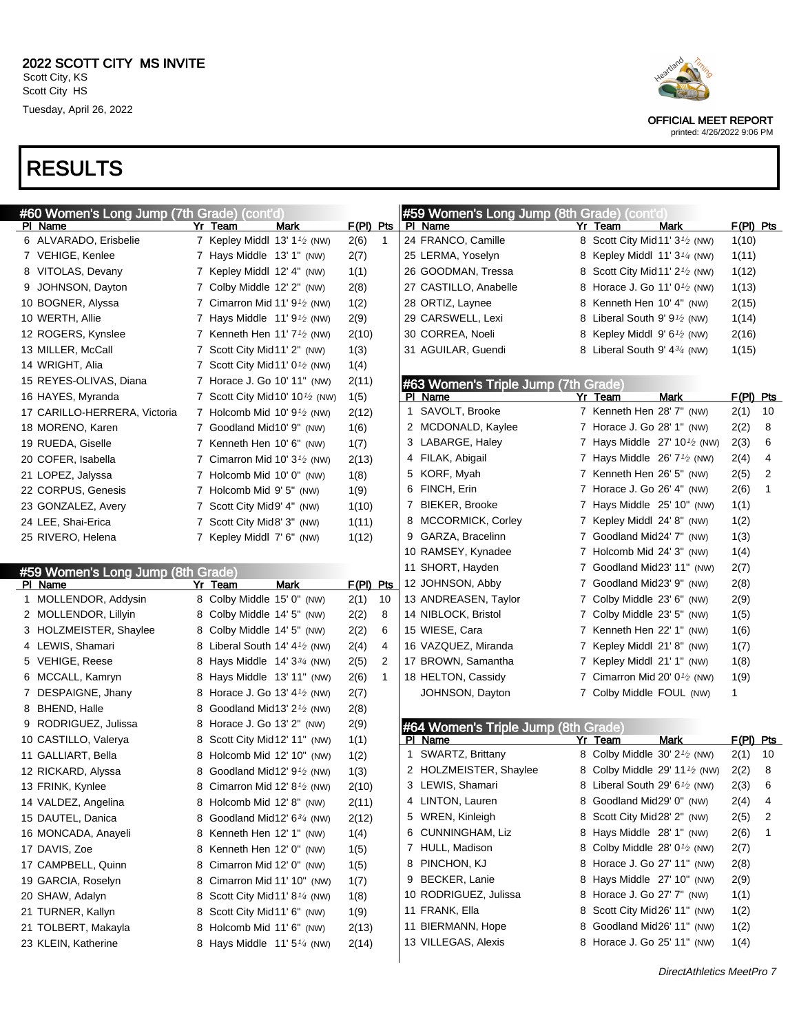| #60 Women's Long Jump (7th Grade) (cont'd)   |   |                                                       |                      | #59 Women's Long Jump (8th Grade) (cont'd) |   |                                                                          |                   |                |
|----------------------------------------------|---|-------------------------------------------------------|----------------------|--------------------------------------------|---|--------------------------------------------------------------------------|-------------------|----------------|
| PI Name                                      |   | Mark<br>Yr Team                                       | $F(PI)$ Pts          | PI Name                                    |   | Mark<br>Yr Team                                                          | F(PI) Pts         |                |
| 6 ALVARADO, Erisbelie                        |   | 7 Kepley Middl 13' $1\frac{1}{2}$ (NW)                | 2(6)<br>$\mathbf{1}$ | 24 FRANCO, Camille                         |   | 8 Scott City Mid 11' 3 <sup>1</sup> / <sub>2</sub> (NW)                  | 1(10)             |                |
| 7 VEHIGE, Kenlee                             |   | 7 Hays Middle 13' 1" (NW)                             | 2(7)                 | 25 LERMA, Yoselyn                          |   | 8 Kepley Middl 11' 3 <sup>1</sup> / <sub>4</sub> (NW)                    | 1(11)             |                |
| 8 VITOLAS, Devany                            |   | 7 Kepley Middl 12' 4" (NW)                            | 1(1)                 | 26 GOODMAN, Tressa                         | 8 | Scott City Mid 11' $2\frac{1}{2}$ (NW)                                   | 1(12)             |                |
| 9 JOHNSON, Dayton                            |   | 7 Colby Middle 12' 2" (NW)                            | 2(8)                 | 27 CASTILLO, Anabelle                      |   | 8 Horace J. Go 11' $0\frac{1}{2}$ (NW)                                   | 1(13)             |                |
| 10 BOGNER, Alyssa                            |   | 7 Cimarron Mid 11' $91$ (NW)                          | 1(2)                 | 28 ORTIZ, Laynee                           | 8 | Kenneth Hen 10' 4" (NW)                                                  | 2(15)             |                |
| 10 WERTH, Allie                              |   | 7 Hays Middle 11' 9 <sup>1</sup> / <sub>2</sub> (NW)  | 2(9)                 | 29 CARSWELL, Lexi                          | 8 | Liberal South 9' $9\frac{1}{2}$ (NW)                                     | 1(14)             |                |
| 12 ROGERS, Kynslee                           |   | 7 Kenneth Hen 11' $7\frac{1}{2}$ (NW)                 | 2(10)                | 30 CORREA, Noeli                           | 8 | Kepley Middl $9'6\frac{1}{2}$ (NW)                                       | 2(16)             |                |
| 13 MILLER, McCall                            |   | 7 Scott City Mid11' 2" (NW)                           | 1(3)                 | 31 AGUILAR, Guendi                         |   | Liberal South 9' $4\frac{3}{4}$ (NW)                                     | 1(15)             |                |
| 14 WRIGHT, Alia                              |   | 7 Scott City Mid 11' $0\frac{1}{2}$ (NW)              | 1(4)                 |                                            |   |                                                                          |                   |                |
| 15 REYES-OLIVAS, Diana                       |   | 7 Horace J. Go 10' 11" (NW)                           | 2(11)                | #63 Women's Triple Jump (7th Grade)        |   |                                                                          |                   |                |
| 16 HAYES, Myranda                            |   | 7 Scott City Mid 10' $10\frac{1}{2}$ (NW)             | 1(5)                 | PI Name                                    |   | Mark<br>Yr Team                                                          | F(PI) Pts         |                |
| 17 CARILLO-HERRERA, Victoria                 |   | 7 Holcomb Mid 10' $9\frac{1}{2}$ (NW)                 | 2(12)                | 1 SAVOLT, Brooke                           |   | 7 Kenneth Hen 28' 7" (NW)                                                | 2(1)              | 10             |
| 18 MORENO, Karen                             |   | 7 Goodland Mid10' 9" (NW)                             | 1(6)                 | 2 MCDONALD, Kaylee                         |   | 7 Horace J. Go 28' 1" (NW)                                               | 2(2)              | - 8            |
| 19 RUEDA, Giselle                            |   | 7 Kenneth Hen 10' 6" (NW)                             | 1(7)                 | 3 LABARGE, Haley                           |   | 7 Hays Middle $27'$ 10 <sup>1</sup> / <sub>2</sub> (NW)                  | 2(3)              | 6              |
| 20 COFER, Isabella                           |   | 7 Cimarron Mid 10' $3\frac{1}{2}$ (NW)                | 2(13)                | 4 FILAK, Abigail                           |   | 7 Hays Middle $26'7'$ (NW)                                               | 2(4)              | $\overline{4}$ |
| 21 LOPEZ, Jalyssa                            |   | 7 Holcomb Mid 10' 0" (NW)                             | 1(8)                 | 5 KORF, Myah                               |   | 7 Kenneth Hen 26' 5" (NW)                                                | 2(5)              | $\overline{2}$ |
| 22 CORPUS, Genesis                           |   | 7 Holcomb Mid 9' 5" (NW)                              | 1(9)                 | 6 FINCH, Erin                              |   | 7 Horace J. Go 26' 4" (NW)                                               | 2(6)              | $\mathbf{1}$   |
| 23 GONZALEZ, Avery                           |   | 7 Scott City Mid9' 4" (NW)                            | 1(10)                | 7 BIEKER, Brooke                           |   | 7 Hays Middle 25' 10" (NW)                                               | 1(1)              |                |
| 24 LEE, Shai-Erica                           |   | 7 Scott City Mid8' 3" (NW)                            | 1(11)                | 8 MCCORMICK, Corley                        |   | 7 Kepley Middl 24' 8" (NW)                                               | 1(2)              |                |
| 25 RIVERO, Helena                            |   | 7 Kepley Middl 7' 6" (NW)                             | 1(12)                | 9 GARZA, Bracelinn                         |   | 7 Goodland Mid24' 7" (NW)                                                | 1(3)              |                |
|                                              |   |                                                       |                      | 10 RAMSEY, Kynadee                         |   | 7 Holcomb Mid 24' 3" (NW)                                                | 1(4)              |                |
|                                              |   |                                                       |                      | 11 SHORT, Hayden                           |   | Goodland Mid23' 11" (NW)                                                 | 2(7)              |                |
| #59 Women's Long Jump (8th Grade)<br>PI Name |   | Mark<br>Yr Team                                       | $F(PI)$ Pts          | 12 JOHNSON, Abby                           |   | Goodland Mid23' 9" (NW)                                                  | 2(8)              |                |
| 1 MOLLENDOR, Addysin                         |   | 8 Colby Middle 15' 0" (NW)                            | 2(1)<br>10           | 13 ANDREASEN, Taylor                       |   | 7 Colby Middle 23' 6" (NW)                                               | 2(9)              |                |
| 2 MOLLENDOR, Lillyin                         |   | 8 Colby Middle 14' 5" (NW)                            | 8<br>2(2)            | 14 NIBLOCK, Bristol                        |   | 7 Colby Middle 23' 5" (NW)                                               | 1(5)              |                |
| 3 HOLZMEISTER, Shaylee                       |   | 8 Colby Middle 14' 5" (NW)                            | 6<br>2(2)            | 15 WIESE, Cara                             |   | 7 Kenneth Hen 22' 1" (NW)                                                | 1(6)              |                |
| 4 LEWIS, Shamari                             |   | 8 Liberal South 14' $4\frac{1}{2}$ (NW)               | 4<br>2(4)            | 16 VAZQUEZ, Miranda                        |   | 7 Kepley Middl 21'8" (NW)                                                | 1(7)              |                |
| 5 VEHIGE, Reese                              |   | 8 Hays Middle $14'3^{3/4}$ (NW)                       | 2<br>2(5)            | 17 BROWN, Samantha                         |   | 7 Kepley Middl 21' 1" (NW)                                               | 1(8)              |                |
| 6 MCCALL, Kamryn                             |   | 8 Hays Middle 13' 11" (NW)                            | 2(6)<br>1            | 18 HELTON, Cassidy                         |   | Cimarron Mid 20' $0\frac{1}{2}$ (NW)                                     | 1(9)              |                |
| 7 DESPAIGNE, Jhany                           |   | 8 Horace J. Go 13' 4 <sup>1</sup> / <sub>2</sub> (NW) |                      | JOHNSON, Dayton                            |   |                                                                          | 1                 |                |
|                                              |   | 8 Goodland Mid13' 2 <sup>1</sup> / <sub>2</sub> (NW)  | 2(7)                 |                                            |   | 7 Colby Middle FOUL (NW)                                                 |                   |                |
| 8 BHEND, Halle                               |   |                                                       | 2(8)                 |                                            |   |                                                                          |                   |                |
| 9 RODRIGUEZ, Julissa                         |   | 8 Horace J. Go 13' 2" (NW)                            | 2(9)                 | #64 Women's Triple Jump (8th Grade)        |   |                                                                          |                   |                |
| 10 CASTILLO, Valerya                         |   | 8 Scott City Mid 12' 11" (NW)                         | 1(1)                 | PI Name<br>1 SWARTZ, Brittany              |   | Mark<br>Yr Team<br>8 Colby Middle 30' 2 <sup>1</sup> / <sub>2</sub> (NW) | F(PI) Pts<br>2(1) | - 10           |
| 11 GALLIART, Bella                           |   | 8 Holcomb Mid 12' 10" (NW)                            | 1(2)                 | 2 HOLZMEISTER, Shaylee                     |   |                                                                          |                   | - 8            |
| 12 RICKARD, Alyssa                           |   | 8 Goodland Mid12' $9\frac{1}{2}$ (NW)                 | 1(3)                 | 3 LEWIS, Shamari                           |   | 8 Colby Middle 29' 11 $\frac{1}{2}$ (NW)                                 | 2(2)              |                |
| 13 FRINK, Kynlee                             |   | Cimarron Mid 12' 8 $1/2$ (NW)                         | 2(10)                |                                            |   | 8 Liberal South 29' 6 <sup>1</sup> / <sub>2</sub> (NW)                   | 2(3)              | - 6            |
| 14 VALDEZ, Angelina                          |   | 8 Holcomb Mid 12' 8" (NW)                             | 2(11)                | 4 LINTON, Lauren                           |   | 8 Goodland Mid29' 0" (NW)                                                | 2(4)              | 4              |
| 15 DAUTEL, Danica                            |   | 8 Goodland Mid12' $6\frac{3}{4}$ (NW)                 | 2(12)                | 5 WREN, Kinleigh                           |   | 8 Scott City Mid28' 2" (NW)                                              | 2(5)              | 2              |
| 16 MONCADA, Anayeli                          |   | 8 Kenneth Hen 12' 1" (NW)                             | 1(4)                 | 6 CUNNINGHAM, Liz                          |   | 8 Hays Middle 28' 1" (NW)                                                | 2(6)              | $\mathbf{1}$   |
| 17 DAVIS, Zoe                                |   | 8 Kenneth Hen 12' 0" (NW)                             | 1(5)                 | 7 HULL, Madison                            |   | 8 Colby Middle 28' 0 <sup>1</sup> / <sub>2</sub> (NW)                    | 2(7)              |                |
| 17 CAMPBELL, Quinn                           |   | 8 Cimarron Mid 12' 0" (NW)                            | 1(5)                 | 8 PINCHON, KJ                              |   | 8 Horace J. Go 27' 11" (NW)                                              | 2(8)              |                |
| 19 GARCIA, Roselyn                           | 8 | Cimarron Mid 11' 10" (NW)                             | 1(7)                 | 9 BECKER, Lanie                            |   | 8 Hays Middle 27' 10" (NW)                                               | 2(9)              |                |
| 20 SHAW, Adalyn                              |   | 8 Scott City Mid11' 8 <sup>1/4</sup> (NW)             | 1(8)                 | 10 RODRIGUEZ, Julissa                      |   | 8 Horace J. Go 27' 7" (NW)                                               | 1(1)              |                |
| 21 TURNER, Kallyn                            |   | 8 Scott City Mid11' 6" (NW)                           | 1(9)                 | 11 FRANK, Ella                             | 8 | Scott City Mid26' 11" (NW)                                               | 1(2)              |                |
| 21 TOLBERT, Makayla                          |   | 8 Holcomb Mid 11' 6" (NW)                             | 2(13)                | 11 BIERMANN, Hope                          | 8 | Goodland Mid26' 11" (NW)                                                 | 1(2)              |                |
| 23 KLEIN, Katherine                          |   | 8 Hays Middle $11'5\frac{1}{4}$ (NW)                  | 2(14)                | 13 VILLEGAS, Alexis                        |   | 8 Horace J. Go 25' 11" (NW)                                              | 1(4)              |                |

OFFICIAL MEET REPORT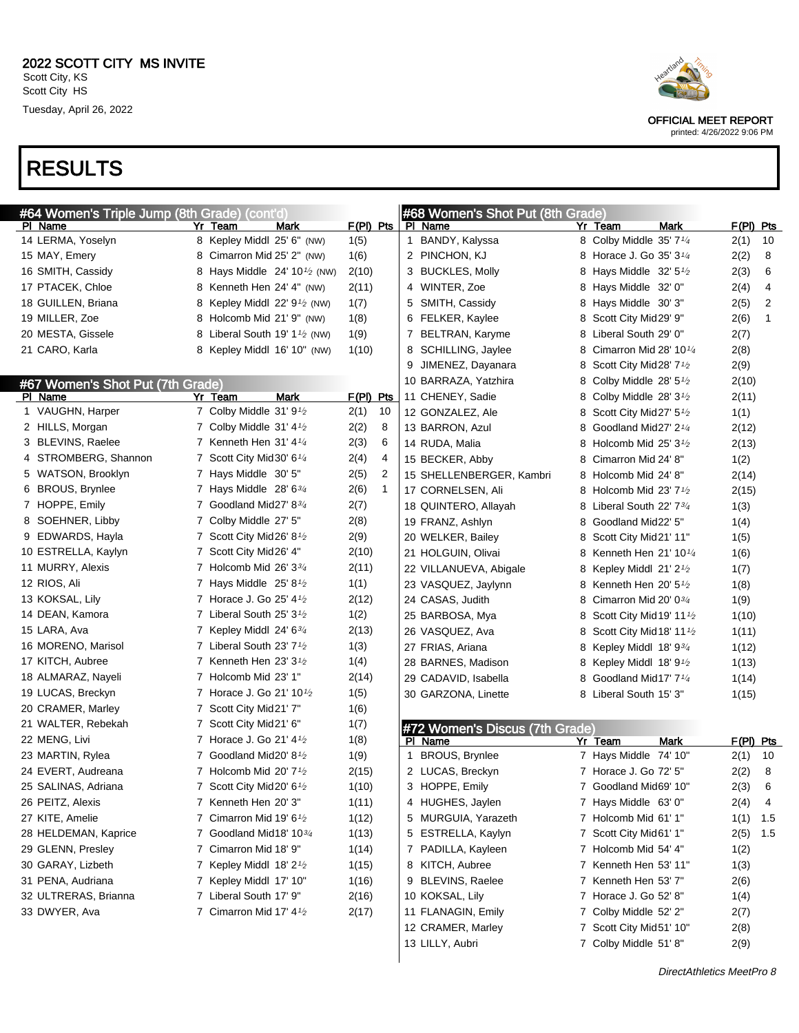| #64 Women's Triple Jump (8th Grade) (cont'd) |  |                                                        |             |                | #68 Women's Shot Put (8th Grade) |                                |   |                                                   |             |             |     |
|----------------------------------------------|--|--------------------------------------------------------|-------------|----------------|----------------------------------|--------------------------------|---|---------------------------------------------------|-------------|-------------|-----|
| PI Name                                      |  | Yr Team<br>Mark                                        | F(PI) Pts   |                |                                  | PI Name                        |   | Yr Team                                           | Mark        | $F(PI)$ Pts |     |
| 14 LERMA, Yoselyn                            |  | 8 Kepley Middl 25' 6" (NW)                             | 1(5)        |                |                                  | 1 BANDY, Kalyssa               |   | 8 Colby Middle 35' 7 <sup>1/4</sup>               |             | 2(1)        | 10  |
| 15 MAY, Emery                                |  | 8 Cimarron Mid 25' 2" (NW)                             | 1(6)        |                |                                  | 2 PINCHON, KJ                  |   | 8 Horace J. Go 35' 3 <sup>1/4</sup>               |             | 2(2)        | 8   |
| 16 SMITH, Cassidy                            |  | 8 Hays Middle $24' 10^{1/2}$ (NW)                      | 2(10)       |                |                                  | 3 BUCKLES, Molly               |   | 8 Hays Middle $32'5\frac{1}{2}$                   |             | 2(3)        | 6   |
| 17 PTACEK, Chloe                             |  | 8 Kenneth Hen 24' 4" (NW)                              | 2(11)       |                |                                  | 4 WINTER, Zoe                  |   | 8 Hays Middle 32' 0"                              |             | 2(4)        | 4   |
| 18 GUILLEN, Briana                           |  | 8 Kepley Middl 22' $91$ (NW)                           | 1(7)        |                |                                  | 5 SMITH, Cassidy               |   | 8 Hays Middle 30'3"                               |             | 2(5)        | 2   |
| 19 MILLER, Zoe                               |  | 8 Holcomb Mid 21' 9" (NW)                              | 1(8)        |                |                                  | 6 FELKER, Kaylee               | 8 | Scott City Mid29' 9"                              |             | 2(6)        | 1   |
| 20 MESTA, Gissele                            |  | 8 Liberal South 19' 1 <sup><math>1/2</math></sup> (NW) | 1(9)        |                |                                  | 7 BELTRAN, Karyme              |   | 8 Liberal South 29' 0"                            |             | 2(7)        |     |
| 21 CARO, Karla                               |  | 8 Kepley Middl 16' 10" (NW)                            | 1(10)       |                |                                  | 8 SCHILLING, Jaylee            | 8 | Cimarron Mid 28' 10 $\frac{1}{4}$                 |             | 2(8)        |     |
|                                              |  |                                                        |             |                | 9                                | JIMENEZ, Dayanara              | 8 | Scott City Mid28' $7\frac{1}{2}$                  |             | 2(9)        |     |
| #67 Women's Shot Put (7th Grade)             |  |                                                        |             |                |                                  | 10 BARRAZA, Yatzhira           | 8 | Colby Middle 28' $5\frac{1}{2}$                   |             | 2(10)       |     |
| PI Name                                      |  | <b>Mark</b><br>Yr Team                                 | $F(PI)$ Pts |                |                                  | 11 CHENEY, Sadie               |   | 8 Colby Middle 28' $3\frac{1}{2}$                 |             | 2(11)       |     |
| 1 VAUGHN, Harper                             |  | 7 Colby Middle 31' 9 <sup>1</sup> /2                   | 2(1)        | 10             |                                  | 12 GONZALEZ, Ale               | 8 | Scott City Mid27' $5\frac{1}{2}$                  |             | 1(1)        |     |
| 2 HILLS, Morgan                              |  | 7 Colby Middle 31' 4 <sup>1</sup> / <sub>2</sub>       | 2(2)        | 8              |                                  | 13 BARRON, Azul                | 8 | Goodland Mid27' 2 <sup>1/4</sup>                  |             | 2(12)       |     |
| 3 BLEVINS, Raelee                            |  | 7 Kenneth Hen $31'$ 4 $\frac{1}{4}$                    | 2(3)        | 6              |                                  | 14 RUDA, Malia                 |   | 8 Holcomb Mid 25' $3\frac{1}{2}$                  |             | 2(13)       |     |
| 4 STROMBERG, Shannon                         |  | 7 Scott City Mid 30' 6 <sup>1/4</sup>                  | 2(4)        | 4              |                                  | 15 BECKER, Abby                | 8 | Cimarron Mid 24' 8"                               |             | 1(2)        |     |
| 5 WATSON, Brooklyn                           |  | 7 Hays Middle 30' 5"                                   | 2(5)        | $\overline{2}$ |                                  | 15 SHELLENBERGER, Kambri       |   | 8 Holcomb Mid 24' 8"                              |             | 2(14)       |     |
| 6 BROUS, Brynlee                             |  | 7 Hays Middle $28'6\frac{3}{4}$                        | 2(6)        | $\mathbf{1}$   |                                  | 17 CORNELSEN, Ali              |   | 8 Holcomb Mid 23' $7\frac{1}{2}$                  |             | 2(15)       |     |
| 7 HOPPE, Emily                               |  | 7 Goodland Mid27' $8\frac{3}{4}$                       | 2(7)        |                |                                  | 18 QUINTERO, Allayah           |   | 8 Liberal South 22' 7 <sup>3</sup> / <sub>4</sub> |             | 1(3)        |     |
| 8 SOEHNER, Libby                             |  | 7 Colby Middle 27' 5"                                  | 2(8)        |                |                                  | 19 FRANZ, Ashlyn               | 8 | Goodland Mid22' 5"                                |             | 1(4)        |     |
| 9 EDWARDS, Hayla                             |  | 7 Scott City Mid26' 8 <sup><math>1/2</math></sup>      | 2(9)        |                |                                  | 20 WELKER, Bailey              | 8 | Scott City Mid21' 11"                             |             | 1(5)        |     |
| 10 ESTRELLA, Kaylyn                          |  | 7 Scott City Mid26' 4"                                 | 2(10)       |                |                                  | 21 HOLGUIN, Olivai             | 8 | Kenneth Hen 21' 10 $\frac{1}{4}$                  |             | 1(6)        |     |
| 11 MURRY, Alexis                             |  | 7 Holcomb Mid 26' $3\frac{3}{4}$                       | 2(11)       |                |                                  | 22 VILLANUEVA, Abigale         |   | 8 Kepley Middl 21' 2 $\frac{1}{2}$                |             | 1(7)        |     |
| 12 RIOS, Ali                                 |  | 7 Hays Middle $25'8\frac{1}{2}$                        | 1(1)        |                |                                  | 23 VASQUEZ, Jaylynn            |   | 8 Kenneth Hen 20' 5 <sup>1</sup> /2               |             | 1(8)        |     |
| 13 KOKSAL, Lily                              |  | 7 Horace J. Go 25' 4 <sup>1</sup> / <sub>2</sub>       | 2(12)       |                |                                  | 24 CASAS, Judith               | 8 | Cimarron Mid 20' $0\frac{3}{4}$                   |             | 1(9)        |     |
| 14 DEAN, Kamora                              |  | 7 Liberal South 25' 3 <sup>1</sup> / <sub>2</sub>      | 1(2)        |                |                                  | 25 BARBOSA, Mya                | 8 | Scott City Mid 19' 11 <sup><math>1/2</math></sup> |             | 1(10)       |     |
| 15 LARA, Ava                                 |  | 7 Kepley Middl 24' $6\frac{3}{4}$                      | 2(13)       |                |                                  | 26 VASQUEZ, Ava                | 8 | Scott City Mid 18' 11' $\frac{1}{2}$              |             | 1(11)       |     |
| 16 MORENO, Marisol                           |  | 7 Liberal South 23' 7 <sup>1</sup> / <sub>2</sub>      | 1(3)        |                |                                  | 27 FRIAS, Ariana               | 8 | Kepley Middl 18' $9\frac{3}{4}$                   |             | 1(12)       |     |
| 17 KITCH, Aubree                             |  | 7 Kenneth Hen 23' $3\frac{1}{2}$                       | 1(4)        |                |                                  | 28 BARNES, Madison             |   | 8 Kepley Middl 18' $9\frac{1}{2}$                 |             | 1(13)       |     |
| 18 ALMARAZ, Nayeli                           |  | 7 Holcomb Mid 23' 1"                                   | 2(14)       |                |                                  | 29 CADAVID, Isabella           |   | 8 Goodland Mid17' 7 <sup>1/4</sup>                |             | 1(14)       |     |
| 19 LUCAS, Breckyn                            |  | 7 Horace J. Go 21' 10 <sup>1</sup> /2                  | 1(5)        |                |                                  | 30 GARZONA, Linette            |   | 8 Liberal South 15' 3"                            |             | 1(15)       |     |
| 20 CRAMER, Marley                            |  | 7 Scott City Mid21' 7"                                 | 1(6)        |                |                                  |                                |   |                                                   |             |             |     |
| 21 WALTER, Rebekah                           |  | 7 Scott City Mid21' 6"                                 | 1(7)        |                |                                  | #72 Women's Discus (7th Grade) |   |                                                   |             |             |     |
| 22 MENG, Livi                                |  | 7 Horace J. Go 21' 4 <sup>1</sup> / <sub>2</sub>       | 1(8)        |                |                                  | PI Name                        |   | Yr Team                                           | <b>Mark</b> | $F(PI)$ Pts |     |
| 23 MARTIN, Rylea                             |  | 7 Goodland Mid20' 8 <sup>1</sup> / <sub>2</sub>        | 1(9)        |                |                                  | 1 BROUS, Brynlee               |   | 7 Hays Middle 74' 10"                             |             | 2(1)        | 10  |
| 24 EVERT, Audreana                           |  | 7 Holcomb Mid 20' $7\frac{1}{2}$                       | 2(15)       |                |                                  | 2 LUCAS, Breckyn               |   | 7 Horace J. Go 72' 5"                             |             | 2(2)        | 8   |
| 25 SALINAS, Adriana                          |  | 7 Scott City Mid20' $6\frac{1}{2}$                     | 1(10)       |                |                                  | 3 HOPPE, Emily                 |   | 7 Goodland Mid69' 10"                             |             | 2(3)        | 6   |
| 26 PEITZ, Alexis                             |  | 7 Kenneth Hen 20' 3"                                   | 1(11)       |                |                                  | 4 HUGHES, Jaylen               |   | 7 Hays Middle 63' 0"                              |             | 2(4)        | 4   |
| 27 KITE, Amelie                              |  | 7 Cimarron Mid 19' 61/2                                | 1(12)       |                |                                  | 5 MURGUIA, Yarazeth            |   | 7 Holcomb Mid 61' 1"                              |             | 1(1)        | 1.5 |
| 28 HELDEMAN, Kaprice                         |  | 7 Goodland Mid18' 103/4                                | 1(13)       |                |                                  | 5 ESTRELLA, Kaylyn             |   | 7 Scott City Mid61' 1"                            |             | 2(5)        | 1.5 |
| 29 GLENN, Presley                            |  | 7 Cimarron Mid 18' 9"                                  | 1(14)       |                |                                  | 7 PADILLA, Kayleen             |   | 7 Holcomb Mid 54' 4"                              |             | 1(2)        |     |
| 30 GARAY, Lizbeth                            |  | 7 Kepley Middl 18' 2 <sup>1</sup> /2                   | 1(15)       |                |                                  | 8 KITCH, Aubree                |   | 7 Kenneth Hen 53' 11"                             |             | 1(3)        |     |
| 31 PENA, Audriana                            |  | 7 Kepley Middl 17' 10"                                 | 1(16)       |                |                                  | 9 BLEVINS, Raelee              |   | 7 Kenneth Hen 53' 7"                              |             | 2(6)        |     |
| 32 ULTRERAS, Brianna                         |  | 7 Liberal South 17' 9"                                 | 2(16)       |                |                                  | 10 KOKSAL, Lily                |   | 7 Horace J. Go 52' 8"                             |             | 1(4)        |     |
| 33 DWYER, Ava                                |  | 7 Cimarron Mid 17' 41/2                                | 2(17)       |                |                                  | 11 FLANAGIN, Emily             |   | 7 Colby Middle 52' 2"                             |             | 2(7)        |     |
|                                              |  |                                                        |             |                |                                  | 12 CRAMER, Marley              |   | 7 Scott City Mid51' 10"                           |             | 2(8)        |     |
|                                              |  |                                                        |             |                |                                  | 13 LILLY, Aubri                |   | 7 Colby Middle 51' 8"                             |             | 2(9)        |     |
|                                              |  |                                                        |             |                |                                  |                                |   |                                                   |             |             |     |



OFFICIAL MEET REPORT

printed: 4/26/2022 9:06 PM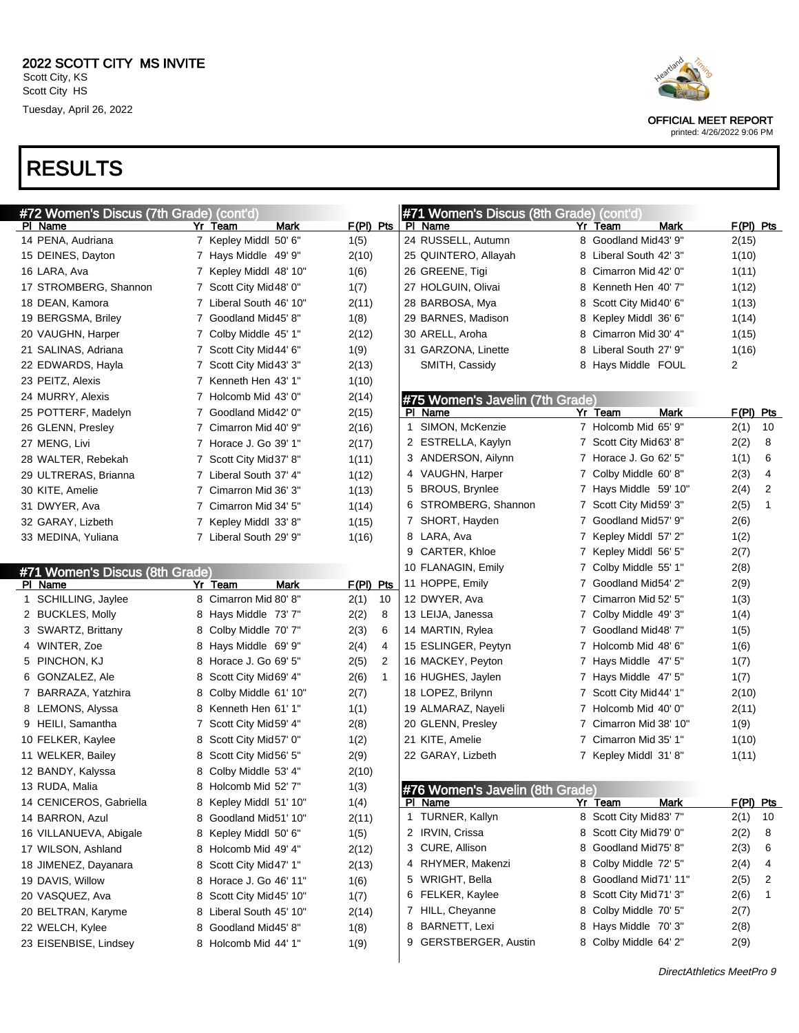| #72 Women's Discus (7th Grade) (cont'd) |    |                         |             |              | #71 Women's Discus (8th Grade) (cont'd) |   |                        |                |              |
|-----------------------------------------|----|-------------------------|-------------|--------------|-----------------------------------------|---|------------------------|----------------|--------------|
| <b>PI Name</b>                          | Yr | Team<br><b>Mark</b>     | $F(PI)$ Pts |              | <b>PI Name</b>                          |   | Yr Team<br>Mark        |                | F(PI) Pts    |
| 14 PENA, Audriana                       |    | 7 Kepley Middl 50' 6"   | 1(5)        |              | 24 RUSSELL, Autumn                      |   | 8 Goodland Mid43' 9"   | 2(15)          |              |
| 15 DEINES, Dayton                       |    | 7 Hays Middle 49' 9"    | 2(10)       |              | 25 QUINTERO, Allayah                    | 8 | Liberal South 42' 3"   | 1(10)          |              |
| 16 LARA, Ava                            |    | 7 Kepley Middl 48' 10"  | 1(6)        |              | 26 GREENE, Tigi                         | 8 | Cimarron Mid 42' 0"    | 1(11)          |              |
| 17 STROMBERG, Shannon                   |    | 7 Scott City Mid48' 0"  | 1(7)        |              | 27 HOLGUIN, Olivai                      | 8 | Kenneth Hen 40' 7"     | 1(12)          |              |
| 18 DEAN, Kamora                         |    | 7 Liberal South 46' 10" | 2(11)       |              | 28 BARBOSA, Mya                         | 8 | Scott City Mid40' 6"   | 1(13)          |              |
| 19 BERGSMA, Briley                      |    | 7 Goodland Mid45' 8"    | 1(8)        |              | 29 BARNES, Madison                      | 8 | Kepley Middl 36' 6"    | 1(14)          |              |
| 20 VAUGHN, Harper                       |    | 7 Colby Middle 45' 1"   | 2(12)       |              | 30 ARELL, Aroha                         | 8 | Cimarron Mid 30' 4"    | 1(15)          |              |
| 21 SALINAS, Adriana                     |    | 7 Scott City Mid44' 6"  | 1(9)        |              | 31 GARZONA, Linette                     | 8 | Liberal South 27' 9"   | 1(16)          |              |
| 22 EDWARDS, Hayla                       |    | 7 Scott City Mid43' 3"  | 2(13)       |              | SMITH, Cassidy                          | 8 | Hays Middle FOUL       | $\overline{c}$ |              |
| 23 PEITZ, Alexis                        |    | 7 Kenneth Hen 43' 1"    | 1(10)       |              |                                         |   |                        |                |              |
| 24 MURRY, Alexis                        |    | 7 Holcomb Mid 43' 0"    | 2(14)       |              | #75 Women's Javelin (7th Grade)         |   |                        |                |              |
| 25 POTTERF, Madelyn                     |    | 7 Goodland Mid42' 0"    | 2(15)       |              | PI Name                                 |   | Yr Team<br>Mark        |                | $F(PI)$ Pts  |
| 26 GLENN, Presley                       |    | 7 Cimarron Mid 40' 9"   | 2(16)       | 1            | SIMON, McKenzie                         |   | 7 Holcomb Mid 65' 9"   | 2(1)           | 10           |
| 27 MENG, Livi                           |    | 7 Horace J. Go 39' 1"   | 2(17)       |              | 2 ESTRELLA, Kaylyn                      |   | 7 Scott City Mid63' 8" | 2(2)           | 8            |
| 28 WALTER, Rebekah                      |    | 7 Scott City Mid37' 8"  | 1(11)       |              | 3 ANDERSON, Ailynn                      |   | 7 Horace J. Go 62' 5"  | 1(1)           | 6            |
| 29 ULTRERAS, Brianna                    |    | 7 Liberal South 37' 4"  | 1(12)       |              | 4 VAUGHN, Harper                        | 7 | Colby Middle 60' 8"    | 2(3)           | 4            |
| 30 KITE, Amelie                         |    | 7 Cimarron Mid 36' 3"   | 1(13)       |              | 5 BROUS, Brynlee                        | 7 | Hays Middle 59' 10"    | 2(4)           | 2            |
| 31 DWYER, Ava                           |    | 7 Cimarron Mid 34' 5"   | 1(14)       |              | 6 STROMBERG, Shannon                    | 7 | Scott City Mid59' 3"   | 2(5)           | $\mathbf{1}$ |
| 32 GARAY, Lizbeth                       |    | 7 Kepley Middl 33' 8"   | 1(15)       |              | 7 SHORT, Hayden                         | 7 | Goodland Mid57' 9"     | 2(6)           |              |
| 33 MEDINA, Yuliana                      |    | 7 Liberal South 29' 9"  | 1(16)       |              | 8 LARA, Ava                             | 7 | Kepley Middl 57' 2"    | 1(2)           |              |
|                                         |    |                         |             |              | 9 CARTER, Khloe                         | 7 | Kepley Middl 56' 5"    | 2(7)           |              |
| #71 Women's Discus (8th Grade)          |    |                         |             |              | 10 FLANAGIN, Emily                      | 7 | Colby Middle 55' 1"    | 2(8)           |              |
| PI Name                                 |    | Yr Team<br>Mark         | F(PI) Pts   |              | 11 HOPPE, Emily                         | 7 | Goodland Mid54' 2"     | 2(9)           |              |
| 1 SCHILLING, Jaylee                     |    | 8 Cimarron Mid 80' 8"   | 2(1)        | 10           | 12 DWYER, Ava                           | 7 | Cimarron Mid 52' 5"    | 1(3)           |              |
| 2 BUCKLES, Molly                        | 8  | Hays Middle 73'7"       | 2(2)        | 8            | 13 LEIJA, Janessa                       | 7 | Colby Middle 49' 3"    | 1(4)           |              |
| 3 SWARTZ, Brittany                      | 8  | Colby Middle 70' 7"     | 2(3)        | 6            | 14 MARTIN, Rylea                        | 7 | Goodland Mid48' 7"     | 1(5)           |              |
| 4 WINTER, Zoe                           | 8  | Hays Middle 69' 9"      | 2(4)        | 4            | 15 ESLINGER, Peytyn                     | 7 | Holcomb Mid 48' 6"     | 1(6)           |              |
| 5 PINCHON, KJ                           | 8  | Horace J. Go 69' 5"     | 2(5)        | 2            | 16 MACKEY, Peyton                       | 7 | Hays Middle 47' 5"     | 1(7)           |              |
| 6 GONZALEZ, Ale                         | 8  | Scott City Mid69' 4"    | 2(6)        | $\mathbf{1}$ | 16 HUGHES, Jaylen                       | 7 | Hays Middle 47' 5"     | 1(7)           |              |
| 7 BARRAZA, Yatzhira                     | 8  | Colby Middle 61' 10"    | 2(7)        |              | 18 LOPEZ, Brilynn                       | 7 | Scott City Mid44' 1"   | 2(10)          |              |
| 8 LEMONS, Alyssa                        | 8  | Kenneth Hen 61' 1"      | 1(1)        |              | 19 ALMARAZ, Nayeli                      | 7 | Holcomb Mid 40' 0"     | 2(11)          |              |
| 9 HEILI, Samantha                       | 7  | Scott City Mid59' 4"    | 2(8)        |              | 20 GLENN, Presley                       | 7 | Cimarron Mid 38' 10"   | 1(9)           |              |
| 10 FELKER, Kaylee                       | 8  | Scott City Mid57' 0"    | 1(2)        |              | 21 KITE, Amelie                         | 7 | Cimarron Mid 35' 1"    | 1(10)          |              |
| 11 WELKER, Bailey                       | 8  | Scott City Mid56' 5"    | 2(9)        |              | 22 GARAY, Lizbeth                       |   | 7 Kepley Middl 31'8"   | 1(11)          |              |
| 12 BANDY, Kalyssa                       | 8  | Colby Middle 53' 4"     | 2(10)       |              |                                         |   |                        |                |              |
| 13 RUDA, Malia                          |    | 8 Holcomb Mid 52' 7"    | 1(3)        |              | #76 Women's Javelin (8th Grade)         |   |                        |                |              |
| 14 CENICEROS, Gabriella                 |    | 8 Kepley Middl 51' 10"  | 1(4)        |              | PI Name                                 |   | Yr Team<br>Mark        |                | $F(PI)$ Pts  |
| 14 BARRON, Azul                         | 8  | Goodland Mid51' 10"     | 2(11)       |              | 1 TURNER, Kallyn                        |   | 8 Scott City Mid83' 7" | 2(1)           | 10           |
| 16 VILLANUEVA, Abigale                  | 8  | Kepley Middl 50' 6"     | 1(5)        |              | 2 IRVIN, Crissa                         |   | 8 Scott City Mid79' 0" | 2(2)           | 8            |
| 17 WILSON, Ashland                      |    | 8 Holcomb Mid 49' 4"    | 2(12)       |              | 3 CURE, Allison                         | 8 | Goodland Mid75' 8"     | 2(3)           | 6            |
| 18 JIMENEZ, Dayanara                    | 8  | Scott City Mid47' 1"    | 2(13)       |              | 4 RHYMER, Makenzi                       | 8 | Colby Middle 72' 5"    | 2(4)           | 4            |
| 19 DAVIS, Willow                        |    | 8 Horace J. Go 46' 11"  | 1(6)        |              | 5 WRIGHT, Bella                         | 8 | Goodland Mid71' 11"    | 2(5)           | 2            |
| 20 VASQUEZ, Ava                         | 8  | Scott City Mid45' 10"   | 1(7)        |              | 6 FELKER, Kaylee                        |   | 8 Scott City Mid71' 3" | 2(6)           | 1            |
| 20 BELTRAN, Karyme                      | 8  | Liberal South 45' 10"   | 2(14)       |              | 7 HILL, Cheyanne                        | 8 | Colby Middle 70' 5"    | 2(7)           |              |
| 22 WELCH, Kylee                         | 8  | Goodland Mid45' 8"      | 1(8)        |              | 8 BARNETT, Lexi                         |   | 8 Hays Middle 70'3"    | 2(8)           |              |
| 23 EISENBISE, Lindsey                   |    | 8 Holcomb Mid 44' 1"    | 1(9)        |              | 9 GERSTBERGER, Austin                   |   | 8 Colby Middle 64' 2"  | 2(9)           |              |
|                                         |    |                         |             |              |                                         |   |                        |                |              |



OFFICIAL MEET REPORT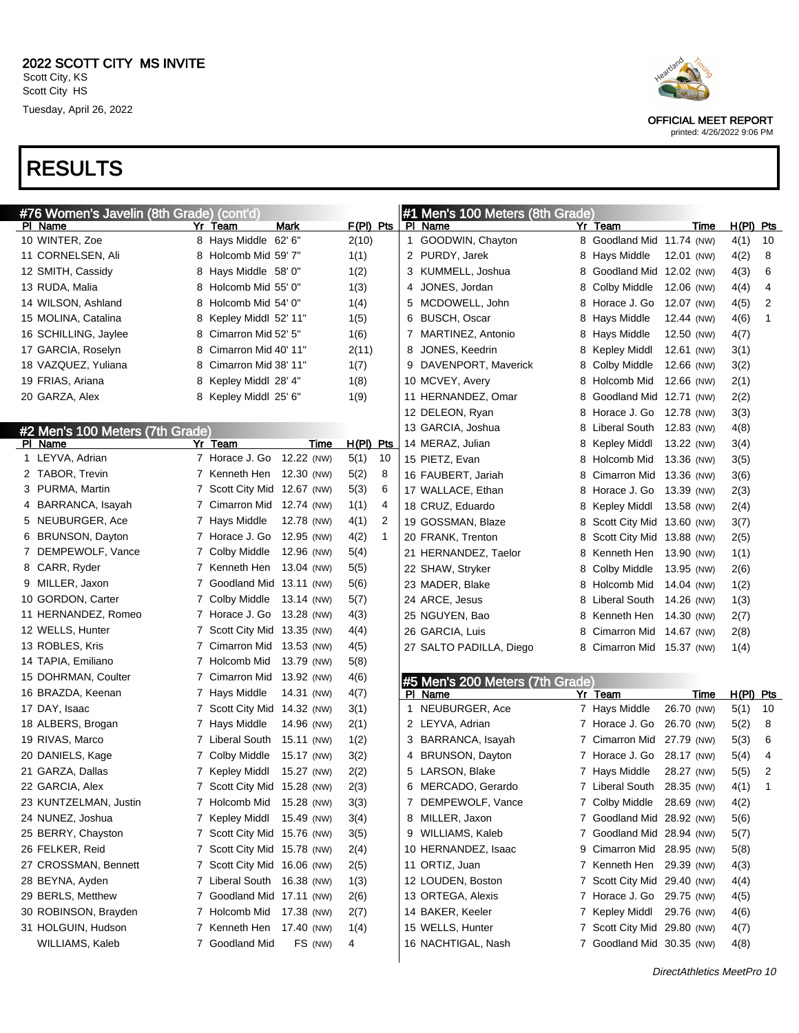| #76 Women's Javelin (8th Grade) (cont'd) |   |                             |             |             |    |   | #1 Men's 100 Meters (8th Grade) |   |                             |            |             |             |    |
|------------------------------------------|---|-----------------------------|-------------|-------------|----|---|---------------------------------|---|-----------------------------|------------|-------------|-------------|----|
| PI Name                                  |   | Yr Team                     | Mark        | $F(PI)$ Pts |    |   | PI Name                         |   | Yr Team                     |            | Time        | $H(PI)$ Pts |    |
| 10 WINTER, Zoe                           |   | 8 Hays Middle 62' 6"        |             | 2(10)       |    |   | 1 GOODWIN, Chayton              |   | 8 Goodland Mid 11.74 (NW)   |            |             | 4(1)        | 10 |
| 11 CORNELSEN, Ali                        |   | 8 Holcomb Mid 59' 7"        |             | 1(1)        |    |   | 2 PURDY, Jarek                  |   | 8 Hays Middle               | 12.01 (NW) |             | 4(2)        | 8  |
| 12 SMITH, Cassidy                        |   | 8 Hays Middle 58' 0"        |             | 1(2)        |    |   | 3 KUMMELL, Joshua               | 8 | Goodland Mid 12.02 (NW)     |            |             | 4(3)        | 6  |
| 13 RUDA, Malia                           | 8 | Holcomb Mid 55' 0"          |             | 1(3)        |    | 4 | JONES, Jordan                   | 8 | Colby Middle                | 12.06 (NW) |             | 4(4)        | 4  |
| 14 WILSON, Ashland                       | 8 | Holcomb Mid 54' 0"          |             | 1(4)        |    | 5 | MCDOWELL, John                  | 8 | Horace J. Go                | 12.07 (NW) |             | 4(5)        | 2  |
| 15 MOLINA, Catalina                      | 8 | Kepley Middl 52' 11"        |             | 1(5)        |    | 6 | <b>BUSCH, Oscar</b>             | 8 | Hays Middle                 | 12.44 (NW) |             | 4(6)        | 1  |
| 16 SCHILLING, Jaylee                     | 8 | Cimarron Mid 52' 5"         |             | 1(6)        |    |   | 7 MARTINEZ, Antonio             | 8 | Hays Middle                 | 12.50 (NW) |             | 4(7)        |    |
| 17 GARCIA, Roselyn                       | 8 | Cimarron Mid 40' 11"        |             | 2(11)       |    | 8 | JONES, Keedrin                  | 8 | Kepley Middl                | 12.61 (NW) |             | 3(1)        |    |
| 18 VAZQUEZ, Yuliana                      | 8 | Cimarron Mid 38' 11"        |             | 1(7)        |    |   | 9 DAVENPORT, Maverick           | 8 | Colby Middle                | 12.66 (NW) |             | 3(2)        |    |
| 19 FRIAS, Ariana                         | 8 | Kepley Middl 28' 4"         |             | 1(8)        |    |   | 10 MCVEY, Avery                 | 8 | Holcomb Mid                 | 12.66 (NW) |             | 2(1)        |    |
| 20 GARZA, Alex                           |   | 8 Kepley Middl 25' 6"       |             | 1(9)        |    |   | 11 HERNANDEZ, Omar              | 8 | Goodland Mid 12.71 (NW)     |            |             | 2(2)        |    |
|                                          |   |                             |             |             |    |   | 12 DELEON, Ryan                 | 8 | Horace J. Go                | 12.78 (NW) |             | 3(3)        |    |
| #2 Men's 100 Meters (7th Grade)          |   |                             |             |             |    |   | 13 GARCIA, Joshua               | 8 | Liberal South               | 12.83 (NW) |             | 4(8)        |    |
| PI Name                                  |   | Yr Team                     | <b>Time</b> | $H(PI)$ Pts |    |   | 14 MERAZ, Julian                | 8 | Kepley Middl                | 13.22 (NW) |             | 3(4)        |    |
| 1 LEYVA, Adrian                          |   | 7 Horace J. Go              | 12.22 (NW)  | 5(1)        | 10 |   | 15 PIETZ, Evan                  | 8 | Holcomb Mid                 | 13.36 (NW) |             | 3(5)        |    |
| 2 TABOR, Trevin                          |   | 7 Kenneth Hen               | 12.30 (NW)  | 5(2)        | 8  |   | 16 FAUBERT, Jariah              | 8 | Cimarron Mid                | 13.36 (NW) |             | 3(6)        |    |
| 3 PURMA, Martin                          |   | 7 Scott City Mid 12.67 (NW) |             | 5(3)        | 6  |   | 17 WALLACE, Ethan               | 8 | Horace J. Go                | 13.39 (NW) |             | 2(3)        |    |
| 4 BARRANCA, Isayah                       |   | 7 Cimarron Mid 12.74 (NW)   |             | 1(1)        | 4  |   | 18 CRUZ, Eduardo                | 8 | <b>Kepley Middl</b>         | 13.58 (NW) |             | 2(4)        |    |
| 5 NEUBURGER, Ace                         |   | 7 Hays Middle               | 12.78 (NW)  | 4(1)        | 2  |   | 19 GOSSMAN, Blaze               | 8 | Scott City Mid 13.60 (NW)   |            |             | 3(7)        |    |
| 6 BRUNSON, Dayton                        |   | 7 Horace J. Go              | 12.95 (NW)  | 4(2)        | 1  |   | 20 FRANK, Trenton               | 8 | Scott City Mid 13.88 (NW)   |            |             | 2(5)        |    |
| 7 DEMPEWOLF, Vance                       |   | 7 Colby Middle              | 12.96 (NW)  | 5(4)        |    |   | 21 HERNANDEZ, Taelor            | 8 | Kenneth Hen                 | 13.90 (NW) |             | 1(1)        |    |
| 8 CARR, Ryder                            |   | 7 Kenneth Hen               | 13.04 (NW)  | 5(5)        |    |   | 22 SHAW, Stryker                | 8 | Colby Middle                | 13.95 (NW) |             | 2(6)        |    |
| 9 MILLER, Jaxon                          |   | 7 Goodland Mid 13.11 (NW)   |             | 5(6)        |    |   | 23 MADER, Blake                 | 8 | Holcomb Mid                 | 14.04 (NW) |             | 1(2)        |    |
| 10 GORDON, Carter                        |   | 7 Colby Middle              | 13.14 (NW)  | 5(7)        |    |   | 24 ARCE, Jesus                  | 8 | Liberal South               | 14.26 (NW) |             | 1(3)        |    |
| 11 HERNANDEZ, Romeo                      |   | 7 Horace J. Go              | 13.28 (NW)  | 4(3)        |    |   | 25 NGUYEN, Bao                  | 8 | Kenneth Hen                 | 14.30 (NW) |             | 2(7)        |    |
| 12 WELLS, Hunter                         |   | 7 Scott City Mid 13.35 (NW) |             | 4(4)        |    |   | 26 GARCIA, Luis                 | 8 | Cimarron Mid                | 14.67 (NW) |             | 2(8)        |    |
| 13 ROBLES, Kris                          |   | 7 Cimarron Mid 13.53 (NW)   |             | 4(5)        |    |   | 27 SALTO PADILLA, Diego         |   | 8 Cimarron Mid 15.37 (NW)   |            |             | 1(4)        |    |
| 14 TAPIA, Emiliano                       |   | 7 Holcomb Mid               | 13.79 (NW)  | 5(8)        |    |   |                                 |   |                             |            |             |             |    |
| 15 DOHRMAN, Coulter                      |   | 7 Cimarron Mid              | 13.92 (NW)  | 4(6)        |    |   | #5 Men's 200 Meters (7th Grade) |   |                             |            |             |             |    |
| 16 BRAZDA, Keenan                        |   | 7 Hays Middle               | 14.31 (NW)  | 4(7)        |    |   | PI Name                         |   | Yr Team                     |            | <u>Time</u> | H(PI) Pts   |    |
| 17 DAY, Isaac                            |   | 7 Scott City Mid 14.32 (NW) |             | 3(1)        |    |   | 1 NEUBURGER, Ace                |   | 7 Hays Middle               | 26.70 (NW) |             | 5(1)        | 10 |
| 18 ALBERS, Brogan                        |   | 7 Hays Middle               | 14.96 (NW)  | 2(1)        |    |   | 2 LEYVA, Adrian                 |   | 7 Horace J. Go              | 26.70 (NW) |             | 5(2)        | 8  |
| 19 RIVAS, Marco                          |   | 7 Liberal South             | 15.11 (NW)  | 1(2)        |    |   | 3 BARRANCA, Isayah              |   | 7 Cimarron Mid 27.79 (NW)   |            |             | 5(3)        | 6  |
| 20 DANIELS, Kage                         |   | 7 Colby Middle              | 15.17 (NW)  | 3(2)        |    |   | 4 BRUNSON, Dayton               |   | 7 Horace J. Go              | 28.17 (NW) |             | 5(4)        | 4  |
| 21 GARZA, Dallas                         |   | 7 Kepley Middl              | 15.27 (NW)  | 2(2)        |    |   | 5 LARSON, Blake                 |   | 7 Hays Middle               | 28.27 (NW) |             | 5(5)        | 2  |
| 22 GARCIA, Alex                          |   | 7 Scott City Mid 15.28 (NW) |             | 2(3)        |    | 6 | MERCADO, Gerardo                |   | 7 Liberal South 28.35 (NW)  |            |             | 4(1)        |    |
| 23 KUNTZELMAN, Justin                    |   | 7 Holcomb Mid 15.28 (NW)    |             | 3(3)        |    |   | 7 DEMPEWOLF, Vance              |   | 7 Colby Middle 28.69 (NW)   |            |             | 4(2)        |    |
| 24 NUNEZ, Joshua                         |   | 7 Kepley Middl 15.49 (NW)   |             | 3(4)        |    |   | 8 MILLER, Jaxon                 |   | 7 Goodland Mid 28.92 (NW)   |            |             | 5(6)        |    |
| 25 BERRY, Chayston                       |   | 7 Scott City Mid 15.76 (NW) |             | 3(5)        |    |   | 9 WILLIAMS, Kaleb               |   | 7 Goodland Mid 28.94 (NW)   |            |             | 5(7)        |    |
| 26 FELKER, Reid                          |   | 7 Scott City Mid 15.78 (NW) |             | 2(4)        |    |   | 10 HERNANDEZ, Isaac             |   | 9 Cimarron Mid 28.95 (NW)   |            |             | 5(8)        |    |
| 27 CROSSMAN, Bennett                     |   | 7 Scott City Mid 16.06 (NW) |             | 2(5)        |    |   | 11 ORTIZ, Juan                  |   | 7 Kenneth Hen 29.39 (NW)    |            |             | 4(3)        |    |
| 28 BEYNA, Ayden                          |   | 7 Liberal South 16.38 (NW)  |             | 1(3)        |    |   | 12 LOUDEN, Boston               |   | 7 Scott City Mid 29.40 (NW) |            |             | 4(4)        |    |
| 29 BERLS, Metthew                        |   | 7 Goodland Mid 17.11 (NW)   |             | 2(6)        |    |   | 13 ORTEGA, Alexis               |   | 7 Horace J. Go 29.75 (NW)   |            |             | 4(5)        |    |
| 30 ROBINSON, Brayden                     |   | 7 Holcomb Mid 17.38 (NW)    |             | 2(7)        |    |   | 14 BAKER, Keeler                |   | 7 Kepley Middl 29.76 (NW)   |            |             | 4(6)        |    |
| 31 HOLGUIN, Hudson                       |   | 7 Kenneth Hen 17.40 (NW)    |             | 1(4)        |    |   | 15 WELLS, Hunter                |   | 7 Scott City Mid 29.80 (NW) |            |             | 4(7)        |    |
| WILLIAMS, Kaleb                          |   | 7 Goodland Mid              | FS (NW)     | 4           |    |   | 16 NACHTIGAL, Nash              |   | 7 Goodland Mid 30.35 (NW)   |            |             | 4(8)        |    |
|                                          |   |                             |             |             |    |   |                                 |   |                             |            |             |             |    |



OFFICIAL MEET REPORT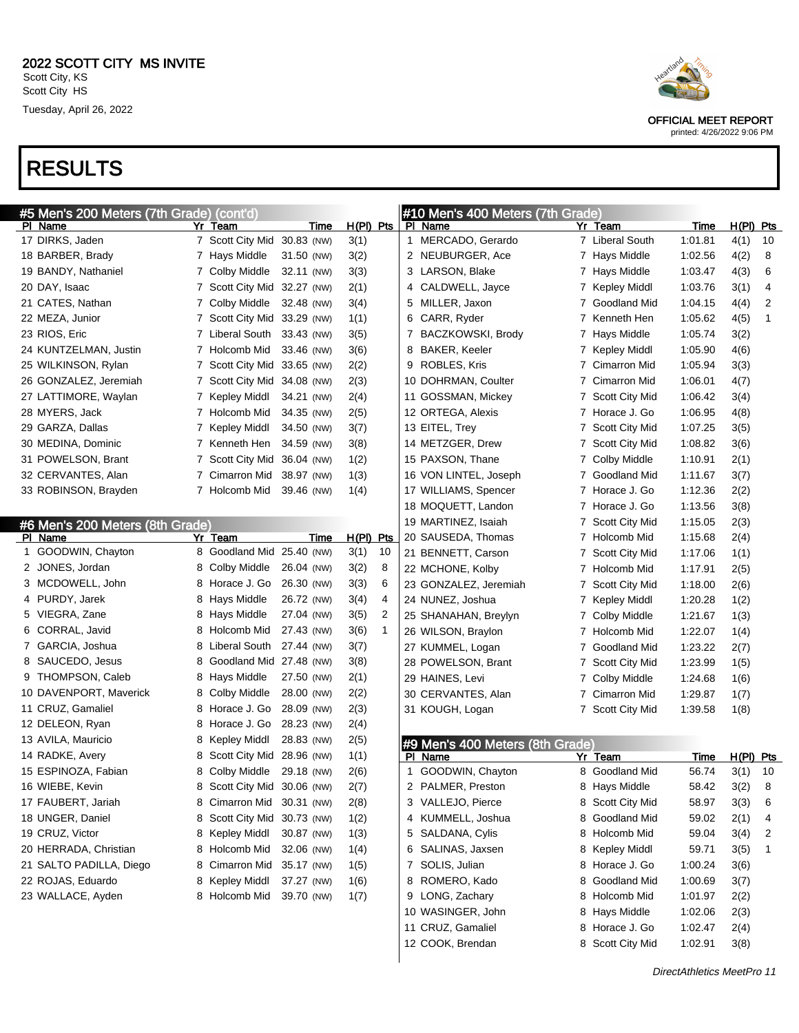|                     | #5 Men's 200 Meters (7th Grade) (cont'd) |                             |             |                        |   | #10 Men's 400 Meters (7th Grade)           |   |                       |         |             |    |
|---------------------|------------------------------------------|-----------------------------|-------------|------------------------|---|--------------------------------------------|---|-----------------------|---------|-------------|----|
| PI Name             |                                          | Yr Team                     | Time        | $H(PI)$ Pts            |   | PI Name                                    |   | Yr Team               | Time    | $H(PI)$ Pts |    |
| 17 DIRKS, Jaden     |                                          | 7 Scott City Mid 30.83 (NW) |             | 3(1)                   |   | 1 MERCADO, Gerardo                         |   | 7 Liberal South       | 1:01.81 | 4(1)        | 10 |
| 18 BARBER, Brady    |                                          | 7 Hays Middle               | 31.50 (NW)  | 3(2)                   |   | 2 NEUBURGER, Ace                           |   | 7 Hays Middle         | 1:02.56 | 4(2)        | 8  |
| 19 BANDY, Nathaniel |                                          | 7 Colby Middle              | 32.11 (NW)  | 3(3)                   |   | 3 LARSON, Blake                            | 7 | Hays Middle           | 1:03.47 | 4(3)        | 6  |
| 20 DAY, Isaac       |                                          | 7 Scott City Mid 32.27 (NW) |             | 2(1)                   |   | 4 CALDWELL, Jayce                          | 7 | <b>Kepley Middl</b>   | 1:03.76 | 3(1)        | 4  |
| 21 CATES, Nathan    |                                          | 7 Colby Middle              | 32.48 (NW)  | 3(4)                   | 5 | MILLER, Jaxon                              | 7 | Goodland Mid          | 1:04.15 | 4(4)        | 2  |
| 22 MEZA, Junior     |                                          | 7 Scott City Mid 33.29 (NW) |             | 1(1)                   |   | 6 CARR, Ryder                              | 7 | Kenneth Hen           | 1:05.62 | 4(5)        | 1  |
| 23 RIOS, Eric       |                                          | 7 Liberal South             | 33.43 (NW)  | 3(5)                   | 7 | <b>BACZKOWSKI, Brody</b>                   | 7 | Hays Middle           | 1:05.74 | 3(2)        |    |
|                     | 24 KUNTZELMAN, Justin                    | 7 Holcomb Mid               | 33.46 (NW)  | 3(6)                   |   | 8 BAKER, Keeler                            | 7 | <b>Kepley Middl</b>   | 1:05.90 | 4(6)        |    |
| 25 WILKINSON, Rylan |                                          | 7 Scott City Mid            | 33.65 (NW)  | 2(2)                   |   | 9 ROBLES, Kris                             | 7 | Cimarron Mid          | 1:05.94 | 3(3)        |    |
|                     | 26 GONZALEZ, Jeremiah                    | 7 Scott City Mid 34.08 (NW) |             | 2(3)                   |   | 10 DOHRMAN, Coulter                        | 7 | Cimarron Mid          | 1:06.01 | 4(7)        |    |
|                     | 27 LATTIMORE, Waylan                     | 7 Kepley Middl              | 34.21 (NW)  | 2(4)                   |   | 11 GOSSMAN, Mickey                         | 7 | <b>Scott City Mid</b> | 1:06.42 | 3(4)        |    |
| 28 MYERS, Jack      |                                          | 7 Holcomb Mid               | 34.35 (NW)  | 2(5)                   |   | 12 ORTEGA, Alexis                          | 7 | Horace J. Go          | 1:06.95 | 4(8)        |    |
| 29 GARZA, Dallas    |                                          | 7 Kepley Middl              | 34.50 (NW)  | 3(7)                   |   | 13 EITEL, Trey                             | 7 | <b>Scott City Mid</b> | 1:07.25 | 3(5)        |    |
| 30 MEDINA, Dominic  |                                          | 7 Kenneth Hen               | 34.59 (NW)  | 3(8)                   |   | 14 METZGER, Drew                           | 7 | Scott City Mid        | 1:08.82 | 3(6)        |    |
| 31 POWELSON, Brant  |                                          | 7 Scott City Mid            | 36.04 (NW)  | 1(2)                   |   | 15 PAXSON, Thane                           | 7 | Colby Middle          | 1:10.91 | 2(1)        |    |
| 32 CERVANTES, Alan  |                                          | 7 Cimarron Mid              | 38.97 (NW)  | 1(3)                   |   | 16 VON LINTEL, Joseph                      | 7 | Goodland Mid          | 1:11.67 | 3(7)        |    |
|                     | 33 ROBINSON, Brayden                     | 7 Holcomb Mid               | 39.46 (NW)  | 1(4)                   |   | 17 WILLIAMS, Spencer                       | 7 | Horace J. Go          | 1:12.36 | 2(2)        |    |
|                     |                                          |                             |             |                        |   | 18 MOQUETT, Landon                         | 7 | Horace J. Go          | 1:13.56 | 3(8)        |    |
|                     | #6 Men's 200 Meters (8th Grade)          |                             |             |                        |   | 19 MARTINEZ, Isaiah                        | 7 | <b>Scott City Mid</b> | 1:15.05 | 2(3)        |    |
| PI Name             |                                          | Yr Team                     | <u>Time</u> | $H(PI)$ Pts            |   | 20 SAUSEDA, Thomas                         | 7 | Holcomb Mid           | 1:15.68 | 2(4)        |    |
|                     | 1 GOODWIN, Chayton                       | 8 Goodland Mid 25.40 (NW)   |             | 3(1)<br>10             |   | 21 BENNETT, Carson                         | 7 | <b>Scott City Mid</b> | 1:17.06 | 1(1)        |    |
| 2 JONES, Jordan     |                                          | 8 Colby Middle              | 26.04 (NW)  | 3(2)<br>8              |   | 22 MCHONE, Kolby                           | 7 | Holcomb Mid           | 1:17.91 | 2(5)        |    |
|                     | 3 MCDOWELL, John                         | 8 Horace J. Go              | 26.30 (NW)  | 3(3)<br>6              |   | 23 GONZALEZ, Jeremiah                      | 7 | <b>Scott City Mid</b> | 1:18.00 | 2(6)        |    |
| 4 PURDY, Jarek      |                                          | 8 Hays Middle               | 26.72 (NW)  | 3(4)<br>4              |   | 24 NUNEZ, Joshua                           | 7 | <b>Kepley Middl</b>   | 1:20.28 | 1(2)        |    |
| 5 VIEGRA, Zane      |                                          | 8 Hays Middle               | 27.04 (NW)  | $\overline{2}$<br>3(5) |   | 25 SHANAHAN, Breylyn                       | 7 | Colby Middle          | 1:21.67 | 1(3)        |    |
| 6 CORRAL, Javid     |                                          | 8 Holcomb Mid               | 27.43 (NW)  | 3(6)<br>$\mathbf{1}$   |   | 26 WILSON, Braylon                         | 7 | Holcomb Mid           | 1:22.07 | 1(4)        |    |
| 7 GARCIA, Joshua    |                                          | 8 Liberal South             | 27.44 (NW)  | 3(7)                   |   | 27 KUMMEL, Logan                           | 7 | Goodland Mid          | 1:23.22 | 2(7)        |    |
| 8 SAUCEDO, Jesus    |                                          | 8 Goodland Mid 27.48 (NW)   |             | 3(8)                   |   | 28 POWELSON, Brant                         | 7 | Scott City Mid        | 1:23.99 | 1(5)        |    |
|                     | 9 THOMPSON, Caleb                        | 8 Hays Middle               | 27.50 (NW)  | 2(1)                   |   | 29 HAINES, Levi                            | 7 | Colby Middle          | 1:24.68 | 1(6)        |    |
|                     | 10 DAVENPORT, Maverick                   | 8 Colby Middle              | 28.00 (NW)  | 2(2)                   |   | 30 CERVANTES, Alan                         | 7 | Cimarron Mid          | 1:29.87 | 1(7)        |    |
| 11 CRUZ, Gamaliel   |                                          | 8 Horace J. Go              | 28.09 (NW)  | 2(3)                   |   | 31 KOUGH, Logan                            | 7 | <b>Scott City Mid</b> | 1:39.58 | 1(8)        |    |
| 12 DELEON, Ryan     |                                          | 8 Horace J. Go              | 28.23 (NW)  | 2(4)                   |   |                                            |   |                       |         |             |    |
| 13 AVILA, Mauricio  |                                          | 8 Kepley Middl              | 28.83 (NW)  | 2(5)                   |   |                                            |   |                       |         |             |    |
| 14 RADKE, Avery     |                                          | 8 Scott City Mid            | 28.96 (NW)  | 1(1)                   |   | #9 Men's 400 Meters (8th Grade)<br>PI Name |   | Yr Team               | Time    | H(PI) Pts   |    |
| 15 ESPINOZA, Fabian |                                          | 8 Colby Middle              | 29.18 (NW)  | 2(6)                   | 1 | GOODWIN, Chayton                           |   | 8 Goodland Mid        | 56.74   | 3(1)        | 10 |
| 16 WIEBE, Kevin     |                                          | 8 Scott City Mid 30.06 (NW) |             | 2(7)                   | 2 | PALMER, Preston                            |   | 8 Hays Middle         | 58.42   | 3(2)        | 8  |
| 17 FAUBERT, Jariah  |                                          | 8 Cimarron Mid 30.31 (NW)   |             | 2(8)                   |   | 3 VALLEJO, Pierce                          |   | 8 Scott City Mid      | 58.97   | 3(3)        | 6  |
|                     |                                          |                             |             |                        |   |                                            |   | 8 Goodland Mid        |         |             |    |
| 18 UNGER, Daniel    |                                          | 8 Scott City Mid 30.73 (NW) |             | 1(2)                   |   | 4 KUMMELL, Joshua                          |   | Holcomb Mid           | 59.02   | 2(1)        | 4  |
| 19 CRUZ, Victor     | 20 HERRADA, Christian                    | 8 Kepley Middl              | 30.87 (NW)  | 1(3)                   |   | 5 SALDANA, Cylis                           | 8 |                       | 59.04   | 3(4)        | 2  |
|                     |                                          | 8 Holcomb Mid               | 32.06 (NW)  | 1(4)                   |   | 6 SALINAS, Jaxsen                          |   | 8 Kepley Middl        | 59.71   | 3(5)        | 1  |
|                     | 21 SALTO PADILLA, Diego                  | 8 Cimarron Mid              | 35.17 (NW)  | 1(5)                   |   | 7 SOLIS, Julian                            |   | 8 Horace J. Go        | 1:00.24 | 3(6)        |    |
| 22 ROJAS, Eduardo   |                                          | 8 Kepley Middl              | 37.27 (NW)  | 1(6)                   |   | 8 ROMERO, Kado                             | 8 | <b>Goodland Mid</b>   | 1:00.69 | 3(7)        |    |
| 23 WALLACE, Ayden   |                                          | 8 Holcomb Mid               | 39.70 (NW)  | 1(7)                   |   | 9 LONG, Zachary                            |   | 8 Holcomb Mid         | 1:01.97 | 2(2)        |    |
|                     |                                          |                             |             |                        |   | 10 WASINGER, John                          |   | 8 Hays Middle         | 1:02.06 | 2(3)        |    |

 CRUZ, Gamaliel 8 Horace J. Go 1:02.47 2(4) COOK, Brendan 8 Scott City Mid 1:02.91 3(8)



OFFICIAL MEET REPORT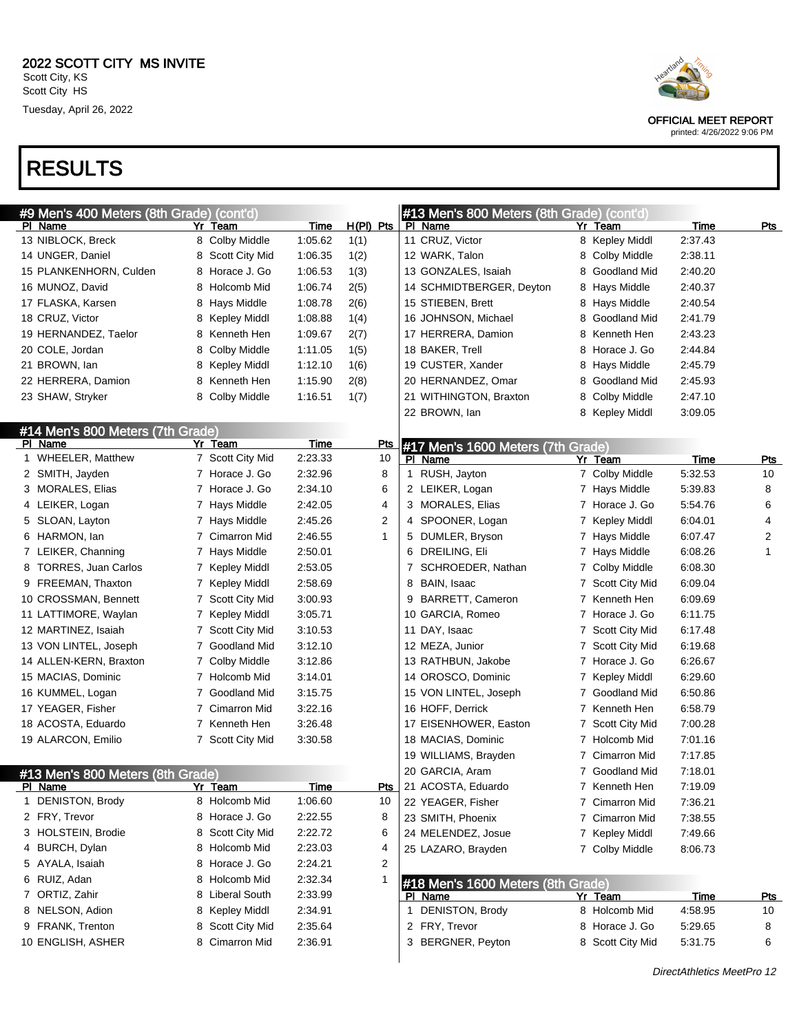|                        | #9 Men's 400 Meters (8th Grade) (cont'd) |                     |             |             | #13 Men's 800 Meters (8th Grade) (cont'd) |   |                     |             |            |
|------------------------|------------------------------------------|---------------------|-------------|-------------|-------------------------------------------|---|---------------------|-------------|------------|
| PI Name                |                                          | Yr Team             | <b>Time</b> | $H(PI)$ Pts | PI Name                                   |   | Yr Team             | <u>Time</u> | <u>Pts</u> |
| 13 NIBLOCK, Breck      |                                          | 8 Colby Middle      | 1:05.62     | 1(1)        | 11 CRUZ, Victor                           |   | 8 Kepley Middl      | 2:37.43     |            |
| 14 UNGER, Daniel       |                                          | 8 Scott City Mid    | 1:06.35     | 1(2)        | 12 WARK, Talon                            | 8 | Colby Middle        | 2:38.11     |            |
| 15 PLANKENHORN, Culden |                                          | 8 Horace J. Go      | 1:06.53     | 1(3)        | 13 GONZALES, Isaiah                       | 8 | Goodland Mid        | 2:40.20     |            |
| 16 MUNOZ, David        |                                          | 8 Holcomb Mid       | 1:06.74     | 2(5)        | 14 SCHMIDTBERGER, Deyton                  | 8 | Hays Middle         | 2:40.37     |            |
| 17 FLASKA, Karsen      |                                          | 8 Hays Middle       | 1:08.78     | 2(6)        | 15 STIEBEN, Brett                         |   | 8 Hays Middle       | 2:40.54     |            |
| 18 CRUZ, Victor        |                                          | 8 Kepley Middl      | 1:08.88     | 1(4)        | 16 JOHNSON, Michael                       | 8 | Goodland Mid        | 2:41.79     |            |
| 19 HERNANDEZ, Taelor   |                                          | 8 Kenneth Hen       | 1:09.67     | 2(7)        | 17 HERRERA, Damion                        | 8 | Kenneth Hen         | 2:43.23     |            |
| 20 COLE, Jordan        | 8                                        | Colby Middle        | 1:11.05     | 1(5)        | 18 BAKER, Trell                           | 8 | Horace J. Go        | 2:44.84     |            |
| 21 BROWN, lan          | 8                                        | <b>Kepley Middl</b> | 1:12.10     | 1(6)        | 19 CUSTER, Xander                         | 8 | Hays Middle         | 2:45.79     |            |
| 22 HERRERA, Damion     | 8                                        | Kenneth Hen         | 1:15.90     | 2(8)        | 20 HERNANDEZ, Omar                        | 8 | Goodland Mid        | 2:45.93     |            |
| 23 SHAW, Stryker       | 8.                                       | Colby Middle        | 1:16.51     | 1(7)        | 21 WITHINGTON, Braxton                    | 8 | <b>Colby Middle</b> | 2:47.10     |            |
|                        |                                          |                     |             |             | 22 BROWN, lan                             |   | 8 Kepley Middl      | 3:09.05     |            |
|                        | #14 Men's 800 Meters (7th Grade)         |                     |             |             |                                           |   |                     |             |            |
| <b>PI</b> Name         |                                          | Yr Team             | Time        | <b>Pts</b>  | #17 Men's 1600 Meters (7th Grade)         |   |                     |             |            |
| 1 WHEELER, Matthew     |                                          | 7 Scott City Mid    | 2:23.33     | 10          | PI Name                                   |   | Yr Team             | <b>Time</b> | <b>Pts</b> |
| 2 SMITH, Jayden        |                                          | 7 Horace J. Go      | 2:32.96     | 8           | 1 RUSH, Jayton                            |   | 7 Colby Middle      | 5:32.53     | 10         |
| 3 MORALES, Elias       |                                          | 7 Horace J. Go      | 2:34.10     | 6           | 2 LEIKER, Logan                           |   | 7 Hays Middle       | 5:39.83     | 8          |
| 4 LEIKER, Logan        |                                          | 7 Hays Middle       | 2:42.05     | 4           | 3 MORALES, Elias                          |   | 7 Horace J. Go      | 5:54.76     | 6          |
| 5 SLOAN, Layton        |                                          | 7 Hays Middle       | 2:45.26     | 2           | 4 SPOONER, Logan                          |   | 7 Kepley Middl      | 6:04.01     | 4          |
| 6 HARMON, lan          |                                          | 7 Cimarron Mid      | 2:46.55     | 1           | 5 DUMLER, Bryson                          |   | 7 Hays Middle       | 6:07.47     | 2          |
| 7 LEIKER, Channing     |                                          | 7 Hays Middle       | 2:50.01     |             | 6 DREILING, Eli                           |   | 7 Hays Middle       | 6:08.26     | 1          |
| 8 TORRES, Juan Carlos  |                                          | 7 Kepley Middl      | 2:53.05     |             | 7 SCHROEDER, Nathan                       |   | 7 Colby Middle      | 6:08.30     |            |
| 9 FREEMAN, Thaxton     |                                          | 7 Kepley Middl      | 2:58.69     |             | 8 BAIN, Isaac                             |   | 7 Scott City Mid    | 6:09.04     |            |
| 10 CROSSMAN, Bennett   |                                          | 7 Scott City Mid    | 3:00.93     |             | 9 BARRETT, Cameron                        |   | 7 Kenneth Hen       | 6:09.69     |            |
| 11 LATTIMORE, Waylan   |                                          | 7 Kepley Middl      | 3:05.71     |             | 10 GARCIA, Romeo                          |   | 7 Horace J. Go      | 6:11.75     |            |
| 12 MARTINEZ, Isaiah    |                                          | 7 Scott City Mid    | 3:10.53     |             | 11 DAY, Isaac                             |   | 7 Scott City Mid    | 6:17.48     |            |
| 13 VON LINTEL, Joseph  |                                          | 7 Goodland Mid      | 3:12.10     |             | 12 MEZA, Junior                           |   | 7 Scott City Mid    | 6:19.68     |            |
| 14 ALLEN-KERN, Braxton |                                          | 7 Colby Middle      | 3:12.86     |             | 13 RATHBUN, Jakobe                        |   | 7 Horace J. Go      | 6:26.67     |            |
| 15 MACIAS, Dominic     |                                          | 7 Holcomb Mid       | 3:14.01     |             | 14 OROSCO, Dominic                        |   | 7 Kepley Middl      | 6:29.60     |            |
| 16 KUMMEL, Logan       |                                          | 7 Goodland Mid      | 3:15.75     |             | 15 VON LINTEL, Joseph                     |   | 7 Goodland Mid      | 6:50.86     |            |
| 17 YEAGER, Fisher      |                                          | 7 Cimarron Mid      | 3:22.16     |             | 16 HOFF, Derrick                          |   | 7 Kenneth Hen       | 6:58.79     |            |
| 18 ACOSTA, Eduardo     |                                          | 7 Kenneth Hen       | 3:26.48     |             | 17 EISENHOWER, Easton                     |   | 7 Scott City Mid    | 7:00.28     |            |
| 19 ALARCON, Emilio     |                                          | 7 Scott City Mid    | 3:30.58     |             | 18 MACIAS, Dominic                        |   | 7 Holcomb Mid       | 7:01.16     |            |
|                        |                                          |                     |             |             | 19 WILLIAMS, Brayden                      |   | 7 Cimarron Mid      | 7:17.85     |            |
|                        | #13 Men's 800 Meters (8th Grade)         |                     |             |             | 20 GARCIA, Aram                           |   | 7 Goodland Mid      | 7:18.01     |            |
| <u>PIName</u>          | Υr                                       | <u>leam</u>         | <u>Time</u> | <u>Pts</u>  | 21 ACOSTA, Eduardo                        |   | 7 Kenneth Hen       | 7:19.09     |            |
| 1 DENISTON, Brody      |                                          | 8 Holcomb Mid       | 1:06.60     | 10          | 22 YEAGER, Fisher                         |   | 7 Cimarron Mid      | 7:36.21     |            |
| 2 FRY, Trevor          |                                          | 8 Horace J. Go      | 2:22.55     | 8           | 23 SMITH, Phoenix                         |   | 7 Cimarron Mid      | 7:38.55     |            |
| 3 HOLSTEIN, Brodie     |                                          | 8 Scott City Mid    | 2:22.72     | 6           | 24 MELENDEZ, Josue                        |   | 7 Kepley Middl      | 7:49.66     |            |
| 4 BURCH, Dylan         |                                          | 8 Holcomb Mid       | 2:23.03     | 4           | 25 LAZARO, Brayden                        |   | 7 Colby Middle      | 8:06.73     |            |
| 5 AYALA, Isaiah        |                                          | 8 Horace J. Go      | 2:24.21     | 2           |                                           |   |                     |             |            |
| 6 RUIZ, Adan           |                                          | 8 Holcomb Mid       | 2:32.34     |             | #18 Men's 1600 Meters (8th Grade)         |   |                     |             |            |
| 7 ORTIZ, Zahir         | 8                                        | Liberal South       | 2:33.99     |             | PI Name                                   |   | Yr Team             | Time        | <u>Pts</u> |
| 8 NELSON, Adion        |                                          | 8 Kepley Middl      | 2:34.91     |             | 1 DENISTON, Brody                         |   | 8 Holcomb Mid       | 4:58.95     | 10         |
| 9 FRANK, Trenton       | 8                                        | Scott City Mid      | 2:35.64     |             | 2 FRY, Trevor                             |   | 8 Horace J. Go      | 5:29.65     | 8          |
| 10 ENGLISH, ASHER      | 8                                        | Cimarron Mid        | 2:36.91     |             | 3 BERGNER, Peyton                         |   | 8 Scott City Mid    | 5:31.75     | 6          |

DirectAthletics MeetPro 12



OFFICIAL MEET REPORT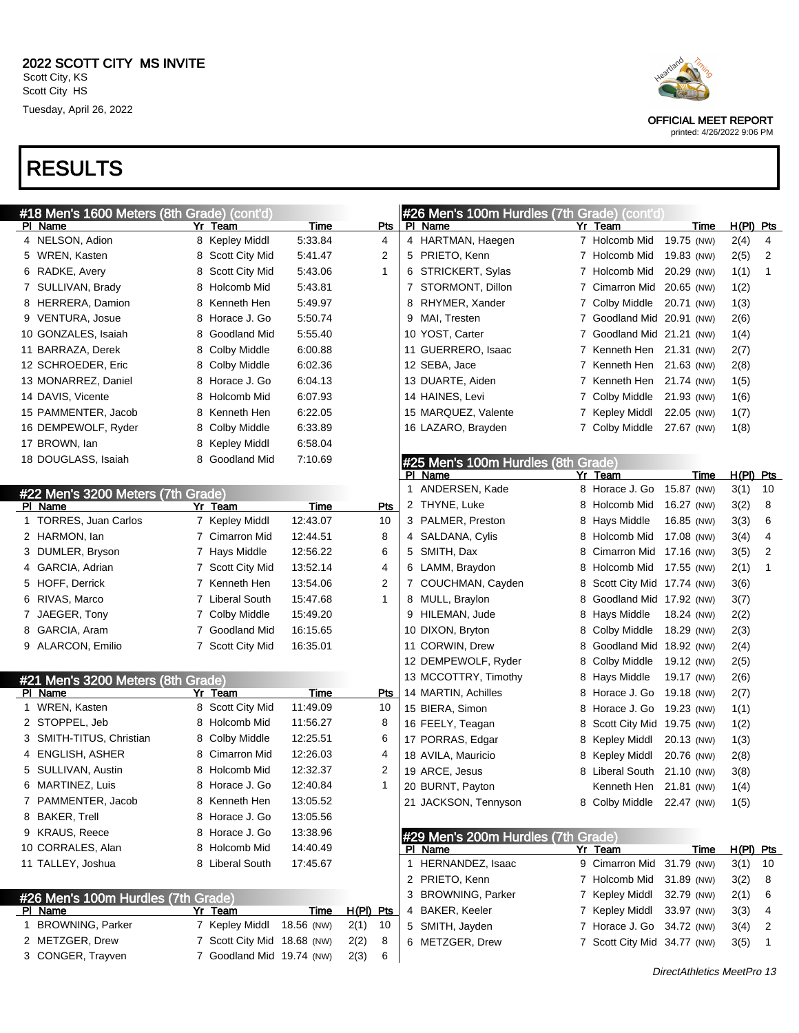|   | #18 Men's 1600 Meters (8th Grade) (cont'd) |    |                             |             |             |            |   | #26 Men's 100m Hurdles (7th Grade) (cont'd) |   |                             |            |      |                |
|---|--------------------------------------------|----|-----------------------------|-------------|-------------|------------|---|---------------------------------------------|---|-----------------------------|------------|------|----------------|
|   | PI Name                                    |    | Yr Team                     | <b>Time</b> |             | <u>Pts</u> |   | PI Name                                     |   | Yr Team                     | Time       |      | $H(PI)$ Pts    |
|   | 4 NELSON, Adion                            |    | 8 Kepley Middl              | 5:33.84     |             | 4          |   | 4 HARTMAN, Haegen                           |   | 7 Holcomb Mid               | 19.75 (NW) | 2(4) | 4              |
|   | 5 WREN, Kasten                             |    | 8 Scott City Mid            | 5:41.47     |             | 2          |   | 5 PRIETO, Kenn                              |   | 7 Holcomb Mid               | 19.83 (NW) | 2(5) | 2              |
|   | 6 RADKE, Avery                             |    | 8 Scott City Mid            | 5:43.06     |             | 1          |   | 6 STRICKERT, Sylas                          |   | 7 Holcomb Mid               | 20.29 (NW) | 1(1) | $\overline{1}$ |
| 7 | SULLIVAN, Brady                            |    | 8 Holcomb Mid               | 5:43.81     |             |            |   | 7 STORMONT, Dillon                          |   | 7 Cimarron Mid              | 20.65 (NW) | 1(2) |                |
| 8 | HERRERA, Damion                            |    | 8 Kenneth Hen               | 5:49.97     |             |            | 8 | RHYMER, Xander                              |   | 7 Colby Middle              | 20.71 (NW) | 1(3) |                |
| 9 | <b>VENTURA, Josue</b>                      |    | 8 Horace J. Go              | 5:50.74     |             |            | 9 | MAI, Tresten                                |   | 7 Goodland Mid 20.91 (NW)   |            | 2(6) |                |
|   | 10 GONZALES, Isaiah                        |    | 8 Goodland Mid              | 5:55.40     |             |            |   | 10 YOST, Carter                             |   | 7 Goodland Mid 21.21 (NW)   |            | 1(4) |                |
|   | 11 BARRAZA, Derek                          | 8  | Colby Middle                | 6:00.88     |             |            |   | 11 GUERRERO, Isaac                          |   | 7 Kenneth Hen 21.31 (NW)    |            | 2(7) |                |
|   | 12 SCHROEDER, Eric                         |    | 8 Colby Middle              | 6:02.36     |             |            |   | 12 SEBA, Jace                               |   | 7 Kenneth Hen               | 21.63 (NW) | 2(8) |                |
|   | 13 MONARREZ, Daniel                        |    | 8 Horace J. Go              | 6:04.13     |             |            |   | 13 DUARTE, Aiden                            |   | 7 Kenneth Hen               | 21.74 (NW) | 1(5) |                |
|   | 14 DAVIS, Vicente                          |    | 8 Holcomb Mid               | 6:07.93     |             |            |   | 14 HAINES, Levi                             |   | 7 Colby Middle              | 21.93 (NW) | 1(6) |                |
|   | 15 PAMMENTER, Jacob                        |    | 8 Kenneth Hen               | 6:22.05     |             |            |   | 15 MARQUEZ, Valente                         |   | 7 Kepley Middl              | 22.05 (NW) | 1(7) |                |
|   | 16 DEMPEWOLF, Ryder                        | 8. | Colby Middle                | 6:33.89     |             |            |   | 16 LAZARO, Brayden                          |   | 7 Colby Middle              | 27.67 (NW) | 1(8) |                |
|   | 17 BROWN, lan                              |    | 8 Kepley Middl              | 6:58.04     |             |            |   |                                             |   |                             |            |      |                |
|   | 18 DOUGLASS, Isaiah                        |    | 8 Goodland Mid              | 7:10.69     |             |            |   | #25 Men's 100m Hurdles (8th Grade)          |   |                             |            |      |                |
|   |                                            |    |                             |             |             |            |   | PI Name                                     |   | Yr Team                     | Time       |      | $H(PI)$ Pts    |
|   | #22 Men's 3200 Meters (7th Grade)          |    |                             |             |             |            | 1 | ANDERSEN, Kade                              |   | 8 Horace J. Go              | 15.87 (NW) | 3(1) | 10             |
|   | PI Name                                    |    | Yr Team                     | Time        |             | <b>Pts</b> |   | 2 THYNE, Luke                               |   | 8 Holcomb Mid               | 16.27 (NW) | 3(2) | 8              |
|   | 1 TORRES, Juan Carlos                      |    | 7 Kepley Middl              | 12:43.07    |             | 10         |   | 3 PALMER, Preston                           |   | 8 Hays Middle               | 16.85 (NW) | 3(3) | 6              |
|   | 2 HARMON, lan                              |    | 7 Cimarron Mid              | 12:44.51    |             | 8          |   | 4 SALDANA, Cylis                            |   | 8 Holcomb Mid               | 17.08 (NW) | 3(4) | 4              |
|   | 3 DUMLER, Bryson                           |    | 7 Hays Middle               | 12:56.22    |             | 6          |   | 5 SMITH, Dax                                | 8 | Cimarron Mid                | 17.16 (NW) | 3(5) | 2              |
| 4 | GARCIA, Adrian                             |    | 7 Scott City Mid            | 13:52.14    |             | 4          |   | 6 LAMM, Braydon                             | 8 | Holcomb Mid                 | 17.55 (NW) | 2(1) | 1              |
|   | 5 HOFF, Derrick                            |    | 7 Kenneth Hen               | 13:54.06    |             | 2          |   | 7 COUCHMAN, Cayden                          | 8 | Scott City Mid 17.74 (NW)   |            | 3(6) |                |
| 6 | RIVAS, Marco                               |    | 7 Liberal South             | 15:47.68    |             | 1          |   | 8 MULL, Braylon                             | 8 | Goodland Mid 17.92 (NW)     |            | 3(7) |                |
| 7 | JAEGER, Tony                               |    | 7 Colby Middle              | 15:49.20    |             |            |   | 9 HILEMAN, Jude                             | 8 | Hays Middle                 | 18.24 (NW) | 2(2) |                |
| 8 | GARCIA, Aram                               |    | 7 Goodland Mid              | 16:15.65    |             |            |   | 10 DIXON, Bryton                            | 8 | Colby Middle                | 18.29 (NW) | 2(3) |                |
|   | 9 ALARCON, Emilio                          |    | 7 Scott City Mid            | 16:35.01    |             |            |   | 11 CORWIN, Drew                             | 8 | Goodland Mid 18.92 (NW)     |            | 2(4) |                |
|   |                                            |    |                             |             |             |            |   | 12 DEMPEWOLF, Ryder                         | 8 | Colby Middle                | 19.12 (NW) | 2(5) |                |
|   | #21 Men's 3200 Meters (8th Grade)          |    |                             |             |             |            |   | 13 MCCOTTRY, Timothy                        |   | 8 Hays Middle               | 19.17 (NW) | 2(6) |                |
|   | PI Name                                    |    | Yr_Team                     | Time        |             | Pts        |   | 14 MARTIN, Achilles                         |   | 8 Horace J. Go              | 19.18 (NW) | 2(7) |                |
|   | 1 WREN, Kasten                             |    | 8 Scott City Mid            | 11:49.09    |             | 10         |   | 15 BIERA, Simon                             |   | 8 Horace J. Go              | 19.23 (NW) | 1(1) |                |
|   | 2 STOPPEL, Jeb                             |    | 8 Holcomb Mid               | 11:56.27    |             | 8          |   | 16 FEELY, Teagan                            | 8 | Scott City Mid              | 19.75 (NW) | 1(2) |                |
|   | SMITH-TITUS, Christian                     |    | 8 Colby Middle              | 12:25.51    |             | 6          |   | 17 PORRAS, Edgar                            | 8 | Kepley Middl                | 20.13 (NW) | 1(3) |                |
|   | 4 ENGLISH, ASHER                           |    | 8 Cimarron Mid              | 12:26.03    |             | 4          |   | 18 AVILA, Mauricio                          | 8 | Kepley Middl                | 20.76 (NW) | 2(8) |                |
|   | 5 SULLIVAN, Austin                         |    | 8 Holcomb Mid               | 12:32.37    |             | 2          |   | 19 ARCE, Jesus                              |   | 8 Liberal South             | 21.10 (NW) | 3(8) |                |
|   | 6 MARTINEZ, Luis                           |    | 8 Horace J. Go              | 12:40.84    |             | 1          |   | 20 BURNT, Payton                            |   | Kenneth Hen 21.81 (NW)      |            | 1(4) |                |
|   | 7 PAMMENTER, Jacob                         |    | 8 Kenneth Hen               | 13:05.52    |             |            |   | 21 JACKSON, Tennyson                        |   | 8 Colby Middle 22.47 (NW)   |            | 1(5) |                |
|   | 8 BAKER, Trell                             |    | 8 Horace J. Go              | 13:05.56    |             |            |   |                                             |   |                             |            |      |                |
|   | 9 KRAUS, Reece                             |    | 8 Horace J. Go              | 13:38.96    |             |            |   | #29 Men's 200m Hurdles (7th Grade)          |   |                             |            |      |                |
|   | 10 CORRALES, Alan                          |    | 8 Holcomb Mid               | 14:40.49    |             |            |   | PI Name                                     |   | Yr Team                     | Time       |      | H(PI) Pts      |
|   | 11 TALLEY, Joshua                          |    | 8 Liberal South             | 17:45.67    |             |            |   | 1 HERNANDEZ, Isaac                          |   | 9 Cimarron Mid              | 31.79 (NW) | 3(1) | 10             |
|   |                                            |    |                             |             |             |            |   | 2 PRIETO, Kenn                              |   | 7 Holcomb Mid               | 31.89 (NW) | 3(2) | 8              |
|   | #26 Men's 100m Hurdles (7th Grade)         |    |                             |             |             |            |   | 3 BROWNING, Parker                          |   | 7 Kepley Middl              | 32.79 (NW) | 2(1) | 6              |
|   | PI Name<br>1 BROWNING, Parker              |    | Yr Team                     | Time        | $H(PI)$ Pts |            |   | 4 BAKER, Keeler                             |   | 7 Kepley Middl              | 33.97 (NW) | 3(3) | 4              |
|   |                                            |    | 7 Kepley Middl              | 18.56 (NW)  | 2(1)        | 10         |   | 5 SMITH, Jayden                             |   | 7 Horace J. Go              | 34.72 (NW) | 3(4) | 2              |
|   | 2 METZGER, Drew                            |    | 7 Scott City Mid 18.68 (NW) |             | 2(2)        | 8          |   | 6 METZGER, Drew                             |   | 7 Scott City Mid 34.77 (NW) |            | 3(5) | $\overline{1}$ |
|   | 3 CONGER, Trayven                          |    | 7 Goodland Mid 19.74 (NW)   |             | 2(3)        | 6          |   |                                             |   |                             |            |      |                |



OFFICIAL MEET REPORT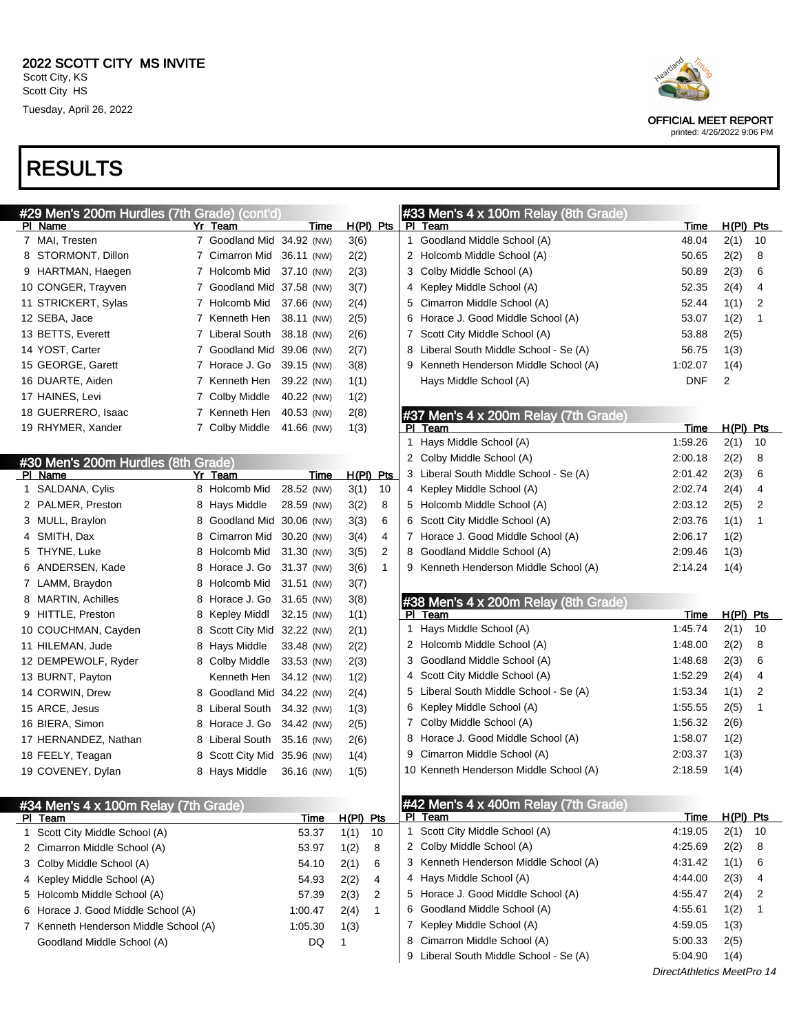|    | #29 Men's 200m Hurdles (7th Grade) (cont'd) |   |                         |            |              |
|----|---------------------------------------------|---|-------------------------|------------|--------------|
| ΡI | Name                                        |   | Yr Team                 | Time       | H(PI)<br>Pts |
| 7  | MAI, Tresten                                | 7 | Goodland Mid 34.92 (NW) |            | 3(6)         |
| 8  | STORMONT, Dillon                            | 7 | Cimarron Mid            | 36.11 (NW) | 2(2)         |
| 9  | HARTMAN, Haegen                             |   | 7 Holcomb Mid           | 37.10 (NW) | 2(3)         |
|    | 10 CONGER, Trayven                          | 7 | Goodland Mid            | 37.58 (NW) | 3(7)         |
|    | 11 STRICKERT, Sylas                         |   | 7 Holcomb Mid           | 37.66 (NW) | 2(4)         |
|    | 12 SEBA, Jace                               |   | 7 Kenneth Hen           | 38.11 (NW) | 2(5)         |
|    | 13 BETTS, Everett                           |   | 7 Liberal South         | 38.18 (NW) | 2(6)         |
|    | 14 YOST, Carter                             | 7 | Goodland Mid            | 39.06 (NW) | 2(7)         |
|    | 15 GEORGE, Garett                           |   | 7 Horace J. Go          | 39.15 (NW) | 3(8)         |
|    | 16 DUARTE, Aiden                            |   | 7 Kenneth Hen           | 39.22 (NW) | 1(1)         |
|    | 17 HAINES, Levi                             |   | 7 Colby Middle          | 40.22 (NW) | 1(2)         |
|    | 18 GUERRERO, Isaac                          | 7 | Kenneth Hen             | 40.53 (NW) | 2(8)         |
|    | 19 RHYMER, Xander                           |   | Colby Middle            | 41.66 (NW) | 1(3)         |
|    |                                             |   |                         |            |              |

|                         |                                                                                                                                                                                                                     | #30 Men's 200m Hurdles (8th Grade) |            |                |            |
|-------------------------|---------------------------------------------------------------------------------------------------------------------------------------------------------------------------------------------------------------------|------------------------------------|------------|----------------|------------|
|                         |                                                                                                                                                                                                                     |                                    | Time       | H(PI)          | <b>Pts</b> |
| SALDANA, Cylis          | 8                                                                                                                                                                                                                   | Holcomb Mid                        | 28.52 (NW) | 3(1)           | 10         |
| PALMER, Preston         | 8                                                                                                                                                                                                                   | Hays Middle                        | 28.59 (NW) | 3(2)           | 8          |
| MULL, Braylon           | 8                                                                                                                                                                                                                   | Goodland Mid                       | 30.06 (NW) | 3(3)           | 6          |
| SMITH, Dax              | 8                                                                                                                                                                                                                   | Cimarron Mid                       | 30.20 (NW) | 3(4)           | 4          |
| THYNE, Luke             | 8                                                                                                                                                                                                                   | Holcomb Mid                        | 31.30 (NW) | 3(5)           | 2          |
| ANDERSEN, Kade          | 8                                                                                                                                                                                                                   | Horace J. Go                       | 31.37 (NW) | 3(6)           | 1          |
| LAMM, Braydon           | 8                                                                                                                                                                                                                   | Holcomb Mid                        | 31.51 (NW) | 3(7)           |            |
| <b>MARTIN, Achilles</b> | 8                                                                                                                                                                                                                   | Horace J. Go                       | 31.65 (NW) | 3(8)           |            |
| HITTLE, Preston         | 8                                                                                                                                                                                                                   | Kepley Middl                       | 32.15 (NW) | 1(1)           |            |
|                         | 8                                                                                                                                                                                                                   |                                    | 32.22 (NW) | 2(1)           |            |
|                         | 8                                                                                                                                                                                                                   | Hays Middle                        | 33.48 (NW) | 2(2)           |            |
|                         | 8                                                                                                                                                                                                                   | Colby Middle                       | 33.53 (NW) | 2(3)           |            |
|                         |                                                                                                                                                                                                                     | Kenneth Hen                        | 34.12 (NW) | 1(2)           |            |
|                         | 8                                                                                                                                                                                                                   | Goodland Mid                       | 34.22 (NW) | 2(4)           |            |
|                         | 8                                                                                                                                                                                                                   | Liberal South                      | 34.32 (NW) | 1(3)           |            |
|                         | 8                                                                                                                                                                                                                   | Horace J. Go                       | 34.42 (NW) | 2(5)           |            |
|                         | 8                                                                                                                                                                                                                   | Liberal South                      | 35.16 (NW) | 2(6)           |            |
|                         | 8                                                                                                                                                                                                                   | Scott City Mid                     | 35.96 (NW) | 1(4)           |            |
|                         | 8                                                                                                                                                                                                                   | Hays Middle                        | 36.16 (NW) | 1(5)           |            |
|                         | Name<br>10 COUCHMAN, Cayden<br>11 HILEMAN, Jude<br>12 DEMPEWOLF, Ryder<br>13 BURNT, Payton<br>14 CORWIN, Drew<br>15 ARCE, Jesus<br>16 BIERA, Simon<br>17 HERNANDEZ, Nathan<br>18 FEELY, Teagan<br>19 COVENEY, Dylan |                                    | Yr Team    | Scott City Mid |            |

#### #33 Men's 4 x 100m Relay (8th Grade) PI Team Time H(PI) Pts

| PI learn                               | ı ıme   | H(PI) PIS |    |  |
|----------------------------------------|---------|-----------|----|--|
| 1 Goodland Middle School (A)           | 48.04   | 2(1)      | 10 |  |
| 2 Holcomb Middle School (A)            | 50.65   | 2(2)      | 8  |  |
| 3 Colby Middle School (A)              | 50.89   | 2(3)      | 6  |  |
| 4 Kepley Middle School (A)             | 52.35   | 2(4)      | 4  |  |
| 5 Cimarron Middle School (A)           | 52.44   | 1(1)      | 2  |  |
| 6 Horace J. Good Middle School (A)     | 53.07   | 1(2)      | 1  |  |
| 7 Scott City Middle School (A)         | 53.88   | 2(5)      |    |  |
| 8 Liberal South Middle School - Se (A) | 56.75   | 1(3)      |    |  |
| 9 Kenneth Henderson Middle School (A)  | 1:02.07 | 1(4)      |    |  |
| Hays Middle School (A)                 | DNF     | 2         |    |  |

#### #37 Men's 4 x 200m Relay (7th Grade)

| ΡI | Team                                   | Time    | H (PI) | Pts |
|----|----------------------------------------|---------|--------|-----|
|    | 1 Hays Middle School (A)               | 1:59.26 | 2(1)   | 10  |
|    | 2 Colby Middle School (A)              | 2:00.18 | 2(2)   | 8   |
|    | 3 Liberal South Middle School - Se (A) | 2:01.42 | 2(3)   | 6   |
|    | 4 Kepley Middle School (A)             | 2:02.74 | 2(4)   | 4   |
|    | 5 Holcomb Middle School (A)            | 2:03.12 | 2(5)   | 2   |
|    | 6 Scott City Middle School (A)         | 2:03.76 | 1(1)   | 1   |
|    | 7 Horace J. Good Middle School (A)     | 2:06.17 | 1(2)   |     |
| 8  | Goodland Middle School (A)             | 2:09.46 | 1(3)   |     |
|    | 9 Kenneth Henderson Middle School (A)  | 2:14.24 | 1(4)   |     |

### #38 Men's 4 x 200m Relay (8th Grade)

| PI | Team                                   | Time    | H(Pl | Pts |
|----|----------------------------------------|---------|------|-----|
| 1  | Hays Middle School (A)                 | 1:45.74 | 2(1) | 10  |
|    | 2 Holcomb Middle School (A)            | 1:48.00 | 2(2) | 8   |
|    | 3 Goodland Middle School (A)           | 1:48.68 | 2(3) | 6   |
|    | 4 Scott City Middle School (A)         | 1:52.29 | 2(4) | 4   |
|    | 5 Liberal South Middle School - Se (A) | 1.53.34 | 1(1) | 2   |
| 6  | Kepley Middle School (A)               | 1:55.55 | 2(5) | 1   |
| 7  | Colby Middle School (A)                | 1:56.32 | 2(6) |     |
| 8  | Horace J. Good Middle School (A)       | 1:58.07 | 1(2) |     |
| 9  | Cimarron Middle School (A)             | 2:03.37 | 1(3) |     |
|    | 10 Kenneth Henderson Middle School (A) | 2:18.59 | 1(4) |     |

| #34 Men's 4 x 100m Relay (7th Grade)  |         |           |     | $  $ #42 Men's 4 x 400m Relay (7th Grade) |         |             |      |
|---------------------------------------|---------|-----------|-----|-------------------------------------------|---------|-------------|------|
| PI Team                               | Time    | H(PI) Pts |     | PI Team                                   | Time    | $H(PI)$ Pts |      |
| 1 Scott City Middle School (A)        | 53.37   | 1(1)      | -10 | Scott City Middle School (A)              | 4:19.05 | 2(1)        | - 10 |
| 2 Cimarron Middle School (A)          | 53.97   | 1(2)      | -8  | 2 Colby Middle School (A)                 | 4:25.69 | 2(2)        | - 8  |
| 3 Colby Middle School (A)             | 54.10   | 2(1)      | 6   | 3 Kenneth Henderson Middle School (A)     | 4:31.42 | 1(1) 6      |      |
| 4 Kepley Middle School (A)            | 54.93   | 2(2)      | 4   | 4 Hays Middle School (A)                  | 4:44.00 | 2(3)        | - 4  |
| 5 Holcomb Middle School (A)           | 57.39   | 2(3)      | 2   | 5 Horace J. Good Middle School (A)        | 4:55.47 | $2(4)$ 2    |      |
| 6 Horace J. Good Middle School (A)    | 1:00.47 | 2(4)      |     | 6 Goodland Middle School (A)              | 4:55.61 | 1(2)        |      |
| 7 Kenneth Henderson Middle School (A) | 1:05.30 | 1(3)      |     | Kepley Middle School (A)                  | 4:59.05 | 1(3)        |      |
| Goodland Middle School (A)            | DQ.     |           |     | 8 Cimarron Middle School (A)              | 5:00.33 | 2(5)        |      |
|                                       |         |           |     | 9 Liberal South Middle School - Se (A)    | 5:04.90 | 1(4)        |      |

DirectAthletics MeetPro 14



OFFICIAL MEET REPORT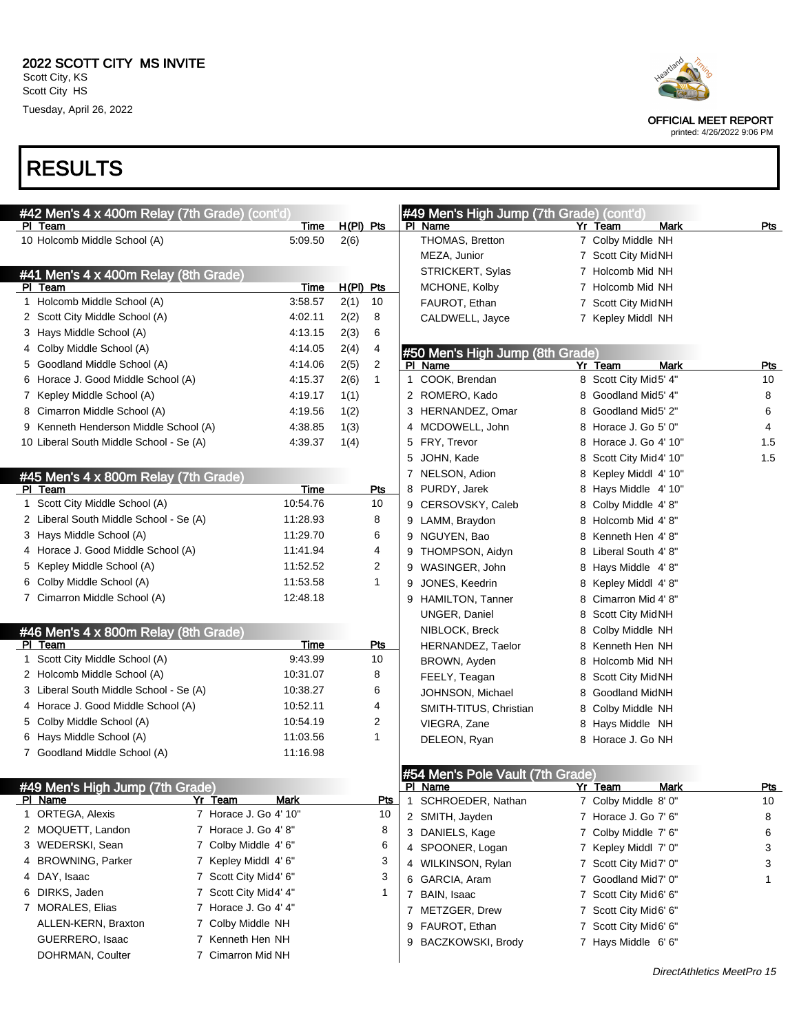Tuesday, April 26, 2022



OFFICIAL MEET REPORT

printed: 4/26/2022 9:06 PM

### RESULTS

|   | #42 Men's 4 x 400m Relay (7th Grade) (cont'd)     |                        |             |                |              | #49 Men's High Jump (7th Grade) (cont'd) |    |                         |             |            |
|---|---------------------------------------------------|------------------------|-------------|----------------|--------------|------------------------------------------|----|-------------------------|-------------|------------|
|   | PI Team                                           | <b>Time</b>            | $H(PI)$ Pts |                |              | PI Name                                  |    | Yr Team                 | Mark        | Pts        |
|   | 10 Holcomb Middle School (A)                      | 5:09.50                | 2(6)        |                |              | THOMAS, Bretton                          |    | 7 Colby Middle NH       |             |            |
|   |                                                   |                        |             |                |              | MEZA, Junior                             |    | 7 Scott City MidNH      |             |            |
|   | #41 Men's 4 x 400m Relay (8th Grade)              |                        |             |                |              | STRICKERT, Sylas                         |    | 7 Holcomb Mid NH        |             |            |
|   | PI Team                                           | Time                   | H(PI) Pts   |                |              | MCHONE, Kolby                            |    | 7 Holcomb Mid NH        |             |            |
|   | 1 Holcomb Middle School (A)                       | 3:58.57                | 2(1)        | 10             |              | FAUROT, Ethan                            |    | 7 Scott City MidNH      |             |            |
|   | 2 Scott City Middle School (A)                    | 4:02.11                | 2(2)        | 8              |              | CALDWELL, Jayce                          |    | 7 Kepley Middl NH       |             |            |
|   | 3 Hays Middle School (A)                          | 4:13.15                | 2(3)        | 6              |              |                                          |    |                         |             |            |
|   | 4 Colby Middle School (A)                         | 4:14.05                | 2(4)        | 4              |              | #50 Men's High Jump (8th Grade)          |    |                         |             |            |
|   | 5 Goodland Middle School (A)                      | 4:14.06                | 2(5)        | $\overline{2}$ |              | PI Name                                  |    | Yr Team                 | <b>Mark</b> | <u>Pts</u> |
|   | 6 Horace J. Good Middle School (A)                | 4:15.37                | 2(6)        | $\mathbf{1}$   |              | 1 COOK, Brendan                          |    | 8 Scott City Mid5' 4"   |             | 10         |
|   | 7 Kepley Middle School (A)                        | 4:19.17                | 1(1)        |                |              | 2 ROMERO, Kado                           |    | 8 Goodland Mid5' 4"     |             | 8          |
|   | 8 Cimarron Middle School (A)                      | 4:19.56                | 1(2)        |                |              | 3 HERNANDEZ, Omar                        |    | 8 Goodland Mid5' 2"     |             | 6          |
|   | 9 Kenneth Henderson Middle School (A)             | 4:38.85                | 1(3)        |                |              | 4 MCDOWELL, John                         |    | 8 Horace J. Go 5' 0"    |             | 4          |
|   | 10 Liberal South Middle School - Se (A)           | 4:39.37                | 1(4)        |                |              | 5 FRY, Trevor                            |    | 8 Horace J. Go 4' 10"   |             | 1.5        |
|   |                                                   |                        |             |                |              | 5 JOHN, Kade                             |    | 8 Scott City Mid4' 10"  |             | 1.5        |
|   | #45 Men's 4 x 800m Relay (7th Grade)              |                        |             |                |              | 7 NELSON, Adion                          | 8  | Kepley Middl 4' 10"     |             |            |
|   | PI Team                                           | Time                   |             | Pts            |              | 8 PURDY, Jarek                           |    | 8 Hays Middle 4' 10"    |             |            |
|   | 1 Scott City Middle School (A)                    | 10:54.76               |             | 10             |              | 9 CERSOVSKY, Caleb                       |    | 8 Colby Middle 4'8"     |             |            |
|   | 2 Liberal South Middle School - Se (A)            | 11:28.93               |             | 8              |              | 9 LAMM, Braydon                          |    | 8 Holcomb Mid 4'8"      |             |            |
|   | 3 Hays Middle School (A)                          | 11:29.70               |             | 6              |              | 9 NGUYEN, Bao                            | 8  | Kenneth Hen 4'8"        |             |            |
|   | 4 Horace J. Good Middle School (A)                | 11:41.94               |             | 4              |              | 9 THOMPSON, Aidyn                        | 8. | Liberal South 4' 8"     |             |            |
|   | 5 Kepley Middle School (A)                        | 11:52.52               |             | 2              |              | 9 WASINGER, John                         |    | 8 Hays Middle 4'8"      |             |            |
|   | 6 Colby Middle School (A)                         | 11:53.58               |             | $\mathbf{1}$   | 9            | JONES, Keedrin                           |    | 8 Kepley Middl 4'8"     |             |            |
|   | 7 Cimarron Middle School (A)                      | 12:48.18               |             |                |              | 9 HAMILTON, Tanner                       |    | 8 Cimarron Mid 4' 8"    |             |            |
|   |                                                   |                        |             |                |              | UNGER, Daniel                            |    | 8 Scott City MidNH      |             |            |
|   |                                                   |                        |             |                |              |                                          |    |                         |             |            |
|   | #46 Men's 4 x 800m Relay (8th Grade)<br>PI Team   | Time                   |             | <u>Pts</u>     |              | NIBLOCK, Breck                           | 8. | Colby Middle NH         |             |            |
|   | 1 Scott City Middle School (A)                    | 9:43.99                |             | 10             |              | HERNANDEZ, Taelor                        | 8. | Kenneth Hen NH          |             |            |
|   | 2 Holcomb Middle School (A)                       | 10:31.07               |             | 8              |              | BROWN, Ayden                             | 8. | Holcomb Mid NH          |             |            |
|   | 3 Liberal South Middle School - Se (A)            | 10:38.27               |             | 6              |              | FEELY, Teagan                            | 8. | <b>Scott City MidNH</b> |             |            |
|   | 4 Horace J. Good Middle School (A)                | 10:52.11               |             | 4              |              | JOHNSON, Michael                         | 8  | <b>Goodland MidNH</b>   |             |            |
|   | 5 Colby Middle School (A)                         | 10:54.19               |             | $\overline{c}$ |              | SMITH-TITUS, Christian                   |    | 8 Colby Middle NH       |             |            |
|   | 6 Hays Middle School (A)                          | 11:03.56               |             | 1              |              | VIEGRA, Zane                             |    | 8 Hays Middle NH        |             |            |
|   | 7 Goodland Middle School (A)                      | 11:16.98               |             |                |              | DELEON, Ryan                             |    | 8 Horace J. Go NH       |             |            |
|   |                                                   |                        |             |                |              |                                          |    |                         |             |            |
|   |                                                   |                        |             |                |              | #54 Men's Pole Vault (7th Grade)         |    |                         |             |            |
|   | #49 Men's High Jump (7th Grade)<br><b>PI Name</b> | <b>Mark</b><br>Yr Team |             | <u>Pts</u>     |              | PI Name                                  |    | Yr Team                 | Mark        | Pts        |
| 1 | ORTEGA, Alexis                                    | 7 Horace J. Go 4' 10"  |             | 10             | $\mathbf{1}$ | SCHROEDER, Nathan                        |    | 7 Colby Middle 8' 0"    |             | 10         |
|   | 2 MOQUETT, Landon                                 | 7 Horace J. Go 4'8"    |             | 8              |              | 2 SMITH, Jayden                          |    | 7 Horace J. Go 7' 6"    |             | 8          |
|   | 3 WEDERSKI, Sean                                  | 7 Colby Middle 4' 6"   |             | 6              |              | 3 DANIELS, Kage                          |    | 7 Colby Middle 7' 6"    |             | 6          |
| 4 | <b>BROWNING, Parker</b>                           | 7 Kepley Middl 4' 6"   |             | 3              |              | 4 SPOONER, Logan                         |    | 7 Kepley Middl 7' 0"    |             | 3          |
|   | 4 DAY, Isaac                                      | 7 Scott City Mid4' 6"  |             | 3              |              | 4 WILKINSON, Rylan                       |    | 7 Scott City Mid7' 0"   |             | 3          |
|   |                                                   |                        |             |                |              | 6 GARCIA, Aram                           |    | 7 Goodland Mid7' 0"     |             | 1          |
|   | 6 DIRKS, Jaden                                    | 7 Scott City Mid4' 4"  |             | 1              |              | 7 BAIN, Isaac                            |    | 7 Scott City Mid6' 6"   |             |            |
|   | 7 MORALES, Elias                                  | 7 Horace J. Go 4' 4"   |             |                |              | 7 METZGER, Drew                          |    | 7 Scott City Mid6' 6"   |             |            |
|   | ALLEN-KERN, Braxton                               | 7 Colby Middle NH      |             |                |              | 9 FAUROT, Ethan                          |    | 7 Scott City Mid6' 6"   |             |            |
|   | GUERRERO, Isaac                                   | 7 Kenneth Hen NH       |             |                |              | 9 BACZKOWSKI, Brody                      |    | 7 Hays Middle 6'6"      |             |            |
|   | DOHRMAN, Coulter                                  | 7 Cimarron Mid NH      |             |                |              |                                          |    |                         |             |            |

DirectAthletics MeetPro 15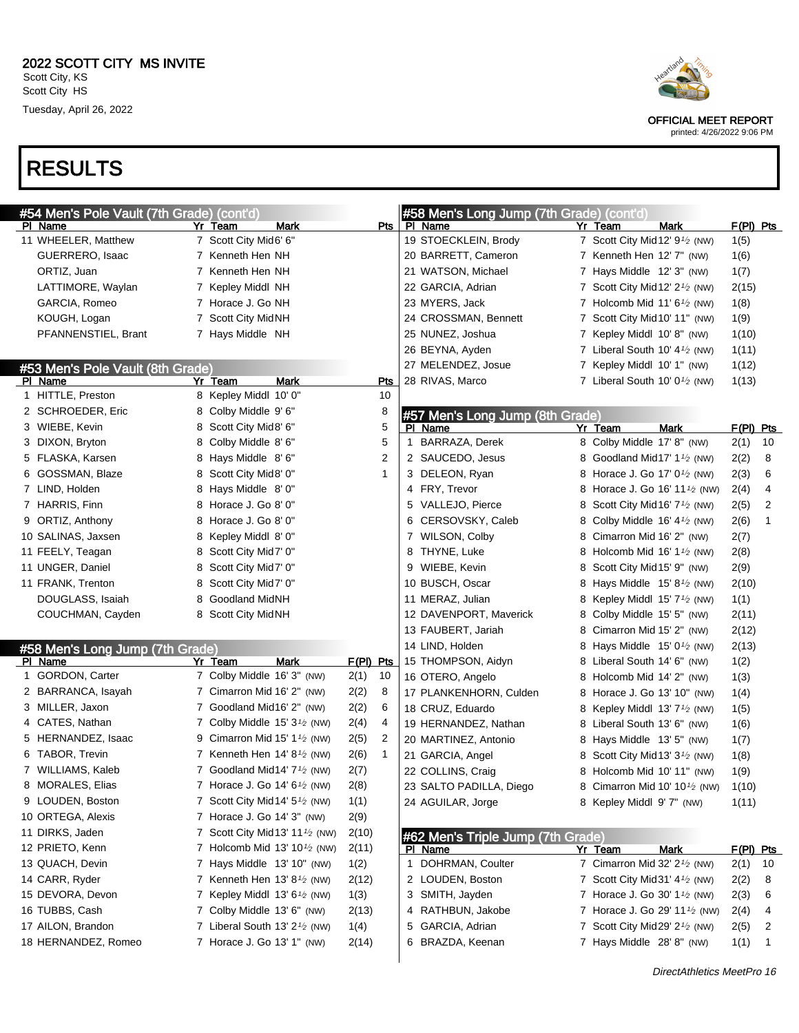| #54 Men's Pole Vault (7th Grade) (cont'd) |   |                                                          |           |                         |              | #58 Men's Long Jump (7th Grade) (cont'd) |                                                         |             |              |
|-------------------------------------------|---|----------------------------------------------------------|-----------|-------------------------|--------------|------------------------------------------|---------------------------------------------------------|-------------|--------------|
| PI Name                                   |   | Mark<br>Yr Team                                          |           | <b>Pts</b>              |              | PI Name                                  | Yr Team<br>Mark                                         | $F(PI)$ Pts |              |
| 11 WHEELER, Matthew                       |   | 7 Scott City Mid6' 6"                                    |           |                         |              | 19 STOECKLEIN, Brody                     | 7 Scott City Mid 12' 9 <sup>1</sup> / <sub>2</sub> (NW) | 1(5)        |              |
| GUERRERO, Isaac                           |   | 7 Kenneth Hen NH                                         |           |                         |              | 20 BARRETT, Cameron                      | 7 Kenneth Hen 12' 7" (NW)                               | 1(6)        |              |
| ORTIZ, Juan                               |   | 7 Kenneth Hen NH                                         |           |                         |              | 21 WATSON, Michael                       | 7 Hays Middle 12' 3" (NW)                               | 1(7)        |              |
| LATTIMORE, Waylan                         |   | 7 Kepley Middl NH                                        |           |                         |              | 22 GARCIA, Adrian                        | 7 Scott City Mid 12' $2\frac{1}{2}$ (NW)                | 2(15)       |              |
| GARCIA, Romeo                             |   | 7 Horace J. Go NH                                        |           |                         |              | 23 MYERS, Jack                           | 7 Holcomb Mid 11' 6 $\frac{1}{2}$ (NW)                  | 1(8)        |              |
| KOUGH, Logan                              |   | 7 Scott City MidNH                                       |           |                         |              | 24 CROSSMAN, Bennett                     | 7 Scott City Mid 10' 11" (NW)                           | 1(9)        |              |
| PFANNENSTIEL, Brant                       |   | 7 Hays Middle NH                                         |           |                         |              | 25 NUNEZ, Joshua                         | 7 Kepley Middl 10'8" (NW)                               | 1(10)       |              |
|                                           |   |                                                          |           |                         |              | 26 BEYNA, Ayden                          | 7 Liberal South 10' $4\frac{1}{2}$ (NW)                 | 1(11)       |              |
| #53 Men's Pole Vault (8th Grade)          |   |                                                          |           |                         |              | 27 MELENDEZ, Josue                       | 7 Kepley Middl 10' 1" (NW)                              | 1(12)       |              |
| PI Name                                   |   | <b>Mark</b><br>Yr Team                                   |           | <b>Pts</b>              |              | 28 RIVAS, Marco                          | 7 Liberal South 10' $0\frac{1}{2}$ (NW)                 | 1(13)       |              |
| 1 HITTLE, Preston                         |   | 8 Kepley Middl 10' 0"                                    |           | 10                      |              |                                          |                                                         |             |              |
| 2 SCHROEDER, Eric                         |   | 8 Colby Middle 9' 6"                                     |           | 8                       |              | #57 Men's Long Jump (8th Grade)          |                                                         |             |              |
| 3 WIEBE, Kevin                            |   | 8 Scott City Mid8' 6"                                    |           | 5                       |              | PI Name                                  | <b>Mark</b><br>Yr Team                                  | F(PI) Pts   |              |
| 3 DIXON, Bryton                           |   | 8 Colby Middle 8' 6"                                     |           | 5                       | $\mathbf{1}$ | BARRAZA, Derek                           | 8 Colby Middle 17' 8" (NW)                              | 2(1)        | 10           |
| 5 FLASKA, Karsen                          |   | 8 Hays Middle 8'6"                                       |           | $\overline{\mathbf{c}}$ |              | 2 SAUCEDO, Jesus                         | 8 Goodland Mid17' 1 <sup>1/2</sup> (NW)                 | 2(2)        | 8            |
| 6 GOSSMAN, Blaze                          |   | 8 Scott City Mid8' 0"                                    |           | 1                       |              | 3 DELEON, Ryan                           | 8 Horace J. Go 17' 0 <sup>1</sup> / <sub>2</sub> (NW)   | 2(3)        | 6            |
| 7 LIND, Holden                            |   | 8 Hays Middle 8'0"                                       |           |                         |              | 4 FRY, Trevor                            | 8 Horace J. Go 16' 11 <sup>1</sup> / <sub>2</sub> (NW)  | 2(4)        | 4            |
| 7 HARRIS, Finn                            |   | 8 Horace J. Go 8' 0"                                     |           |                         |              | 5 VALLEJO, Pierce                        | 8 Scott City Mid 16' 7 <sup>1</sup> / <sub>2</sub> (NW) | 2(5)        | 2            |
| 9 ORTIZ, Anthony                          |   | 8 Horace J. Go 8' 0"                                     |           |                         |              | 6 CERSOVSKY, Caleb                       | 8 Colby Middle 16' 4 <sup>1</sup> / <sub>2</sub> (NW)   | 2(6)        | 1            |
| 10 SALINAS, Jaxsen                        |   | 8 Kepley Middl 8'0"                                      |           |                         |              | 7 WILSON, Colby                          | 8 Cimarron Mid 16' 2" (NW)                              | 2(7)        |              |
| 11 FEELY, Teagan                          |   | 8 Scott City Mid7' 0"                                    |           |                         |              | 8 THYNE, Luke                            | 8 Holcomb Mid 16' 1 $\frac{1}{2}$ (NW)                  | 2(8)        |              |
| 11 UNGER, Daniel                          |   | 8 Scott City Mid7' 0"                                    |           |                         |              | 9 WIEBE, Kevin                           | 8 Scott City Mid 15' 9" (NW)                            | 2(9)        |              |
| 11 FRANK, Trenton                         |   | 8 Scott City Mid7' 0"                                    |           |                         |              | 10 BUSCH, Oscar                          | 8 Hays Middle $15'8'$ (NW)                              | 2(10)       |              |
| DOUGLASS, Isaiah                          | 8 | <b>Goodland MidNH</b>                                    |           |                         |              | 11 MERAZ, Julian                         | 8 Kepley Middl $15'7'$ (NW)                             | 1(1)        |              |
| COUCHMAN, Cayden                          |   | 8 Scott City MidNH                                       |           |                         |              | 12 DAVENPORT, Maverick                   | 8 Colby Middle 15' 5" (NW)                              | 2(11)       |              |
|                                           |   |                                                          |           |                         |              | 13 FAUBERT, Jariah                       | 8 Cimarron Mid 15' 2" (NW)                              | 2(12)       |              |
| #58 Men's Long Jump (7th Grade)           |   |                                                          |           |                         |              | 14 LIND, Holden                          | 8 Hays Middle $15'0\frac{1}{2}$ (NW)                    | 2(13)       |              |
| PI Name                                   |   | Yr Team<br>Mark                                          | F(PI) Pts |                         |              | 15 THOMPSON, Aidyn                       | 8 Liberal South 14' 6" (NW)                             | 1(2)        |              |
| 1 GORDON, Carter                          |   | 7 Colby Middle 16' 3" (NW)                               | 2(1)      | 10                      |              | 16 OTERO, Angelo                         | 8 Holcomb Mid 14' 2" (NW)                               | 1(3)        |              |
| 2 BARRANCA, Isayah                        |   | 7 Cimarron Mid 16' 2" (NW)                               | 2(2)      | 8                       |              | 17 PLANKENHORN, Culden                   | 8 Horace J. Go 13' 10" (NW)                             | 1(4)        |              |
| 3 MILLER, Jaxon                           |   | 7 Goodland Mid16' 2" (NW)                                | 2(2)      | 6                       |              | 18 CRUZ, Eduardo                         | 8 Kepley Middl 13' $7\frac{1}{2}$ (NW)                  | 1(5)        |              |
| 4 CATES, Nathan                           |   | 7 Colby Middle $15'3'$ (NW)                              | 2(4)      | 4                       |              | 19 HERNANDEZ, Nathan                     | 8 Liberal South 13' 6" (NW)                             | 1(6)        |              |
| 5 HERNANDEZ, Isaac                        | 9 | Cimarron Mid 15' 1 $\frac{1}{2}$ (NW)                    | 2(5)      | 2                       |              | 20 MARTINEZ, Antonio                     | 8 Hays Middle 13'5" (NW)                                | 1(7)        |              |
| 6 TABOR, Trevin                           |   | 7 Kenneth Hen $14' 8\frac{1}{2}$ (NW)                    | 2(6)      | $\mathbf{1}$            |              | 21 GARCIA, Angel                         | 8 Scott City Mid 13' 3 <sup>1</sup> / <sub>2</sub> (NW) | 1(8)        |              |
| 7 WILLIAMS, Kaleb                         |   | 7 Goodland Mid14' $7\frac{1}{2}$ (NW)                    | 2(7)      |                         |              | 22 COLLINS, Craig                        | 8 Holcomb Mid 10' 11" (NW)                              | 1(9)        |              |
| 8 MORALES, Elias                          |   | 7 Horace J. Go 14' $6\frac{1}{2}$ (NW)                   | 2(8)      |                         |              | 23 SALTO PADILLA, Diego                  | 8 Cimarron Mid 10' 10 <sup>1</sup> / <sub>2</sub> (NW)  | 1(10)       |              |
| 9 LOUDEN, Boston                          |   | 7 Scott City Mid 14' 5 <sup>1</sup> / <sub>2</sub> (NW)  | 1(1)      |                         |              | 24 AGUILAR, Jorge                        | 8 Kepley Middl 9' 7" (NW)                               | 1(11)       |              |
| 10 ORTEGA, Alexis                         |   | 7 Horace J. Go 14' 3" (NW)                               | 2(9)      |                         |              |                                          |                                                         |             |              |
| 11 DIRKS, Jaden                           |   | 7 Scott City Mid 13' 11 <sup>1</sup> / <sub>2</sub> (NW) | 2(10)     |                         |              | #62 Men's Triple Jump (7th Grade)        |                                                         |             |              |
| 12 PRIETO, Kenn                           |   | 7 Holcomb Mid 13' 10 <sup>1</sup> / <sub>2</sub> (NW)    | 2(11)     |                         |              | PI Name                                  | Yr Team<br>Mark                                         | F(PI) Pts   |              |
| 13 QUACH, Devin                           |   | 7 Hays Middle 13' 10" (NW)                               | 1(2)      |                         |              | 1 DOHRMAN, Coulter                       | 7 Cimarron Mid 32' 2 <sup>1/2</sup> (NW)                | 2(1)        | 10           |
| 14 CARR, Ryder                            |   | 7 Kenneth Hen 13' $8\frac{1}{2}$ (NW)                    | 2(12)     |                         |              | 2 LOUDEN, Boston                         | 7 Scott City Mid 31' $4\frac{1}{2}$ (NW)                | 2(2)        | 8            |
| 15 DEVORA, Devon                          |   | 7 Kepley Middl $13' 6'$ (NW)                             | 1(3)      |                         |              | 3 SMITH, Jayden                          | 7 Horace J. Go 30' 1 <sup>1</sup> / <sub>2</sub> (NW)   | 2(3)        | 6            |
| 16 TUBBS, Cash                            |   | 7 Colby Middle 13' 6" (NW)                               | 2(13)     |                         |              | 4 RATHBUN, Jakobe                        | 7 Horace J. Go 29' 11 <sup>1</sup> / <sub>2</sub> (NW)  | 2(4)        | 4            |
| 17 AILON, Brandon                         |   | 7 Liberal South 13' $2\frac{1}{2}$ (NW)                  | 1(4)      |                         |              | 5 GARCIA, Adrian                         | 7 Scott City Mid 29' 2 <sup>1</sup> / <sub>2</sub> (NW) | 2(5)        | 2            |
| 18 HERNANDEZ, Romeo                       |   | 7 Horace J. Go 13' 1" (NW)                               | 2(14)     |                         |              | 6 BRAZDA, Keenan                         | 7 Hays Middle 28' 8" (NW)                               | 1(1)        | $\mathbf{1}$ |
|                                           |   |                                                          |           |                         |              |                                          |                                                         |             |              |



OFFICIAL MEET REPORT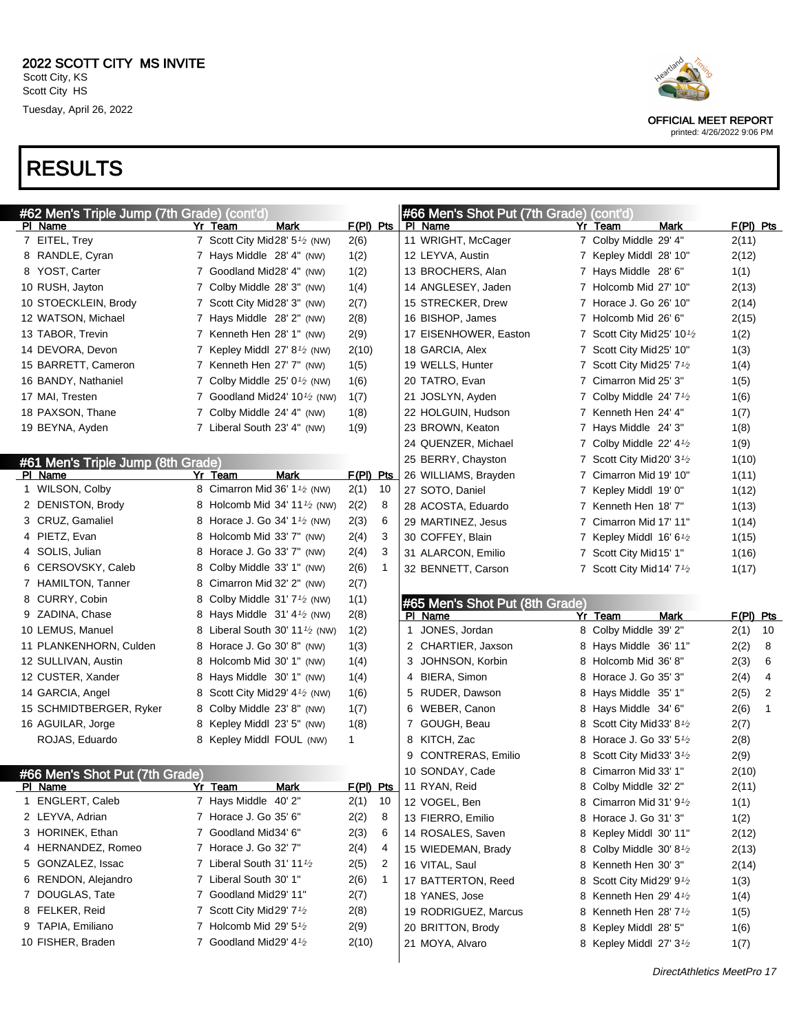|   | #62 Men's Triple Jump (7th Grade) (cont'd) |   |                                                       |             |              |             | #66 Men's Shot Put (7th Grade) (cont'd) |    |                                                 |             |                |
|---|--------------------------------------------|---|-------------------------------------------------------|-------------|--------------|-------------|-----------------------------------------|----|-------------------------------------------------|-------------|----------------|
|   | PI Name                                    |   | Mark<br><u>Yr Team</u>                                | F(PI) Pts   |              |             | PI Name                                 | Yr | Mark<br><u>Team</u>                             | $F(PI)$ Pts |                |
|   | 7 EITEL, Trey                              |   | 7 Scott City Mid28' 5 <sup>1</sup> /2 (NW)            | 2(6)        |              |             | 11 WRIGHT, McCager                      |    | 7 Colby Middle 29' 4"                           | 2(11)       |                |
|   | 8 RANDLE, Cyran                            |   | 7 Hays Middle 28' 4" (NW)                             | 1(2)        |              |             | 12 LEYVA, Austin                        |    | 7 Kepley Middl 28' 10"                          | 2(12)       |                |
|   | 8 YOST, Carter                             |   | 7 Goodland Mid28' 4" (NW)                             | 1(2)        |              |             | 13 BROCHERS, Alan                       |    | 7 Hays Middle 28' 6"                            | 1(1)        |                |
|   | 10 RUSH, Jayton                            |   | 7 Colby Middle 28' 3" (NW)                            | 1(4)        |              |             | 14 ANGLESEY, Jaden                      |    | 7 Holcomb Mid 27' 10"                           | 2(13)       |                |
|   | 10 STOECKLEIN, Brody                       |   | 7 Scott City Mid28' 3" (NW)                           | 2(7)        |              |             | 15 STRECKER, Drew                       |    | 7 Horace J. Go 26' 10"                          | 2(14)       |                |
|   | 12 WATSON, Michael                         |   | 7 Hays Middle 28' 2" (NW)                             | 2(8)        |              |             | 16 BISHOP, James                        |    | 7 Holcomb Mid 26' 6"                            | 2(15)       |                |
|   | 13 TABOR, Trevin                           |   | 7 Kenneth Hen 28' 1" (NW)                             | 2(9)        |              |             | 17 EISENHOWER, Easton                   | 7. | Scott City Mid25' $10\frac{1}{2}$               | 1(2)        |                |
|   | 14 DEVORA, Devon                           |   | 7 Kepley Middl $27' 8'$ (NW)                          | 2(10)       |              |             | 18 GARCIA, Alex                         |    | 7 Scott City Mid25' 10"                         | 1(3)        |                |
|   | 15 BARRETT, Cameron                        |   | 7 Kenneth Hen 27' 7" (NW)                             | 1(5)        |              |             | 19 WELLS, Hunter                        | 7  | Scott City Mid25' 7 <sup>1</sup> /2             | 1(4)        |                |
|   | 16 BANDY, Nathaniel                        |   | 7 Colby Middle $25' 01/2$ (NW)                        | 1(6)        |              |             | 20 TATRO, Evan                          |    | 7 Cimarron Mid 25' 3"                           | 1(5)        |                |
|   | 17 MAI, Tresten                            |   | 7 Goodland Mid24' 10 $\frac{1}{2}$ (NW)               | 1(7)        |              |             | 21 JOSLYN, Ayden                        | 7. | Colby Middle 24' $7\frac{1}{2}$                 | 1(6)        |                |
|   | 18 PAXSON, Thane                           |   | 7 Colby Middle 24' 4" (NW)                            | 1(8)        |              |             | 22 HOLGUIN, Hudson                      |    | 7 Kenneth Hen 24' 4"                            | 1(7)        |                |
|   | 19 BEYNA, Ayden                            |   | 7 Liberal South 23' 4" (NW)                           | 1(9)        |              |             | 23 BROWN, Keaton                        | 7. | Hays Middle 24' 3"                              | 1(8)        |                |
|   |                                            |   |                                                       |             |              |             | 24 QUENZER, Michael                     |    | 7 Colby Middle 22' $4\frac{1}{2}$               | 1(9)        |                |
|   | #61 Men's Triple Jump (8th Grade)          |   |                                                       |             |              |             | 25 BERRY, Chayston                      | 7. | Scott City Mid20' 3 <sup>1</sup> / <sub>2</sub> | 1(10)       |                |
|   | PI Name                                    |   | Yr Team<br>Mark                                       | $F(PI)$ Pts |              |             | 26 WILLIAMS, Brayden                    | 7  | Cimarron Mid 19' 10"                            | 1(11)       |                |
|   | 1 WILSON, Colby                            |   | 8 Cimarron Mid 36' 1 <sup>1</sup> / <sub>2</sub> (NW) | 2(1)        | 10           |             | 27 SOTO, Daniel                         | 7. | Kepley Middl 19' 0"                             | 1(12)       |                |
|   | 2 DENISTON, Brody                          | 8 | Holcomb Mid 34' 11 $\frac{1}{2}$ (NW)                 | 2(2)        | 8            |             | 28 ACOSTA, Eduardo                      |    | 7 Kenneth Hen 18'7"                             | 1(13)       |                |
|   | 3 CRUZ, Gamaliel                           | 8 | Horace J. Go 34' $1\frac{1}{2}$ (NW)                  | 2(3)        | 6            |             | 29 MARTINEZ, Jesus                      | 7  | Cimarron Mid 17' 11"                            | 1(14)       |                |
|   | 4 PIETZ, Evan                              | 8 | Holcomb Mid 33' 7" (NW)                               | 2(4)        | 3            |             | 30 COFFEY, Blain                        | 7  | Kepley Middl $16'6'$                            | 1(15)       |                |
|   | 4 SOLIS, Julian                            | 8 | Horace J. Go 33' 7" (NW)                              | 2(4)        | 3            |             | 31 ALARCON, Emilio                      | 7  | Scott City Mid 15' 1"                           | 1(16)       |                |
|   | 6 CERSOVSKY, Caleb                         | 8 | Colby Middle 33' 1" (NW)                              | 2(6)        | 1            |             | 32 BENNETT, Carson                      |    | 7 Scott City Mid 14' 7 <sup>1</sup> /2          | 1(17)       |                |
|   | 7 HAMILTON, Tanner                         | 8 | Cimarron Mid 32' 2" (NW)                              | 2(7)        |              |             |                                         |    |                                                 |             |                |
|   | 8 CURRY, Cobin                             | 8 | Colby Middle $31'7'$ (NW)                             | 1(1)        |              |             | #65 Men's Shot Put (8th Grade)          |    |                                                 |             |                |
|   | 9 ZADINA, Chase                            | 8 | Hays Middle $31' 4\frac{1}{2}$ (NW)                   | 2(8)        |              |             | PI Name                                 |    | Yr Team<br>Mark                                 | $F(PI)$ Pts |                |
|   | 10 LEMUS, Manuel                           | 8 | Liberal South 30' 11 $\frac{1}{2}$ (NW)               | 1(2)        |              | $\mathbf 1$ | JONES, Jordan                           | 8  | Colby Middle 39' 2"                             | 2(1)        | 10             |
|   | 11 PLANKENHORN, Culden                     | 8 | Horace J. Go 30' 8" (NW)                              | 1(3)        |              |             | 2 CHARTIER, Jaxson                      | 8  | Hays Middle 36' 11"                             | 2(2)        | 8              |
|   | 12 SULLIVAN, Austin                        | 8 | Holcomb Mid 30' 1" (NW)                               | 1(4)        |              | 3           | JOHNSON, Korbin                         | 8  | Holcomb Mid 36' 8"                              | 2(3)        | 6              |
|   | 12 CUSTER, Xander                          | 8 | Hays Middle 30' 1" (NW)                               | 1(4)        |              |             | 4 BIERA, Simon                          | 8  | Horace J. Go 35' 3"                             | 2(4)        | 4              |
|   | 14 GARCIA, Angel                           | 8 | Scott City Mid29' $4\frac{1}{2}$ (NW)                 | 1(6)        |              |             | 5 RUDER, Dawson                         | 8  | Hays Middle 35' 1"                              | 2(5)        | $\overline{2}$ |
|   | 15 SCHMIDTBERGER, Ryker                    | 8 | Colby Middle 23' 8" (NW)                              | 1(7)        |              |             | 6 WEBER, Canon                          | 8  | Hays Middle 34' 6"                              | 2(6)        | 1              |
|   | 16 AGUILAR, Jorge                          | 8 | Kepley Middl 23' 5" (NW)                              | 1(8)        |              |             | 7 GOUGH, Beau                           | 8  | Scott City Mid 33' 8 <sup>1/2</sup>             | 2(7)        |                |
|   | ROJAS, Eduardo                             |   | 8 Kepley Middl FOUL (NW)                              | 1           |              |             | 8 KITCH, Zac                            | 8  | Horace J. Go 33' 5 <sup>1</sup> / <sub>2</sub>  | 2(8)        |                |
|   |                                            |   |                                                       |             |              | 9           | CONTRERAS, Emilio                       | 8  | Scott City Mid 33' $3\frac{1}{2}$               | 2(9)        |                |
|   | #66 Men's Shot Put (7th Grade)             |   |                                                       |             |              |             | 10 SONDAY, Cade                         | 8  | Cimarron Mid 33' 1"                             | 2(10)       |                |
|   | PI Name                                    |   | Yr Team<br>Mark                                       | $F(PI)$ Pts |              |             | 11 RYAN, Reid                           | 8. | Colby Middle 32' 2"                             | 2(11)       |                |
| 1 | <b>ENGLERT, Caleb</b>                      |   | 7 Hays Middle 40' 2"                                  | 2(1)        | 10           |             | 12 VOGEL, Ben                           |    | 8 Cimarron Mid 31' 9 $\frac{1}{2}$              | 1(1)        |                |
|   | 2 LEYVA, Adrian                            |   | 7 Horace J. Go 35' 6"                                 | 2(2)        | 8            |             | 13 FIERRO, Emilio                       |    | 8 Horace J. Go 31' 3"                           | 1(2)        |                |
|   | 3 HORINEK, Ethan                           |   | 7 Goodland Mid34' 6"                                  | 2(3)        | 6            |             | 14 ROSALES, Saven                       | 8. | Kepley Middl 30' 11"                            | 2(12)       |                |
|   | 4 HERNANDEZ, Romeo                         |   | 7 Horace J. Go 32' 7"                                 | 2(4)        | 4            |             | 15 WIEDEMAN, Brady                      |    | 8 Colby Middle 30' 8 <sup>1</sup> /2            | 2(13)       |                |
|   | 5 GONZALEZ, Issac                          |   | 7 Liberal South 31' 111/2                             | 2(5)        | 2            |             | 16 VITAL, Saul                          | 8. | Kenneth Hen 30' 3"                              | 2(14)       |                |
|   | 6 RENDON, Alejandro                        |   | 7 Liberal South 30' 1"                                | 2(6)        | $\mathbf{1}$ |             | 17 BATTERTON, Reed                      |    | 8 Scott City Mid29' 91⁄2                        | 1(3)        |                |
|   | 7 DOUGLAS, Tate                            |   | 7 Goodland Mid29' 11"                                 | 2(7)        |              |             | 18 YANES, Jose                          |    | 8 Kenneth Hen 29' 41/2                          | 1(4)        |                |
|   | 8 FELKER, Reid                             |   | 7 Scott City Mid29' 71/2                              | 2(8)        |              |             | 19 RODRIGUEZ, Marcus                    |    | 8 Kenneth Hen 28' 7 <sup>1</sup> /2             | 1(5)        |                |
|   | 9 TAPIA, Emiliano                          |   | 7 Holcomb Mid 29' $5\frac{1}{2}$                      | 2(9)        |              |             | 20 BRITTON, Brody                       | 8. | Kepley Middl 28' 5"                             | 1(6)        |                |
|   | 10 FISHER, Braden                          |   | 7 Goodland Mid29' 41/2                                | 2(10)       |              |             | 21 MOYA, Alvaro                         |    | 8 Kepley Middl 27' 3 <sup>1</sup> /2            | 1(7)        |                |
|   |                                            |   |                                                       |             |              |             |                                         |    |                                                 |             |                |



OFFICIAL MEET REPORT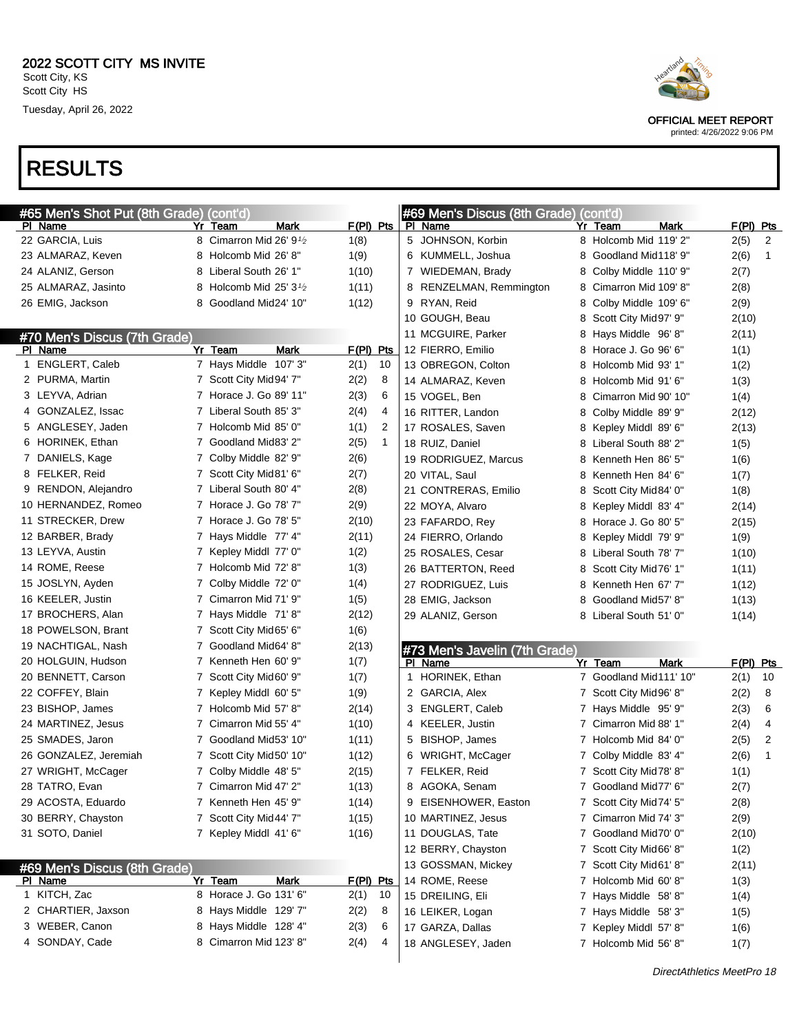

OFFICIAL MEET REPORT

printed: 4/26/2022 9:06 PM

### RESULTS

| #65 Men's Shot Put (8th Grade) (cont'd) |                                                  |                      | #69 Men's Discus (8th Grade) (cont'd) |                           |             |
|-----------------------------------------|--------------------------------------------------|----------------------|---------------------------------------|---------------------------|-------------|
| PI Name                                 | Yr<br>Team<br>Mark                               | $F(PI)$ Pts          | PI Name                               | Yr Team<br>Mark           | $F(PI)$ Pts |
| 22 GARCIA, Luis                         | 8 Cimarron Mid 26' 9 <sup>1</sup> / <sub>2</sub> | 1(8)                 | 5 JOHNSON, Korbin                     | 8 Holcomb Mid 119' 2"     | 2(5)<br>2   |
| 23 ALMARAZ, Keven                       | 8 Holcomb Mid 26' 8"                             | 1(9)                 | 6 KUMMELL, Joshua                     | Goodland Mid118' 9"<br>8  | 2(6)<br>1   |
| 24 ALANIZ, Gerson                       | 8 Liberal South 26' 1"                           | 1(10)                | 7 WIEDEMAN, Brady                     | 8<br>Colby Middle 110' 9" | 2(7)        |
| 25 ALMARAZ, Jasinto                     | 8 Holcomb Mid 25' $3\frac{1}{2}$                 | 1(11)                | 8 RENZELMAN, Remmington               | Cimarron Mid 109' 8"<br>8 | 2(8)        |
| 26 EMIG, Jackson                        | 8 Goodland Mid24' 10"                            | 1(12)                | 9 RYAN, Reid                          | Colby Middle 109' 6"<br>8 | 2(9)        |
|                                         |                                                  |                      | 10 GOUGH, Beau                        | Scott City Mid97' 9"<br>8 | 2(10)       |
| #70 Men's Discus (7th Grade)            |                                                  |                      | 11 MCGUIRE, Parker                    | Hays Middle 96'8"<br>8    | 2(11)       |
| PI Name                                 | <b>Mark</b><br>Yr Team                           | $F(PI)$ Pts          | 12 FIERRO, Emilio                     | Horace J. Go 96' 6"<br>8  | 1(1)        |
| 1 ENGLERT, Caleb                        | 7 Hays Middle 107' 3"                            | 2(1)<br>10           | 13 OBREGON, Colton                    | Holcomb Mid 93' 1"<br>8   | 1(2)        |
| 2 PURMA, Martin                         | 7 Scott City Mid94' 7"                           | 2(2)<br>8            | 14 ALMARAZ, Keven                     | Holcomb Mid 91' 6"<br>8   | 1(3)        |
| 3 LEYVA, Adrian                         | 7 Horace J. Go 89' 11"                           | 2(3)<br>6            | 15 VOGEL, Ben                         | Cimarron Mid 90' 10"<br>8 | 1(4)        |
| 4 GONZALEZ, Issac                       | 7 Liberal South 85' 3"                           | 2(4)<br>4            | 16 RITTER, Landon                     | Colby Middle 89' 9"<br>8  | 2(12)       |
| 5 ANGLESEY, Jaden                       | 7 Holcomb Mid 85' 0"                             | 1(1)<br>2            | 17 ROSALES, Saven                     | Kepley Middl 89' 6"<br>8  | 2(13)       |
| 6 HORINEK, Ethan                        | 7 Goodland Mid83' 2"                             | 2(5)<br>$\mathbf{1}$ | 18 RUIZ, Daniel                       | Liberal South 88' 2"<br>8 | 1(5)        |
| 7 DANIELS, Kage                         | 7 Colby Middle 82' 9"                            | 2(6)                 | 19 RODRIGUEZ, Marcus                  | Kenneth Hen 86' 5"<br>8   | 1(6)        |
| 8 FELKER, Reid                          | 7 Scott City Mid81' 6"                           | 2(7)                 | 20 VITAL, Saul                        | Kenneth Hen 84' 6"<br>8   | 1(7)        |
| 9 RENDON, Alejandro                     | 7 Liberal South 80' 4"                           | 2(8)                 | 21 CONTRERAS, Emilio                  | Scott City Mid84' 0"<br>8 | 1(8)        |
| 10 HERNANDEZ, Romeo                     | 7 Horace J. Go 78' 7"                            | 2(9)                 | 22 MOYA, Alvaro                       | Kepley Middl 83' 4"<br>8  | 2(14)       |
| 11 STRECKER, Drew                       | 7 Horace J. Go 78' 5"                            | 2(10)                | 23 FAFARDO, Rev                       | Horace J. Go 80' 5"<br>8  | 2(15)       |
| 12 BARBER, Brady                        | 7 Hays Middle 77' 4"                             | 2(11)                | 24 FIERRO, Orlando                    | Kepley Middl 79' 9"<br>8  | 1(9)        |
| 13 LEYVA, Austin                        | 7 Kepley Middl 77' 0"                            | 1(2)                 | 25 ROSALES, Cesar                     | Liberal South 78' 7"<br>8 | 1(10)       |
| 14 ROME, Reese                          | 7 Holcomb Mid 72' 8"                             | 1(3)                 | 26 BATTERTON, Reed                    | Scott City Mid76' 1"<br>8 | 1(11)       |
| 15 JOSLYN, Ayden                        | 7 Colby Middle 72' 0"                            | 1(4)                 | 27 RODRIGUEZ, Luis                    | Kenneth Hen 67' 7"<br>8   | 1(12)       |
| 16 KEELER, Justin                       | 7 Cimarron Mid 71' 9"                            | 1(5)                 | 28 EMIG, Jackson                      | 8<br>Goodland Mid57' 8"   | 1(13)       |
| 17 BROCHERS, Alan                       | 7 Hays Middle 71'8"                              | 2(12)                | 29 ALANIZ, Gerson                     | 8 Liberal South 51' 0"    | 1(14)       |
| 18 POWELSON, Brant                      | 7 Scott City Mid65' 6"                           | 1(6)                 |                                       |                           |             |
| 19 NACHTIGAL, Nash                      | 7 Goodland Mid64' 8"                             | 2(13)                | #73 Men's Javelin (7th Grade)         |                           |             |
| 20 HOLGUIN, Hudson                      | 7 Kenneth Hen 60' 9"                             | 1(7)                 | PI Name                               | <b>Mark</b><br>Yr Team    | F(PI) Pts   |
| 20 BENNETT, Carson                      | 7 Scott City Mid60' 9"                           | 1(7)                 | 1 HORINEK, Ethan                      | 7 Goodland Mid111' 10"    | 2(1)<br>10  |
| 22 COFFEY, Blain                        | 7 Kepley Middl 60' 5"                            | 1(9)                 | 2 GARCIA, Alex                        | 7 Scott City Mid 96' 8"   | 2(2)<br>8   |
| 23 BISHOP, James                        | 7 Holcomb Mid 57' 8"                             | 2(14)                | 3 ENGLERT, Caleb                      | 7 Hays Middle 95' 9"      | 2(3)<br>6   |
| 24 MARTINEZ, Jesus                      | 7 Cimarron Mid 55' 4"                            | 1(10)                | 4 KEELER, Justin                      | Cimarron Mid 88' 1"<br>7  | 2(4)<br>4   |
| 25 SMADES, Jaron                        | 7 Goodland Mid53' 10"                            | 1(11)                | 5 BISHOP, James                       | Holcomb Mid 84' 0"<br>7   | 2(5)<br>2   |
| 26 GONZALEZ, Jeremiah                   | 7 Scott City Mid50' 10"                          | 1(12)                | 6 WRIGHT, McCager                     | 7 Colby Middle 83' 4"     | 2(6)<br>1   |
| 27 WRIGHT, McCager                      | 7 Colby Middle 48' 5"                            | 2(15)                | 7 FELKER, Reid                        | 7 Scott City Mid78' 8"    | 1(1)        |
| 28 TATRO, Evan                          | 7 Cimarron Mid 47' 2"                            | 1(13)                | 8 AGOKA, Senam                        | 7 Goodland Mid77' 6"      | 2(7)        |
| 29 ACOSTA, Eduardo                      | 7 Kenneth Hen 45' 9"                             | 1(14)                | 9 EISENHOWER, Easton                  | 7 Scott City Mid74' 5"    | 2(8)        |
| 30 BERRY, Chayston                      | 7 Scott City Mid44' 7"                           | 1(15)                | 10 MARTINEZ, Jesus                    | 7 Cimarron Mid 74' 3"     | 2(9)        |
| 31 SOTO, Daniel                         | 7 Kepley Middl 41' 6"                            | 1(16)                | 11 DOUGLAS, Tate                      | 7 Goodland Mid70' 0"      | 2(10)       |
|                                         |                                                  |                      | 12 BERRY, Chayston                    | 7 Scott City Mid66' 8"    | 1(2)        |
|                                         |                                                  |                      | 13 GOSSMAN, Mickey                    | 7 Scott City Mid61' 8"    | 2(11)       |
| #69 Men's Discus (8th Grade)<br>PI Name | Yr Team<br>Mark                                  | F(PI) Pts            | 14 ROME, Reese                        | 7 Holcomb Mid 60' 8"      | 1(3)        |
| 1 KITCH, Zac                            | 8 Horace J. Go 131' 6"                           | 2(1)<br>10           | 15 DREILING, Eli                      | 7 Hays Middle 58'8"       | 1(4)        |
| 2 CHARTIER, Jaxson                      | 8 Hays Middle 129'7"                             | 2(2)<br>8            | 16 LEIKER, Logan                      | 7 Hays Middle 58' 3"      | 1(5)        |
| 3 WEBER, Canon                          | 8 Hays Middle 128' 4"                            | 2(3)<br>6            | 17 GARZA, Dallas                      | 7 Kepley Middl 57' 8"     | 1(6)        |
| 4 SONDAY, Cade                          | 8 Cimarron Mid 123' 8"                           | 2(4)<br>4            | 18 ANGLESEY, Jaden                    | 7 Holcomb Mid 56' 8"      | 1(7)        |
|                                         |                                                  |                      |                                       |                           |             |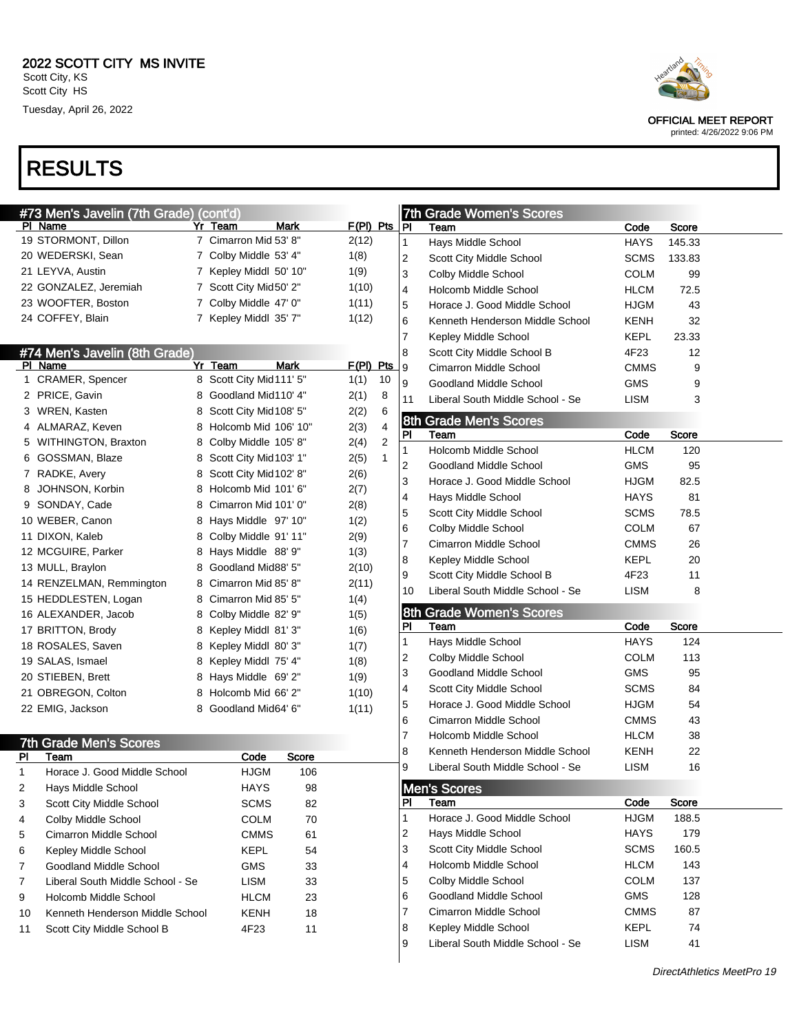|    | #73 Men's Javelin (7th Grade)    | (cont'd)                 |       |             |                         |                | 7th Grade Women's Scores         |             |        |  |
|----|----------------------------------|--------------------------|-------|-------------|-------------------------|----------------|----------------------------------|-------------|--------|--|
|    | PI Name                          | Yr Team                  | Mark  | $F(PI)$ Pts |                         | PI             | Team                             | Code        | Score  |  |
|    | 19 STORMONT, Dillon              | 7 Cimarron Mid 53' 8"    |       | 2(12)       |                         | 1              | Hays Middle School               | <b>HAYS</b> | 145.33 |  |
|    | 20 WEDERSKI, Sean                | 7 Colby Middle 53' 4"    |       | 1(8)        |                         | $\overline{c}$ | Scott City Middle School         | <b>SCMS</b> | 133.83 |  |
|    | 21 LEYVA, Austin                 | 7 Kepley Middl 50' 10"   |       | 1(9)        |                         | 3              | Colby Middle School              | <b>COLM</b> | 99     |  |
|    | 22 GONZALEZ, Jeremiah            | 7 Scott City Mid50' 2"   |       | 1(10)       |                         | 4              | Holcomb Middle School            | HLCM        | 72.5   |  |
|    | 23 WOOFTER, Boston               | 7 Colby Middle 47' 0"    |       | 1(11)       |                         | 5              | Horace J. Good Middle School     | HJGM        | 43     |  |
|    | 24 COFFEY, Blain                 | 7 Kepley Middl 35' 7"    |       | 1(12)       |                         | 6              | Kenneth Henderson Middle School  | KENH        | 32     |  |
|    |                                  |                          |       |             |                         | 7              | Kepley Middle School             | KEPL        | 23.33  |  |
|    | #74 Men's Javelin (8th Grade)    |                          |       |             |                         | 8              | Scott City Middle School B       | 4F23        | 12     |  |
|    | PI Name                          | Yr Team                  | Mark  | F(PI) Pts   |                         | 9              | Cimarron Middle School           | <b>CMMS</b> | 9      |  |
|    | 1 CRAMER, Spencer                | 8 Scott City Mid111' 5"  |       | 1(1)        | 10                      | 9              | Goodland Middle School           | <b>GMS</b>  | 9      |  |
|    | 2 PRICE, Gavin                   | 8 Goodland Mid110' 4"    |       | 2(1)        | 8                       | 11             | Liberal South Middle School - Se | LISM        | 3      |  |
|    | 3 WREN, Kasten                   | 8 Scott City Mid108' 5"  |       | 2(2)        | 6                       |                |                                  |             |        |  |
|    | 4 ALMARAZ, Keven                 | 8 Holcomb Mid 106' 10"   |       | 2(3)        | $\overline{\mathbf{4}}$ |                | <b>8th Grade Men's Scores</b>    |             |        |  |
|    | 5 WITHINGTON, Braxton            | 8 Colby Middle 105' 8"   |       | 2(4)        | $\overline{\mathbf{c}}$ | PI             | Team                             | Code        | Score  |  |
|    | 6 GOSSMAN, Blaze                 | 8 Scott City Mid 103' 1" |       | 2(5)        | $\mathbf{1}$            | 1              | Holcomb Middle School            | <b>HLCM</b> | 120    |  |
|    | 7 RADKE, Avery                   | 8 Scott City Mid102' 8"  |       | 2(6)        |                         | 2              | Goodland Middle School           | <b>GMS</b>  | 95     |  |
|    | 8 JOHNSON, Korbin                | 8 Holcomb Mid 101'6"     |       | 2(7)        |                         | 3              | Horace J. Good Middle School     | HJGM        | 82.5   |  |
|    | 9 SONDAY, Cade                   | 8 Cimarron Mid 101' 0"   |       |             |                         | 4              | Hays Middle School               | HAYS        | 81     |  |
|    |                                  |                          |       | 2(8)        |                         | 5              | Scott City Middle School         | <b>SCMS</b> | 78.5   |  |
|    | 10 WEBER, Canon                  | 8 Hays Middle 97' 10"    |       | 1(2)        |                         | 6              | Colby Middle School              | <b>COLM</b> | 67     |  |
|    | 11 DIXON, Kaleb                  | 8 Colby Middle 91' 11"   |       | 2(9)        |                         | 7              | Cimarron Middle School           | <b>CMMS</b> | 26     |  |
|    | 12 MCGUIRE, Parker               | 8 Hays Middle 88' 9"     |       | 1(3)        |                         | 8              | Kepley Middle School             | <b>KEPL</b> | 20     |  |
|    | 13 MULL, Braylon                 | 8 Goodland Mid88' 5"     |       | 2(10)       |                         | 9              | Scott City Middle School B       | 4F23        | 11     |  |
|    | 14 RENZELMAN, Remmington         | 8 Cimarron Mid 85' 8"    |       | 2(11)       |                         | 10             | Liberal South Middle School - Se | LISM        | 8      |  |
|    | 15 HEDDLESTEN, Logan             | 8 Cimarron Mid 85' 5"    |       | 1(4)        |                         |                |                                  |             |        |  |
|    | 16 ALEXANDER, Jacob              | 8 Colby Middle 82' 9"    |       | 1(5)        |                         |                | 8th Grade Women's Scores         |             |        |  |
|    | 17 BRITTON, Brody                | 8 Kepley Middl 81' 3"    |       | 1(6)        |                         | PI             | Team                             | Code        | Score  |  |
|    | 18 ROSALES, Saven                | 8 Kepley Middl 80' 3"    |       | 1(7)        |                         | 1              | Hays Middle School               | HAYS        | 124    |  |
|    | 19 SALAS, Ismael                 | 8 Kepley Middl 75' 4"    |       | 1(8)        |                         | 2              | Colby Middle School              | <b>COLM</b> | 113    |  |
|    | 20 STIEBEN, Brett                | 8 Hays Middle 69' 2"     |       | 1(9)        |                         | 3              | Goodland Middle School           | <b>GMS</b>  | 95     |  |
|    | 21 OBREGON, Colton               | 8 Holcomb Mid 66' 2"     |       | 1(10)       |                         | 4              | Scott City Middle School         | <b>SCMS</b> | 84     |  |
|    | 22 EMIG, Jackson                 | 8 Goodland Mid64' 6"     |       | 1(11)       |                         | 5              | Horace J. Good Middle School     | <b>HJGM</b> | 54     |  |
|    |                                  |                          |       |             |                         | 6              | Cimarron Middle School           | <b>CMMS</b> | 43     |  |
|    | <b>7th Grade Men's Scores</b>    |                          |       |             |                         | $\overline{7}$ | Holcomb Middle School            | <b>HLCM</b> | 38     |  |
| PI | Team                             | Code                     | Score |             |                         | 8              | Kenneth Henderson Middle School  | KENH        | 22     |  |
| 1  | Horace J. Good Middle School     | <b>HJGM</b>              | 106   |             |                         | 9              | Liberal South Middle School - Se | LISM        | 16     |  |
| 2  | Hays Middle School               | <b>HAYS</b>              | 98    |             |                         |                | <b>Men's Scores</b>              |             |        |  |
| 3  | Scott City Middle School         | <b>SCMS</b>              | 82    |             |                         | P <sub>1</sub> | Team                             | Code        | Score  |  |
| 4  | Colby Middle School              | COLM                     | 70    |             |                         | 1              | Horace J. Good Middle School     | <b>HJGM</b> | 188.5  |  |
| 5  | Cimarron Middle School           | <b>CMMS</b>              | 61    |             |                         | 2              | Hays Middle School               | <b>HAYS</b> | 179    |  |
| 6  | Kepley Middle School             | <b>KEPL</b>              | 54    |             |                         | 3              | Scott City Middle School         | <b>SCMS</b> | 160.5  |  |
|    | Goodland Middle School           | <b>GMS</b>               |       |             |                         | 4              | Holcomb Middle School            | <b>HLCM</b> | 143    |  |
| 7  |                                  |                          | 33    |             |                         | 5              | Colby Middle School              | <b>COLM</b> | 137    |  |
| 7  | Liberal South Middle School - Se | <b>LISM</b>              | 33    |             |                         |                |                                  |             |        |  |
| 9  | Holcomb Middle School            | <b>HLCM</b>              | 23    |             |                         | 6              | Goodland Middle School           | <b>GMS</b>  | 128    |  |
| 10 | Kenneth Henderson Middle School  | KENH                     | 18    |             |                         | 7              | Cimarron Middle School           | <b>CMMS</b> | 87     |  |
| 11 | Scott City Middle School B       | 4F23                     | 11    |             |                         | 8              | Kepley Middle School             | <b>KEPL</b> | 74     |  |
|    |                                  |                          |       |             |                         | 9              | Liberal South Middle School - Se | <b>LISM</b> | 41     |  |
|    |                                  |                          |       |             |                         |                |                                  |             |        |  |



OFFICIAL MEET REPORT printed: 4/26/2022 9:06 PM